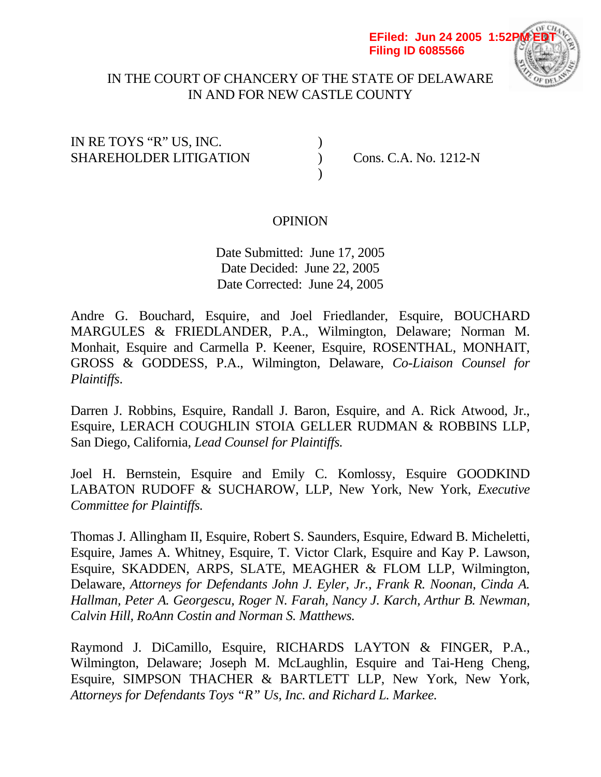#### **EFiled: Jun 24 2005 1:52P Filing ID 6085566**



# IN THE COURT OF CHANCERY OF THE STATE OF DELAWARE IN AND FOR NEW CASTLE COUNTY

# IN RE TOYS "R" US, INC. ) SHAREHOLDER LITIGATION (CONS. C.A. No. 1212-N

 $)$ 

# **OPINION**

 Date Submitted: June 17, 2005 Date Decided: June 22, 2005 Date Corrected: June 24, 2005

Andre G. Bouchard, Esquire, and Joel Friedlander, Esquire, BOUCHARD MARGULES & FRIEDLANDER, P.A., Wilmington, Delaware; Norman M. Monhait, Esquire and Carmella P. Keener, Esquire, ROSENTHAL, MONHAIT, GROSS & GODDESS, P.A., Wilmington, Delaware, *Co-Liaison Counsel for Plaintiffs*.

Darren J. Robbins, Esquire, Randall J. Baron, Esquire, and A. Rick Atwood, Jr., Esquire, LERACH COUGHLIN STOIA GELLER RUDMAN & ROBBINS LLP, San Diego, California, *Lead Counsel for Plaintiffs.* 

Joel H. Bernstein, Esquire and Emily C. Komlossy, Esquire GOODKIND LABATON RUDOFF & SUCHAROW, LLP, New York, New York, *Executive Committee for Plaintiffs.* 

Thomas J. Allingham II, Esquire, Robert S. Saunders, Esquire, Edward B. Micheletti, Esquire, James A. Whitney, Esquire, T. Victor Clark, Esquire and Kay P. Lawson, Esquire, SKADDEN, ARPS, SLATE, MEAGHER & FLOM LLP, Wilmington, Delaware, *Attorneys for Defendants John J. Eyler, Jr., Frank R. Noonan, Cinda A. Hallman, Peter A. Georgescu, Roger N. Farah, Nancy J. Karch, Arthur B. Newman, Calvin Hill, RoAnn Costin and Norman S. Matthews.* 

Raymond J. DiCamillo, Esquire, RICHARDS LAYTON & FINGER, P.A., Wilmington, Delaware; Joseph M. McLaughlin, Esquire and Tai-Heng Cheng, Esquire, SIMPSON THACHER & BARTLETT LLP, New York, New York, *Attorneys for Defendants Toys "R" Us, Inc. and Richard L. Markee.*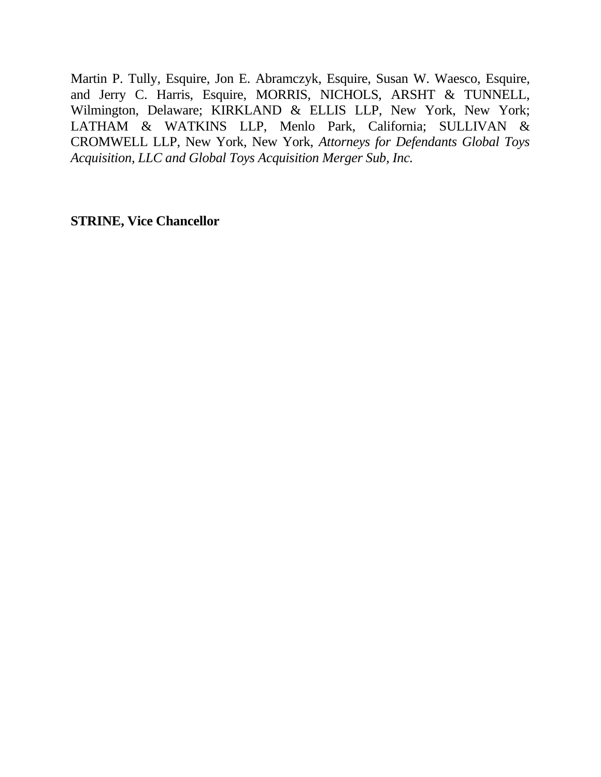Martin P. Tully, Esquire, Jon E. Abramczyk, Esquire, Susan W. Waesco, Esquire, and Jerry C. Harris, Esquire, MORRIS, NICHOLS, ARSHT & TUNNELL, Wilmington, Delaware; KIRKLAND & ELLIS LLP, New York, New York; LATHAM & WATKINS LLP, Menlo Park, California; SULLIVAN & CROMWELL LLP, New York, New York, *Attorneys for Defendants Global Toys Acquisition, LLC and Global Toys Acquisition Merger Sub, Inc.* 

**STRINE, Vice Chancellor**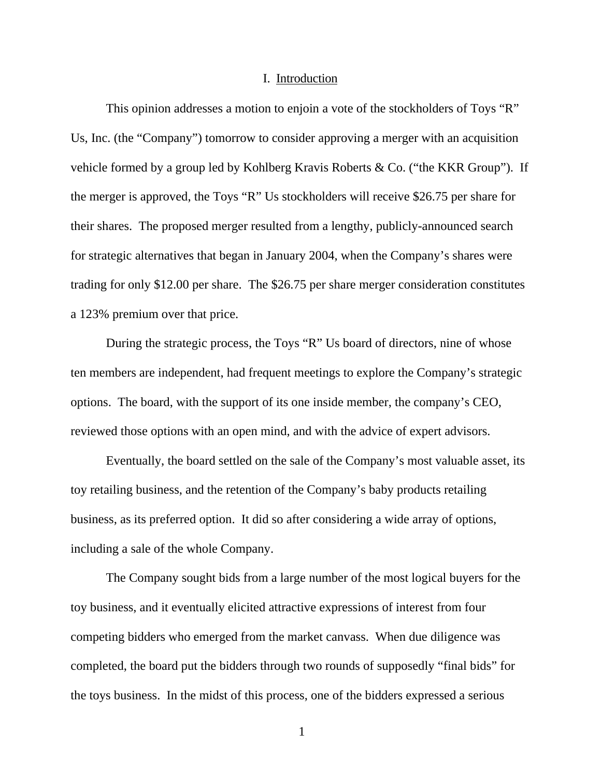#### I. Introduction

This opinion addresses a motion to enjoin a vote of the stockholders of Toys "R" Us, Inc. (the "Company") tomorrow to consider approving a merger with an acquisition vehicle formed by a group led by Kohlberg Kravis Roberts & Co. ("the KKR Group"). If the merger is approved, the Toys "R" Us stockholders will receive \$26.75 per share for their shares. The proposed merger resulted from a lengthy, publicly-announced search for strategic alternatives that began in January 2004, when the Company's shares were trading for only \$12.00 per share. The \$26.75 per share merger consideration constitutes a 123% premium over that price.

During the strategic process, the Toys "R" Us board of directors, nine of whose ten members are independent, had frequent meetings to explore the Company's strategic options. The board, with the support of its one inside member, the company's CEO, reviewed those options with an open mind, and with the advice of expert advisors.

Eventually, the board settled on the sale of the Company's most valuable asset, its toy retailing business, and the retention of the Company's baby products retailing business, as its preferred option. It did so after considering a wide array of options, including a sale of the whole Company.

The Company sought bids from a large number of the most logical buyers for the toy business, and it eventually elicited attractive expressions of interest from four competing bidders who emerged from the market canvass. When due diligence was completed, the board put the bidders through two rounds of supposedly "final bids" for the toys business. In the midst of this process, one of the bidders expressed a serious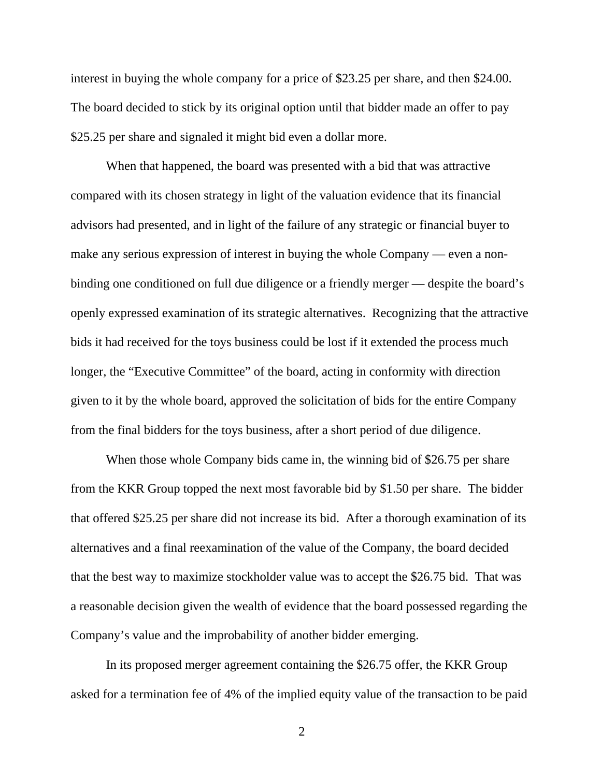interest in buying the whole company for a price of \$23.25 per share, and then \$24.00. The board decided to stick by its original option until that bidder made an offer to pay \$25.25 per share and signaled it might bid even a dollar more.

When that happened, the board was presented with a bid that was attractive compared with its chosen strategy in light of the valuation evidence that its financial advisors had presented, and in light of the failure of any strategic or financial buyer to make any serious expression of interest in buying the whole Company — even a nonbinding one conditioned on full due diligence or a friendly merger — despite the board's openly expressed examination of its strategic alternatives. Recognizing that the attractive bids it had received for the toys business could be lost if it extended the process much longer, the "Executive Committee" of the board, acting in conformity with direction given to it by the whole board, approved the solicitation of bids for the entire Company from the final bidders for the toys business, after a short period of due diligence.

When those whole Company bids came in, the winning bid of \$26.75 per share from the KKR Group topped the next most favorable bid by \$1.50 per share. The bidder that offered \$25.25 per share did not increase its bid. After a thorough examination of its alternatives and a final reexamination of the value of the Company, the board decided that the best way to maximize stockholder value was to accept the \$26.75 bid. That was a reasonable decision given the wealth of evidence that the board possessed regarding the Company's value and the improbability of another bidder emerging.

In its proposed merger agreement containing the \$26.75 offer, the KKR Group asked for a termination fee of 4% of the implied equity value of the transaction to be paid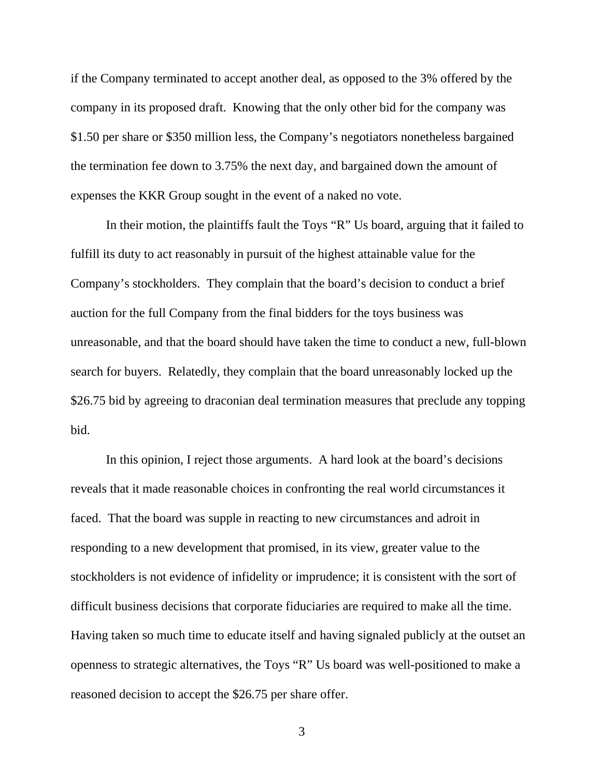if the Company terminated to accept another deal, as opposed to the 3% offered by the company in its proposed draft. Knowing that the only other bid for the company was \$1.50 per share or \$350 million less, the Company's negotiators nonetheless bargained the termination fee down to 3.75% the next day, and bargained down the amount of expenses the KKR Group sought in the event of a naked no vote.

In their motion, the plaintiffs fault the Toys "R" Us board, arguing that it failed to fulfill its duty to act reasonably in pursuit of the highest attainable value for the Company's stockholders. They complain that the board's decision to conduct a brief auction for the full Company from the final bidders for the toys business was unreasonable, and that the board should have taken the time to conduct a new, full-blown search for buyers. Relatedly, they complain that the board unreasonably locked up the \$26.75 bid by agreeing to draconian deal termination measures that preclude any topping bid.

In this opinion, I reject those arguments. A hard look at the board's decisions reveals that it made reasonable choices in confronting the real world circumstances it faced. That the board was supple in reacting to new circumstances and adroit in responding to a new development that promised, in its view, greater value to the stockholders is not evidence of infidelity or imprudence; it is consistent with the sort of difficult business decisions that corporate fiduciaries are required to make all the time. Having taken so much time to educate itself and having signaled publicly at the outset an openness to strategic alternatives, the Toys "R" Us board was well-positioned to make a reasoned decision to accept the \$26.75 per share offer.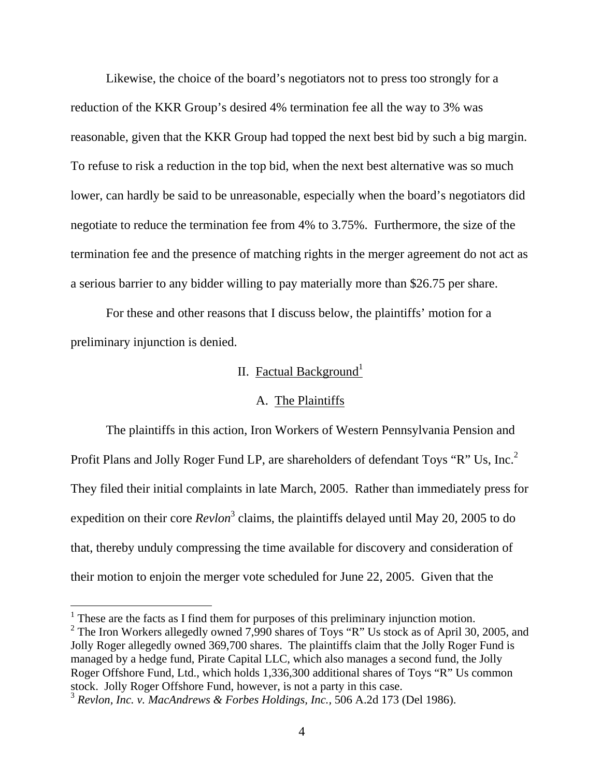Likewise, the choice of the board's negotiators not to press too strongly for a reduction of the KKR Group's desired 4% termination fee all the way to 3% was reasonable, given that the KKR Group had topped the next best bid by such a big margin. To refuse to risk a reduction in the top bid, when the next best alternative was so much lower, can hardly be said to be unreasonable, especially when the board's negotiators did negotiate to reduce the termination fee from 4% to 3.75%. Furthermore, the size of the termination fee and the presence of matching rights in the merger agreement do not act as a serious barrier to any bidder willing to pay materially more than \$26.75 per share.

For these and other reasons that I discuss below, the plaintiffs' motion for a preliminary injunction is denied.

# II. Factual Background<sup>1</sup>

### A. The Plaintiffs

 The plaintiffs in this action, Iron Workers of Western Pennsylvania Pension and Profit Plans and Jolly Roger Fund LP, are shareholders of defendant Toys "R" Us, Inc.<sup>2</sup> They filed their initial complaints in late March, 2005. Rather than immediately press for expedition on their core *Revlon*<sup>3</sup> claims, the plaintiffs delayed until May 20, 2005 to do that, thereby unduly compressing the time available for discovery and consideration of their motion to enjoin the merger vote scheduled for June 22, 2005. Given that the

 $\overline{a}$ 

<sup>2</sup> The Iron Workers allegedly owned 7,990 shares of Toys "R" Us stock as of April 30, 2005, and Jolly Roger allegedly owned 369,700 shares. The plaintiffs claim that the Jolly Roger Fund is managed by a hedge fund, Pirate Capital LLC, which also manages a second fund, the Jolly Roger Offshore Fund, Ltd., which holds 1,336,300 additional shares of Toys "R" Us common stock. Jolly Roger Offshore Fund, however, is not a party in this case.

 $<sup>1</sup>$  These are the facts as I find them for purposes of this preliminary injunction motion.</sup>

<sup>3</sup> *Revlon, Inc. v. MacAndrews & Forbes Holdings, Inc.,* 506 A.2d 173 (Del 1986).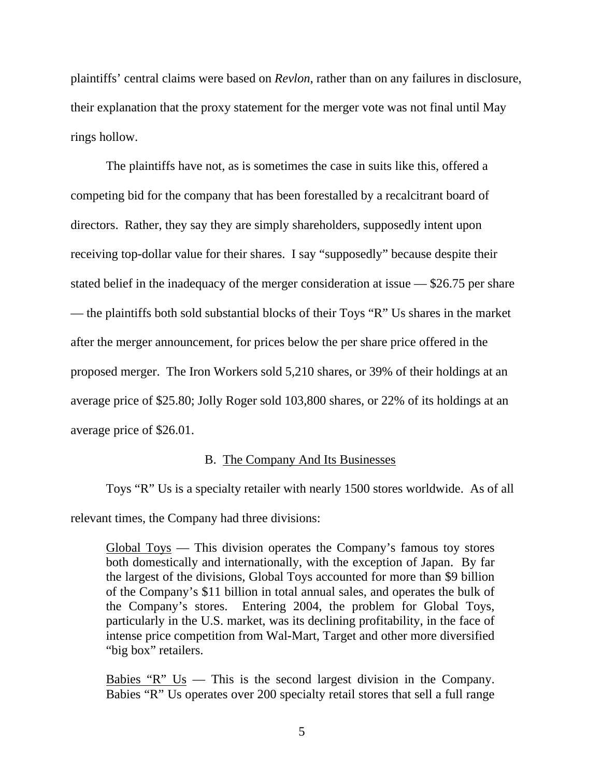plaintiffs' central claims were based on *Revlon*, rather than on any failures in disclosure, their explanation that the proxy statement for the merger vote was not final until May rings hollow.

 The plaintiffs have not, as is sometimes the case in suits like this, offered a competing bid for the company that has been forestalled by a recalcitrant board of directors. Rather, they say they are simply shareholders, supposedly intent upon receiving top-dollar value for their shares. I say "supposedly" because despite their stated belief in the inadequacy of the merger consideration at issue — \$26.75 per share — the plaintiffs both sold substantial blocks of their Toys "R" Us shares in the market after the merger announcement, for prices below the per share price offered in the proposed merger. The Iron Workers sold 5,210 shares, or 39% of their holdings at an average price of \$25.80; Jolly Roger sold 103,800 shares, or 22% of its holdings at an average price of \$26.01.

### B. The Company And Its Businesses

Toys "R" Us is a specialty retailer with nearly 1500 stores worldwide. As of all relevant times, the Company had three divisions:

Global Toys — This division operates the Company's famous toy stores both domestically and internationally, with the exception of Japan. By far the largest of the divisions, Global Toys accounted for more than \$9 billion of the Company's \$11 billion in total annual sales, and operates the bulk of the Company's stores. Entering 2004, the problem for Global Toys, particularly in the U.S. market, was its declining profitability, in the face of intense price competition from Wal-Mart, Target and other more diversified "big box" retailers.

Babies  $"R"$  Us — This is the second largest division in the Company. Babies "R" Us operates over 200 specialty retail stores that sell a full range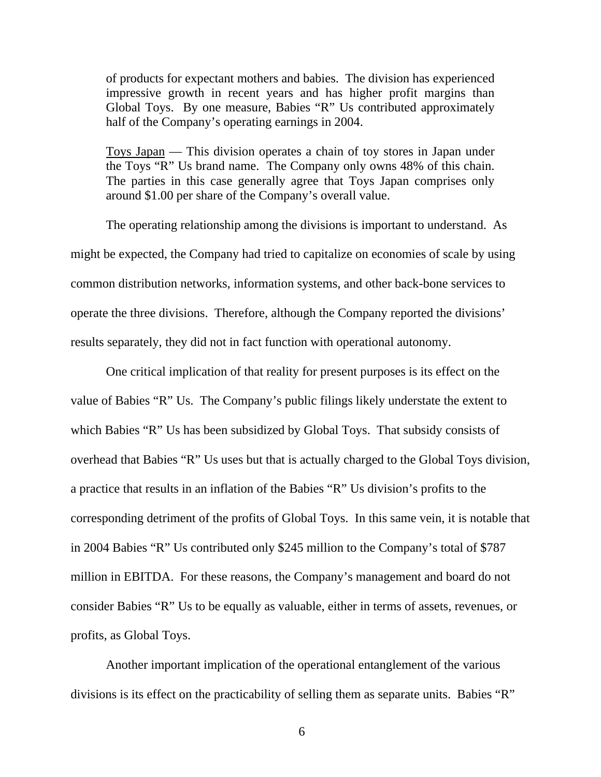of products for expectant mothers and babies. The division has experienced impressive growth in recent years and has higher profit margins than Global Toys. By one measure, Babies "R" Us contributed approximately half of the Company's operating earnings in 2004.

Toys Japan — This division operates a chain of toy stores in Japan under the Toys "R" Us brand name. The Company only owns 48% of this chain. The parties in this case generally agree that Toys Japan comprises only around \$1.00 per share of the Company's overall value.

The operating relationship among the divisions is important to understand. As might be expected, the Company had tried to capitalize on economies of scale by using common distribution networks, information systems, and other back-bone services to operate the three divisions. Therefore, although the Company reported the divisions' results separately, they did not in fact function with operational autonomy.

One critical implication of that reality for present purposes is its effect on the value of Babies "R" Us. The Company's public filings likely understate the extent to which Babies "R" Us has been subsidized by Global Toys. That subsidy consists of overhead that Babies "R" Us uses but that is actually charged to the Global Toys division, a practice that results in an inflation of the Babies "R" Us division's profits to the corresponding detriment of the profits of Global Toys. In this same vein, it is notable that in 2004 Babies "R" Us contributed only \$245 million to the Company's total of \$787 million in EBITDA. For these reasons, the Company's management and board do not consider Babies "R" Us to be equally as valuable, either in terms of assets, revenues, or profits, as Global Toys.

Another important implication of the operational entanglement of the various divisions is its effect on the practicability of selling them as separate units. Babies "R"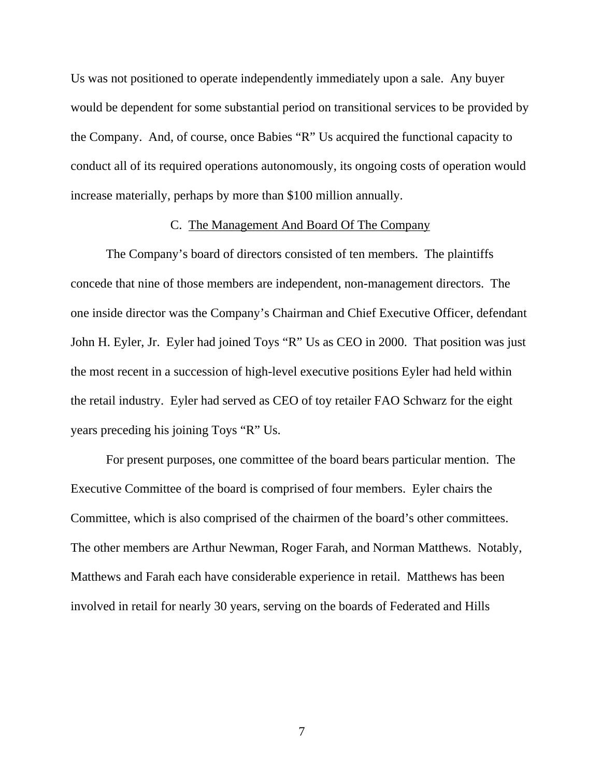Us was not positioned to operate independently immediately upon a sale. Any buyer would be dependent for some substantial period on transitional services to be provided by the Company. And, of course, once Babies "R" Us acquired the functional capacity to conduct all of its required operations autonomously, its ongoing costs of operation would increase materially, perhaps by more than \$100 million annually.

#### C. The Management And Board Of The Company

The Company's board of directors consisted of ten members. The plaintiffs concede that nine of those members are independent, non-management directors. The one inside director was the Company's Chairman and Chief Executive Officer, defendant John H. Eyler, Jr. Eyler had joined Toys "R" Us as CEO in 2000. That position was just the most recent in a succession of high-level executive positions Eyler had held within the retail industry. Eyler had served as CEO of toy retailer FAO Schwarz for the eight years preceding his joining Toys "R" Us.

For present purposes, one committee of the board bears particular mention. The Executive Committee of the board is comprised of four members. Eyler chairs the Committee, which is also comprised of the chairmen of the board's other committees. The other members are Arthur Newman, Roger Farah, and Norman Matthews. Notably, Matthews and Farah each have considerable experience in retail. Matthews has been involved in retail for nearly 30 years, serving on the boards of Federated and Hills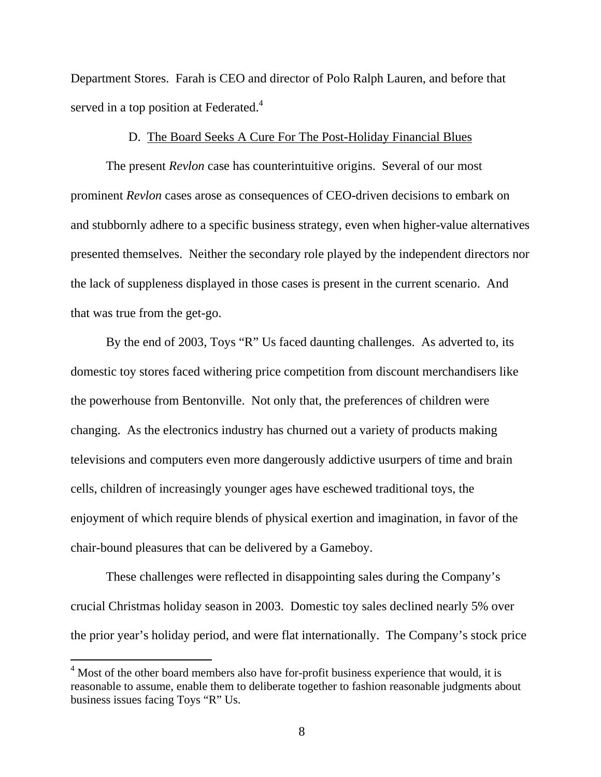Department Stores. Farah is CEO and director of Polo Ralph Lauren, and before that served in a top position at Federated.<sup>4</sup>

### D. The Board Seeks A Cure For The Post-Holiday Financial Blues

The present *Revlon* case has counterintuitive origins. Several of our most prominent *Revlon* cases arose as consequences of CEO-driven decisions to embark on and stubbornly adhere to a specific business strategy, even when higher-value alternatives presented themselves. Neither the secondary role played by the independent directors nor the lack of suppleness displayed in those cases is present in the current scenario. And that was true from the get-go.

By the end of 2003, Toys "R" Us faced daunting challenges. As adverted to, its domestic toy stores faced withering price competition from discount merchandisers like the powerhouse from Bentonville. Not only that, the preferences of children were changing. As the electronics industry has churned out a variety of products making televisions and computers even more dangerously addictive usurpers of time and brain cells, children of increasingly younger ages have eschewed traditional toys, the enjoyment of which require blends of physical exertion and imagination, in favor of the chair-bound pleasures that can be delivered by a Gameboy.

These challenges were reflected in disappointing sales during the Company's crucial Christmas holiday season in 2003. Domestic toy sales declined nearly 5% over the prior year's holiday period, and were flat internationally. The Company's stock price

 $4$  Most of the other board members also have for-profit business experience that would, it is reasonable to assume, enable them to deliberate together to fashion reasonable judgments about business issues facing Toys "R" Us.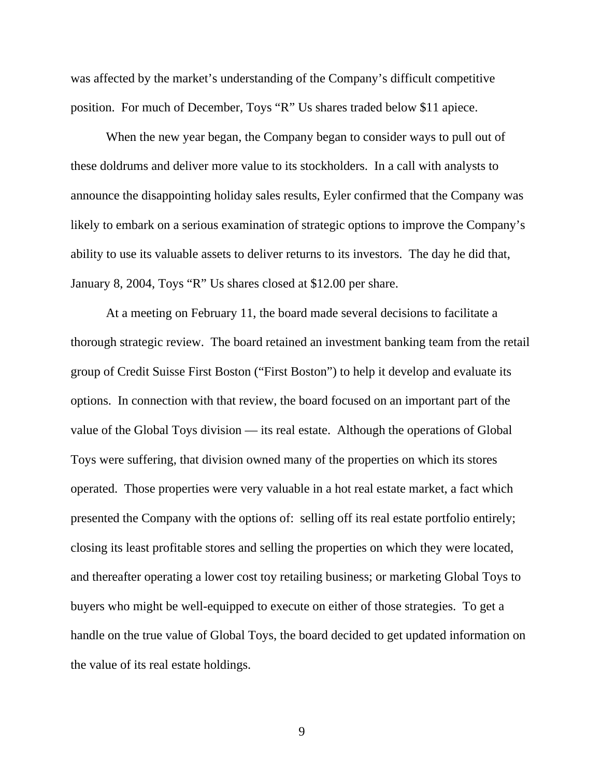was affected by the market's understanding of the Company's difficult competitive position. For much of December, Toys "R" Us shares traded below \$11 apiece.

When the new year began, the Company began to consider ways to pull out of these doldrums and deliver more value to its stockholders. In a call with analysts to announce the disappointing holiday sales results, Eyler confirmed that the Company was likely to embark on a serious examination of strategic options to improve the Company's ability to use its valuable assets to deliver returns to its investors. The day he did that, January 8, 2004, Toys "R" Us shares closed at \$12.00 per share.

At a meeting on February 11, the board made several decisions to facilitate a thorough strategic review. The board retained an investment banking team from the retail group of Credit Suisse First Boston ("First Boston") to help it develop and evaluate its options. In connection with that review, the board focused on an important part of the value of the Global Toys division — its real estate. Although the operations of Global Toys were suffering, that division owned many of the properties on which its stores operated. Those properties were very valuable in a hot real estate market, a fact which presented the Company with the options of: selling off its real estate portfolio entirely; closing its least profitable stores and selling the properties on which they were located, and thereafter operating a lower cost toy retailing business; or marketing Global Toys to buyers who might be well-equipped to execute on either of those strategies. To get a handle on the true value of Global Toys, the board decided to get updated information on the value of its real estate holdings.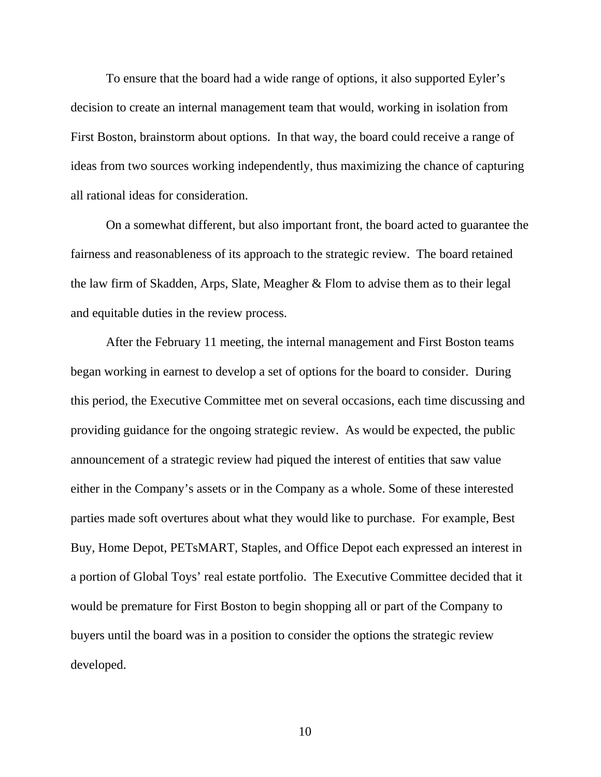To ensure that the board had a wide range of options, it also supported Eyler's decision to create an internal management team that would, working in isolation from First Boston, brainstorm about options. In that way, the board could receive a range of ideas from two sources working independently, thus maximizing the chance of capturing all rational ideas for consideration.

On a somewhat different, but also important front, the board acted to guarantee the fairness and reasonableness of its approach to the strategic review. The board retained the law firm of Skadden, Arps, Slate, Meagher & Flom to advise them as to their legal and equitable duties in the review process.

After the February 11 meeting, the internal management and First Boston teams began working in earnest to develop a set of options for the board to consider. During this period, the Executive Committee met on several occasions, each time discussing and providing guidance for the ongoing strategic review. As would be expected, the public announcement of a strategic review had piqued the interest of entities that saw value either in the Company's assets or in the Company as a whole. Some of these interested parties made soft overtures about what they would like to purchase. For example, Best Buy, Home Depot, PETsMART, Staples, and Office Depot each expressed an interest in a portion of Global Toys' real estate portfolio. The Executive Committee decided that it would be premature for First Boston to begin shopping all or part of the Company to buyers until the board was in a position to consider the options the strategic review developed.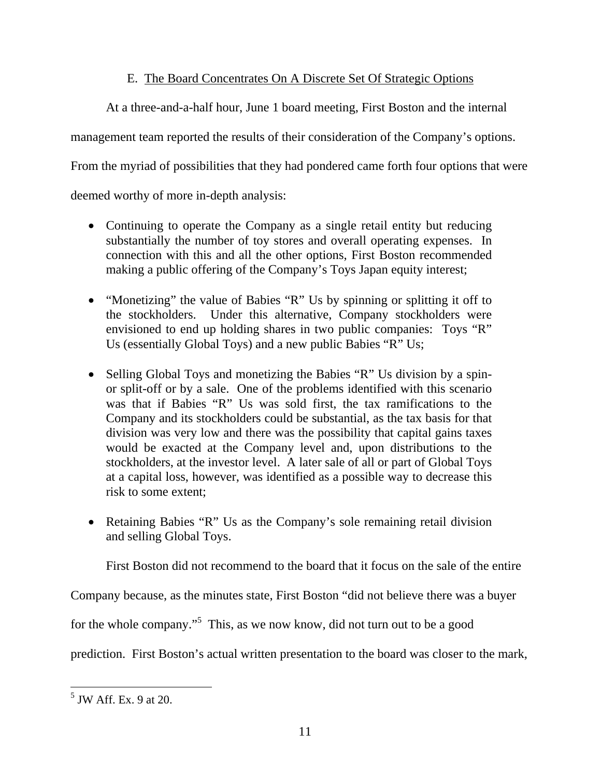# E. The Board Concentrates On A Discrete Set Of Strategic Options

At a three-and-a-half hour, June 1 board meeting, First Boston and the internal

management team reported the results of their consideration of the Company's options.

From the myriad of possibilities that they had pondered came forth four options that were

deemed worthy of more in-depth analysis:

- Continuing to operate the Company as a single retail entity but reducing substantially the number of toy stores and overall operating expenses. In connection with this and all the other options, First Boston recommended making a public offering of the Company's Toys Japan equity interest;
- "Monetizing" the value of Babies "R" Us by spinning or splitting it off to the stockholders. Under this alternative, Company stockholders were envisioned to end up holding shares in two public companies: Toys "R" Us (essentially Global Toys) and a new public Babies "R" Us;
- Selling Global Toys and monetizing the Babies "R" Us division by a spinor split-off or by a sale. One of the problems identified with this scenario was that if Babies "R" Us was sold first, the tax ramifications to the Company and its stockholders could be substantial, as the tax basis for that division was very low and there was the possibility that capital gains taxes would be exacted at the Company level and, upon distributions to the stockholders, at the investor level. A later sale of all or part of Global Toys at a capital loss, however, was identified as a possible way to decrease this risk to some extent;
- Retaining Babies "R" Us as the Company's sole remaining retail division and selling Global Toys.

First Boston did not recommend to the board that it focus on the sale of the entire

Company because, as the minutes state, First Boston "did not believe there was a buyer

for the whole company."<sup>5</sup> This, as we now know, did not turn out to be a good

prediction. First Boston's actual written presentation to the board was closer to the mark,

 $\overline{a}$ 5 JW Aff. Ex. 9 at 20.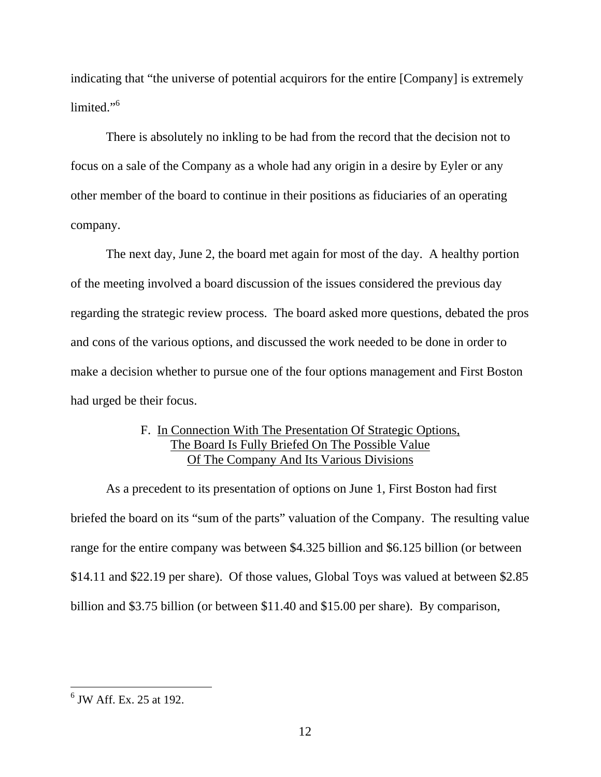indicating that "the universe of potential acquirors for the entire [Company] is extremely limited."<sup>6</sup>

 There is absolutely no inkling to be had from the record that the decision not to focus on a sale of the Company as a whole had any origin in a desire by Eyler or any other member of the board to continue in their positions as fiduciaries of an operating company.

 The next day, June 2, the board met again for most of the day. A healthy portion of the meeting involved a board discussion of the issues considered the previous day regarding the strategic review process. The board asked more questions, debated the pros and cons of the various options, and discussed the work needed to be done in order to make a decision whether to pursue one of the four options management and First Boston had urged be their focus.

## F. In Connection With The Presentation Of Strategic Options, The Board Is Fully Briefed On The Possible Value Of The Company And Its Various Divisions

 As a precedent to its presentation of options on June 1, First Boston had first briefed the board on its "sum of the parts" valuation of the Company. The resulting value range for the entire company was between \$4.325 billion and \$6.125 billion (or between \$14.11 and \$22.19 per share). Of those values, Global Toys was valued at between \$2.85 billion and \$3.75 billion (or between \$11.40 and \$15.00 per share). By comparison,

 $<sup>6</sup>$  JW Aff. Ex. 25 at 192.</sup>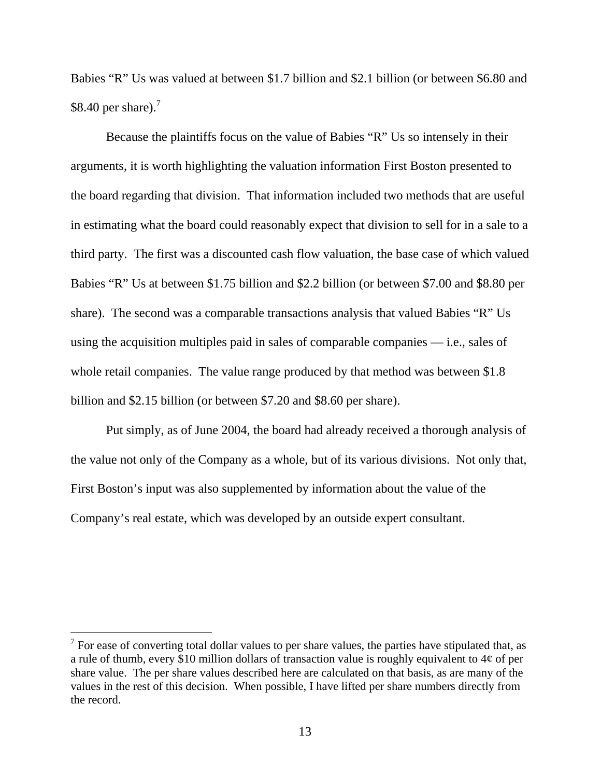Babies "R" Us was valued at between \$1.7 billion and \$2.1 billion (or between \$6.80 and \$8.40 per share). $<sup>7</sup>$ </sup>

Because the plaintiffs focus on the value of Babies "R" Us so intensely in their arguments, it is worth highlighting the valuation information First Boston presented to the board regarding that division. That information included two methods that are useful in estimating what the board could reasonably expect that division to sell for in a sale to a third party. The first was a discounted cash flow valuation, the base case of which valued Babies "R" Us at between \$1.75 billion and \$2.2 billion (or between \$7.00 and \$8.80 per share). The second was a comparable transactions analysis that valued Babies "R" Us using the acquisition multiples paid in sales of comparable companies — i.e., sales of whole retail companies. The value range produced by that method was between \$1.8 billion and \$2.15 billion (or between \$7.20 and \$8.60 per share).

 Put simply, as of June 2004, the board had already received a thorough analysis of the value not only of the Company as a whole, but of its various divisions. Not only that, First Boston's input was also supplemented by information about the value of the Company's real estate, which was developed by an outside expert consultant.

 $<sup>7</sup>$  For ease of converting total dollar values to per share values, the parties have stipulated that, as</sup> a rule of thumb, every \$10 million dollars of transaction value is roughly equivalent to 4¢ of per share value. The per share values described here are calculated on that basis, as are many of the values in the rest of this decision. When possible, I have lifted per share numbers directly from the record.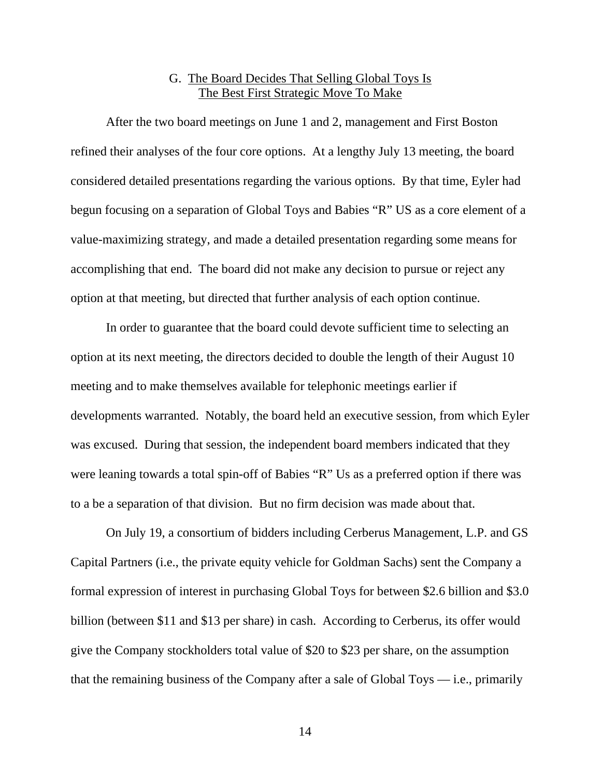## G. The Board Decides That Selling Global Toys Is The Best First Strategic Move To Make

 After the two board meetings on June 1 and 2, management and First Boston refined their analyses of the four core options. At a lengthy July 13 meeting, the board considered detailed presentations regarding the various options. By that time, Eyler had begun focusing on a separation of Global Toys and Babies "R" US as a core element of a value-maximizing strategy, and made a detailed presentation regarding some means for accomplishing that end. The board did not make any decision to pursue or reject any option at that meeting, but directed that further analysis of each option continue.

 In order to guarantee that the board could devote sufficient time to selecting an option at its next meeting, the directors decided to double the length of their August 10 meeting and to make themselves available for telephonic meetings earlier if developments warranted. Notably, the board held an executive session, from which Eyler was excused. During that session, the independent board members indicated that they were leaning towards a total spin-off of Babies "R" Us as a preferred option if there was to a be a separation of that division. But no firm decision was made about that.

 On July 19, a consortium of bidders including Cerberus Management, L.P. and GS Capital Partners (i.e., the private equity vehicle for Goldman Sachs) sent the Company a formal expression of interest in purchasing Global Toys for between \$2.6 billion and \$3.0 billion (between \$11 and \$13 per share) in cash. According to Cerberus, its offer would give the Company stockholders total value of \$20 to \$23 per share, on the assumption that the remaining business of the Company after a sale of Global Toys — i.e., primarily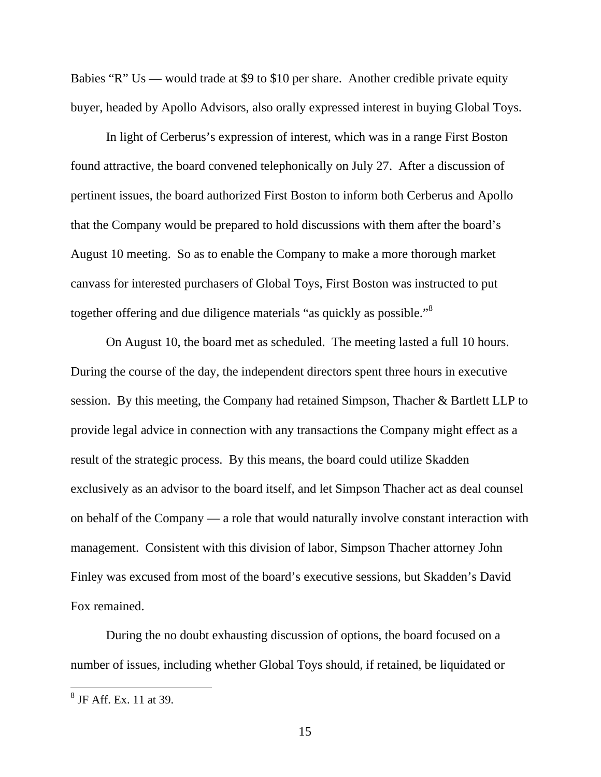Babies "R" Us — would trade at \$9 to \$10 per share. Another credible private equity buyer, headed by Apollo Advisors, also orally expressed interest in buying Global Toys.

 In light of Cerberus's expression of interest, which was in a range First Boston found attractive, the board convened telephonically on July 27. After a discussion of pertinent issues, the board authorized First Boston to inform both Cerberus and Apollo that the Company would be prepared to hold discussions with them after the board's August 10 meeting. So as to enable the Company to make a more thorough market canvass for interested purchasers of Global Toys, First Boston was instructed to put together offering and due diligence materials "as quickly as possible."<sup>8</sup>

 On August 10, the board met as scheduled. The meeting lasted a full 10 hours. During the course of the day, the independent directors spent three hours in executive session. By this meeting, the Company had retained Simpson, Thacher & Bartlett LLP to provide legal advice in connection with any transactions the Company might effect as a result of the strategic process. By this means, the board could utilize Skadden exclusively as an advisor to the board itself, and let Simpson Thacher act as deal counsel on behalf of the Company — a role that would naturally involve constant interaction with management. Consistent with this division of labor, Simpson Thacher attorney John Finley was excused from most of the board's executive sessions, but Skadden's David Fox remained.

 During the no doubt exhausting discussion of options, the board focused on a number of issues, including whether Global Toys should, if retained, be liquidated or

 8 JF Aff. Ex. 11 at 39.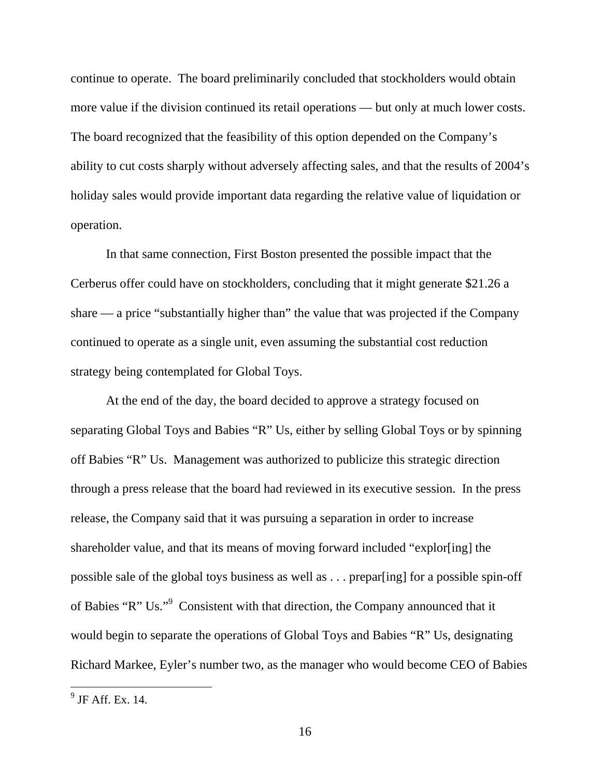continue to operate. The board preliminarily concluded that stockholders would obtain more value if the division continued its retail operations — but only at much lower costs. The board recognized that the feasibility of this option depended on the Company's ability to cut costs sharply without adversely affecting sales, and that the results of 2004's holiday sales would provide important data regarding the relative value of liquidation or operation.

 In that same connection, First Boston presented the possible impact that the Cerberus offer could have on stockholders, concluding that it might generate \$21.26 a share — a price "substantially higher than" the value that was projected if the Company continued to operate as a single unit, even assuming the substantial cost reduction strategy being contemplated for Global Toys.

 At the end of the day, the board decided to approve a strategy focused on separating Global Toys and Babies "R" Us, either by selling Global Toys or by spinning off Babies "R" Us. Management was authorized to publicize this strategic direction through a press release that the board had reviewed in its executive session. In the press release, the Company said that it was pursuing a separation in order to increase shareholder value, and that its means of moving forward included "explor[ing] the possible sale of the global toys business as well as . . . prepar[ing] for a possible spin-off of Babies "R" Us."<sup>9</sup> Consistent with that direction, the Company announced that it would begin to separate the operations of Global Toys and Babies "R" Us, designating Richard Markee, Eyler's number two, as the manager who would become CEO of Babies

 $\frac{1}{9}$  JF Aff. Ex. 14.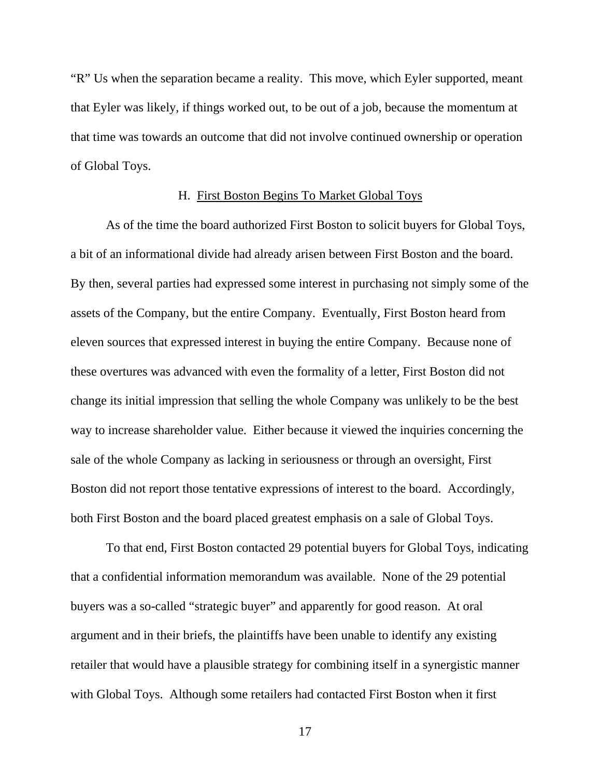"R" Us when the separation became a reality. This move, which Eyler supported, meant that Eyler was likely, if things worked out, to be out of a job, because the momentum at that time was towards an outcome that did not involve continued ownership or operation of Global Toys.

#### H. First Boston Begins To Market Global Toys

 As of the time the board authorized First Boston to solicit buyers for Global Toys, a bit of an informational divide had already arisen between First Boston and the board. By then, several parties had expressed some interest in purchasing not simply some of the assets of the Company, but the entire Company. Eventually, First Boston heard from eleven sources that expressed interest in buying the entire Company. Because none of these overtures was advanced with even the formality of a letter, First Boston did not change its initial impression that selling the whole Company was unlikely to be the best way to increase shareholder value. Either because it viewed the inquiries concerning the sale of the whole Company as lacking in seriousness or through an oversight, First Boston did not report those tentative expressions of interest to the board. Accordingly, both First Boston and the board placed greatest emphasis on a sale of Global Toys.

To that end, First Boston contacted 29 potential buyers for Global Toys, indicating that a confidential information memorandum was available. None of the 29 potential buyers was a so-called "strategic buyer" and apparently for good reason. At oral argument and in their briefs, the plaintiffs have been unable to identify any existing retailer that would have a plausible strategy for combining itself in a synergistic manner with Global Toys. Although some retailers had contacted First Boston when it first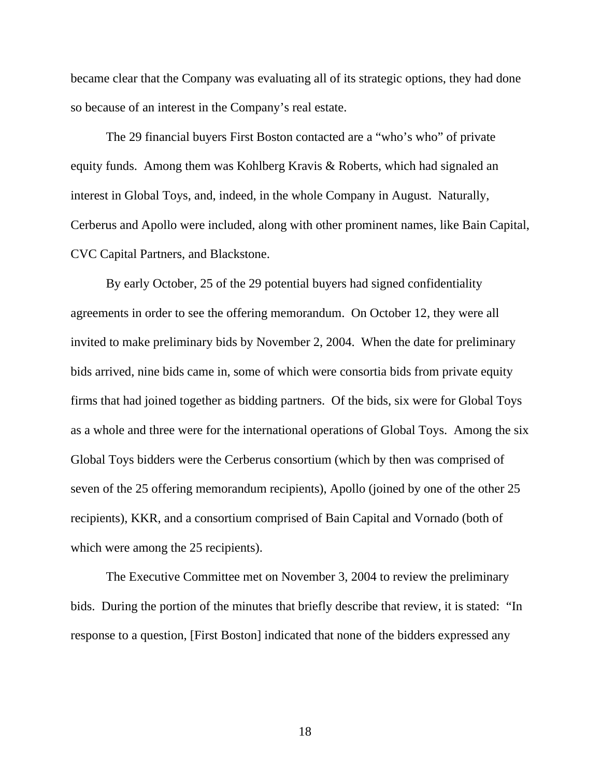became clear that the Company was evaluating all of its strategic options, they had done so because of an interest in the Company's real estate.

 The 29 financial buyers First Boston contacted are a "who's who" of private equity funds. Among them was Kohlberg Kravis & Roberts, which had signaled an interest in Global Toys, and, indeed, in the whole Company in August. Naturally, Cerberus and Apollo were included, along with other prominent names, like Bain Capital, CVC Capital Partners, and Blackstone.

 By early October, 25 of the 29 potential buyers had signed confidentiality agreements in order to see the offering memorandum. On October 12, they were all invited to make preliminary bids by November 2, 2004. When the date for preliminary bids arrived, nine bids came in, some of which were consortia bids from private equity firms that had joined together as bidding partners. Of the bids, six were for Global Toys as a whole and three were for the international operations of Global Toys. Among the six Global Toys bidders were the Cerberus consortium (which by then was comprised of seven of the 25 offering memorandum recipients), Apollo (joined by one of the other 25 recipients), KKR, and a consortium comprised of Bain Capital and Vornado (both of which were among the 25 recipients).

 The Executive Committee met on November 3, 2004 to review the preliminary bids. During the portion of the minutes that briefly describe that review, it is stated: "In response to a question, [First Boston] indicated that none of the bidders expressed any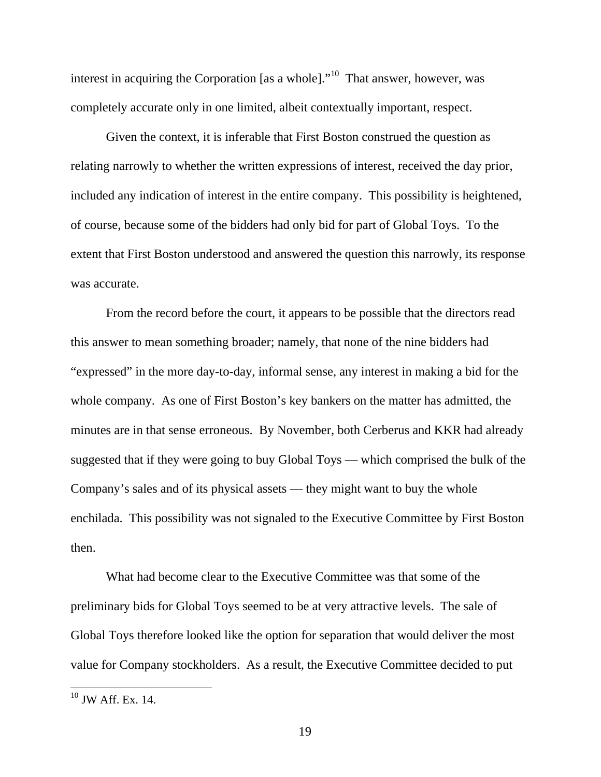interest in acquiring the Corporation [as a whole]. $10^1$  That answer, however, was completely accurate only in one limited, albeit contextually important, respect.

 Given the context, it is inferable that First Boston construed the question as relating narrowly to whether the written expressions of interest, received the day prior, included any indication of interest in the entire company. This possibility is heightened, of course, because some of the bidders had only bid for part of Global Toys. To the extent that First Boston understood and answered the question this narrowly, its response was accurate.

 From the record before the court, it appears to be possible that the directors read this answer to mean something broader; namely, that none of the nine bidders had "expressed" in the more day-to-day, informal sense, any interest in making a bid for the whole company. As one of First Boston's key bankers on the matter has admitted, the minutes are in that sense erroneous. By November, both Cerberus and KKR had already suggested that if they were going to buy Global Toys — which comprised the bulk of the Company's sales and of its physical assets — they might want to buy the whole enchilada. This possibility was not signaled to the Executive Committee by First Boston then.

 What had become clear to the Executive Committee was that some of the preliminary bids for Global Toys seemed to be at very attractive levels. The sale of Global Toys therefore looked like the option for separation that would deliver the most value for Company stockholders. As a result, the Executive Committee decided to put

 $10$  JW Aff. Ex. 14.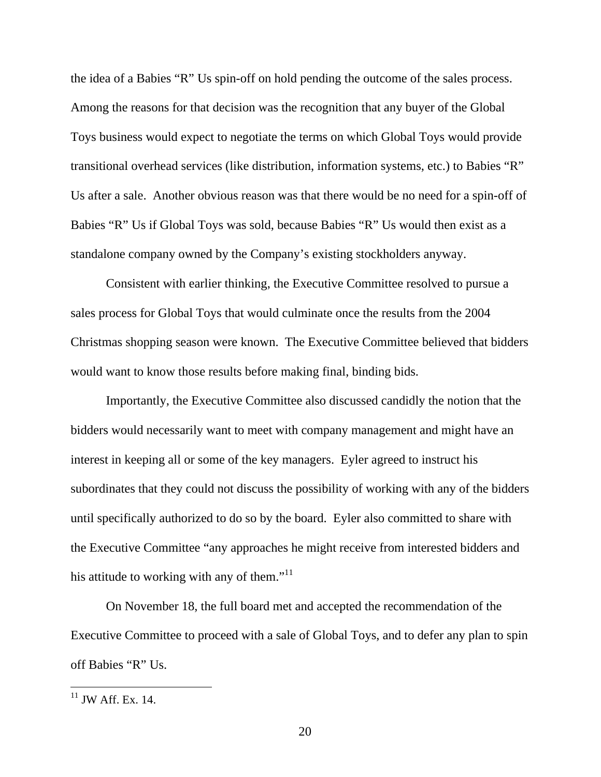the idea of a Babies "R" Us spin-off on hold pending the outcome of the sales process. Among the reasons for that decision was the recognition that any buyer of the Global Toys business would expect to negotiate the terms on which Global Toys would provide transitional overhead services (like distribution, information systems, etc.) to Babies "R" Us after a sale. Another obvious reason was that there would be no need for a spin-off of Babies "R" Us if Global Toys was sold, because Babies "R" Us would then exist as a standalone company owned by the Company's existing stockholders anyway.

 Consistent with earlier thinking, the Executive Committee resolved to pursue a sales process for Global Toys that would culminate once the results from the 2004 Christmas shopping season were known. The Executive Committee believed that bidders would want to know those results before making final, binding bids.

 Importantly, the Executive Committee also discussed candidly the notion that the bidders would necessarily want to meet with company management and might have an interest in keeping all or some of the key managers. Eyler agreed to instruct his subordinates that they could not discuss the possibility of working with any of the bidders until specifically authorized to do so by the board. Eyler also committed to share with the Executive Committee "any approaches he might receive from interested bidders and his attitude to working with any of them."<sup>11</sup>

 On November 18, the full board met and accepted the recommendation of the Executive Committee to proceed with a sale of Global Toys, and to defer any plan to spin off Babies "R" Us.

 $11$  JW Aff. Ex. 14.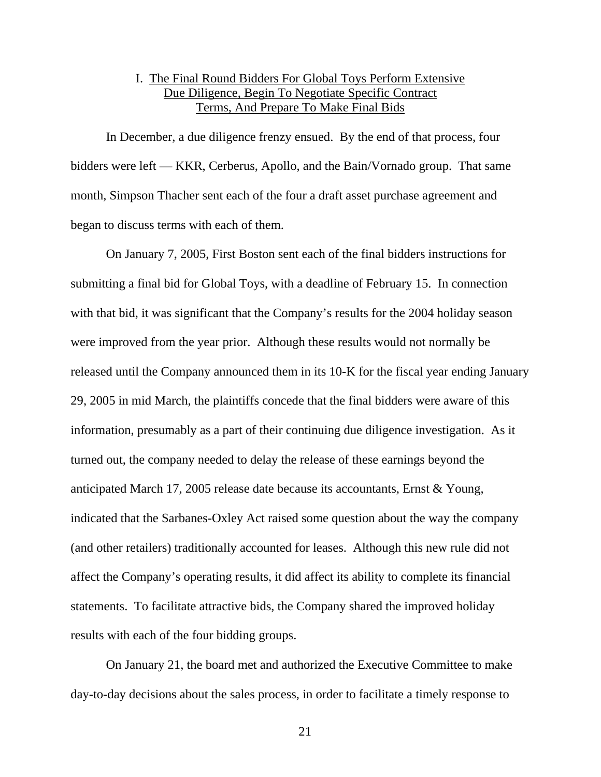## I. The Final Round Bidders For Global Toys Perform Extensive Due Diligence, Begin To Negotiate Specific Contract Terms, And Prepare To Make Final Bids

 In December, a due diligence frenzy ensued. By the end of that process, four bidders were left — KKR, Cerberus, Apollo, and the Bain/Vornado group. That same month, Simpson Thacher sent each of the four a draft asset purchase agreement and began to discuss terms with each of them.

 On January 7, 2005, First Boston sent each of the final bidders instructions for submitting a final bid for Global Toys, with a deadline of February 15. In connection with that bid, it was significant that the Company's results for the 2004 holiday season were improved from the year prior. Although these results would not normally be released until the Company announced them in its 10-K for the fiscal year ending January 29, 2005 in mid March, the plaintiffs concede that the final bidders were aware of this information, presumably as a part of their continuing due diligence investigation. As it turned out, the company needed to delay the release of these earnings beyond the anticipated March 17, 2005 release date because its accountants, Ernst & Young, indicated that the Sarbanes-Oxley Act raised some question about the way the company (and other retailers) traditionally accounted for leases. Although this new rule did not affect the Company's operating results, it did affect its ability to complete its financial statements. To facilitate attractive bids, the Company shared the improved holiday results with each of the four bidding groups.

 On January 21, the board met and authorized the Executive Committee to make day-to-day decisions about the sales process, in order to facilitate a timely response to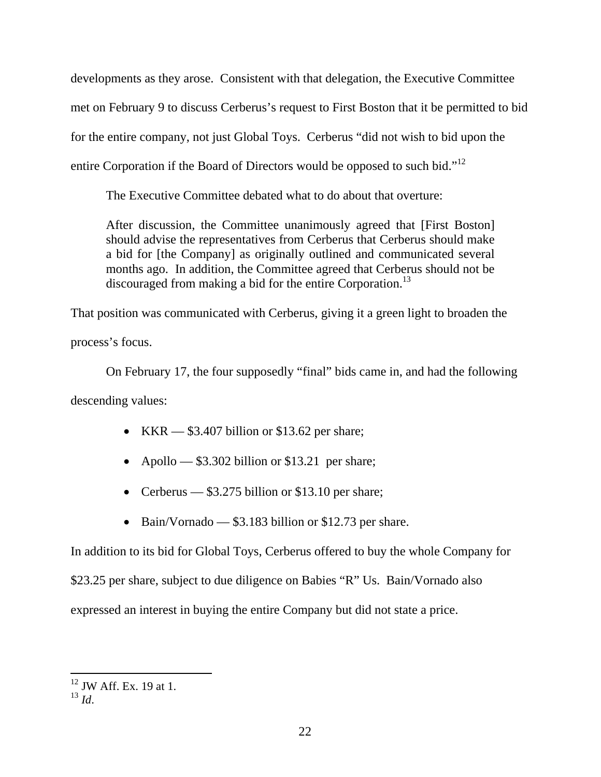developments as they arose. Consistent with that delegation, the Executive Committee met on February 9 to discuss Cerberus's request to First Boston that it be permitted to bid for the entire company, not just Global Toys. Cerberus "did not wish to bid upon the entire Corporation if the Board of Directors would be opposed to such bid."<sup>12</sup>

The Executive Committee debated what to do about that overture:

After discussion, the Committee unanimously agreed that [First Boston] should advise the representatives from Cerberus that Cerberus should make a bid for [the Company] as originally outlined and communicated several months ago. In addition, the Committee agreed that Cerberus should not be discouraged from making a bid for the entire Corporation.<sup>13</sup>

That position was communicated with Cerberus, giving it a green light to broaden the

process's focus.

 On February 17, the four supposedly "final" bids came in, and had the following descending values:

- KKR  $-$  \$3.407 billion or \$13.62 per share;
- Apollo \$3.302 billion or \$13.21 per share;
- Cerberus \$3.275 billion or \$13.10 per share;
- Bain/Vornado \$3.183 billion or \$12.73 per share.

In addition to its bid for Global Toys, Cerberus offered to buy the whole Company for

\$23.25 per share, subject to due diligence on Babies "R" Us. Bain/Vornado also

expressed an interest in buying the entire Company but did not state a price.

 $12$  JW Aff. Ex. 19 at 1.

 $^{13}$  *Id*.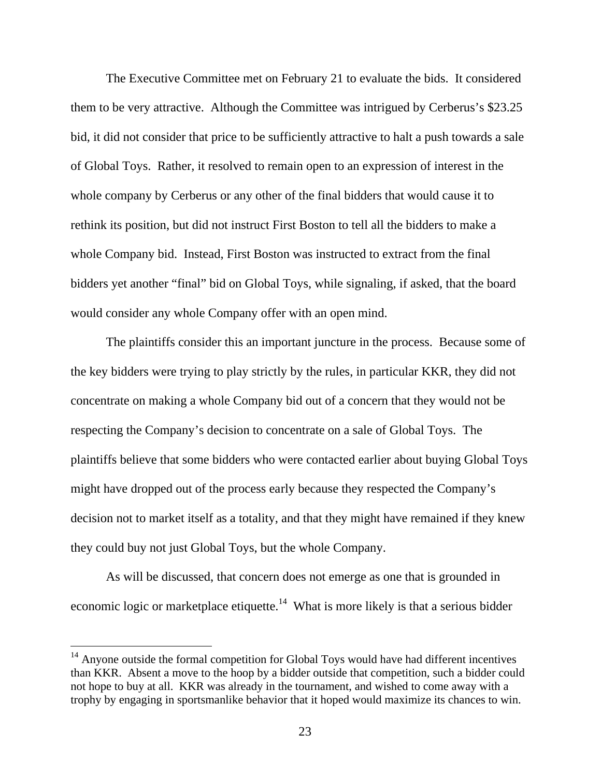The Executive Committee met on February 21 to evaluate the bids. It considered them to be very attractive. Although the Committee was intrigued by Cerberus's \$23.25 bid, it did not consider that price to be sufficiently attractive to halt a push towards a sale of Global Toys. Rather, it resolved to remain open to an expression of interest in the whole company by Cerberus or any other of the final bidders that would cause it to rethink its position, but did not instruct First Boston to tell all the bidders to make a whole Company bid. Instead, First Boston was instructed to extract from the final bidders yet another "final" bid on Global Toys, while signaling, if asked, that the board would consider any whole Company offer with an open mind.

 The plaintiffs consider this an important juncture in the process. Because some of the key bidders were trying to play strictly by the rules, in particular KKR, they did not concentrate on making a whole Company bid out of a concern that they would not be respecting the Company's decision to concentrate on a sale of Global Toys. The plaintiffs believe that some bidders who were contacted earlier about buying Global Toys might have dropped out of the process early because they respected the Company's decision not to market itself as a totality, and that they might have remained if they knew they could buy not just Global Toys, but the whole Company.

 As will be discussed, that concern does not emerge as one that is grounded in economic logic or marketplace etiquette.<sup>14</sup> What is more likely is that a serious bidder

<sup>&</sup>lt;sup>14</sup> Anyone outside the formal competition for Global Toys would have had different incentives than KKR. Absent a move to the hoop by a bidder outside that competition, such a bidder could not hope to buy at all. KKR was already in the tournament, and wished to come away with a trophy by engaging in sportsmanlike behavior that it hoped would maximize its chances to win.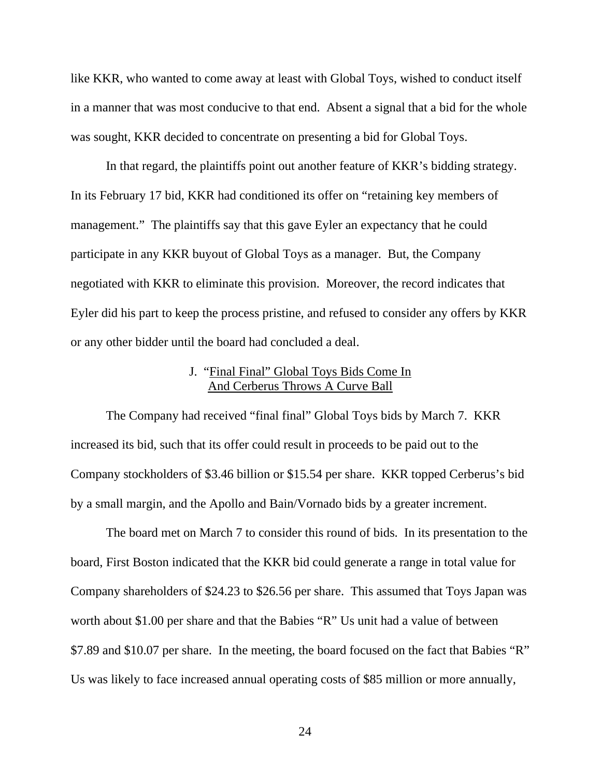like KKR, who wanted to come away at least with Global Toys, wished to conduct itself in a manner that was most conducive to that end. Absent a signal that a bid for the whole was sought, KKR decided to concentrate on presenting a bid for Global Toys.

 In that regard, the plaintiffs point out another feature of KKR's bidding strategy. In its February 17 bid, KKR had conditioned its offer on "retaining key members of management." The plaintiffs say that this gave Eyler an expectancy that he could participate in any KKR buyout of Global Toys as a manager. But, the Company negotiated with KKR to eliminate this provision. Moreover, the record indicates that Eyler did his part to keep the process pristine, and refused to consider any offers by KKR or any other bidder until the board had concluded a deal.

## J. "Final Final" Global Toys Bids Come In And Cerberus Throws A Curve Ball

The Company had received "final final" Global Toys bids by March 7. KKR increased its bid, such that its offer could result in proceeds to be paid out to the Company stockholders of \$3.46 billion or \$15.54 per share. KKR topped Cerberus's bid by a small margin, and the Apollo and Bain/Vornado bids by a greater increment.

 The board met on March 7 to consider this round of bids. In its presentation to the board, First Boston indicated that the KKR bid could generate a range in total value for Company shareholders of \$24.23 to \$26.56 per share. This assumed that Toys Japan was worth about \$1.00 per share and that the Babies "R" Us unit had a value of between \$7.89 and \$10.07 per share. In the meeting, the board focused on the fact that Babies "R" Us was likely to face increased annual operating costs of \$85 million or more annually,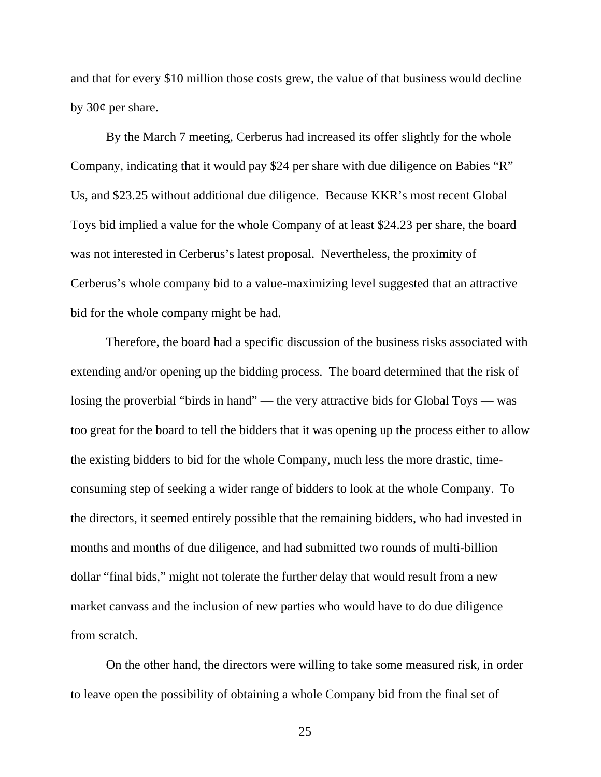and that for every \$10 million those costs grew, the value of that business would decline by 30¢ per share.

 By the March 7 meeting, Cerberus had increased its offer slightly for the whole Company, indicating that it would pay \$24 per share with due diligence on Babies "R" Us, and \$23.25 without additional due diligence. Because KKR's most recent Global Toys bid implied a value for the whole Company of at least \$24.23 per share, the board was not interested in Cerberus's latest proposal. Nevertheless, the proximity of Cerberus's whole company bid to a value-maximizing level suggested that an attractive bid for the whole company might be had.

 Therefore, the board had a specific discussion of the business risks associated with extending and/or opening up the bidding process. The board determined that the risk of losing the proverbial "birds in hand" — the very attractive bids for Global Toys — was too great for the board to tell the bidders that it was opening up the process either to allow the existing bidders to bid for the whole Company, much less the more drastic, timeconsuming step of seeking a wider range of bidders to look at the whole Company. To the directors, it seemed entirely possible that the remaining bidders, who had invested in months and months of due diligence, and had submitted two rounds of multi-billion dollar "final bids," might not tolerate the further delay that would result from a new market canvass and the inclusion of new parties who would have to do due diligence from scratch.

 On the other hand, the directors were willing to take some measured risk, in order to leave open the possibility of obtaining a whole Company bid from the final set of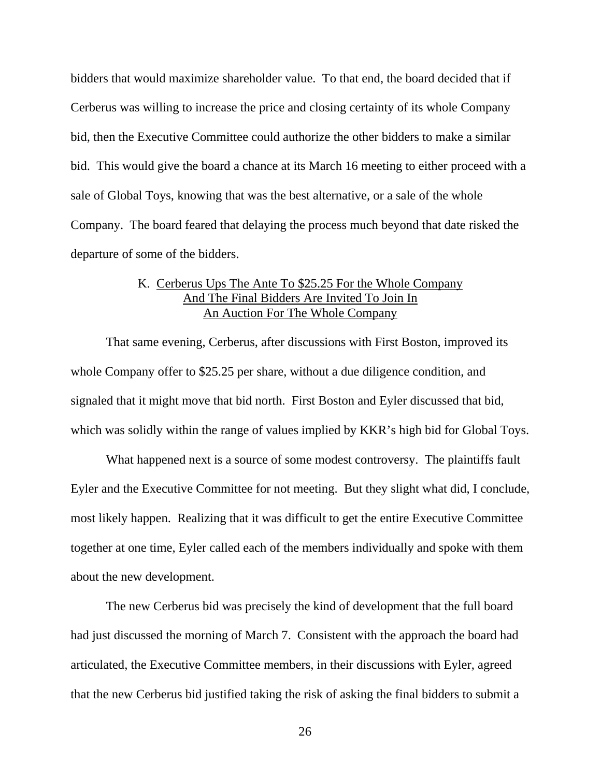bidders that would maximize shareholder value. To that end, the board decided that if Cerberus was willing to increase the price and closing certainty of its whole Company bid, then the Executive Committee could authorize the other bidders to make a similar bid. This would give the board a chance at its March 16 meeting to either proceed with a sale of Global Toys, knowing that was the best alternative, or a sale of the whole Company. The board feared that delaying the process much beyond that date risked the departure of some of the bidders.

## K. Cerberus Ups The Ante To \$25.25 For the Whole Company And The Final Bidders Are Invited To Join In An Auction For The Whole Company

 That same evening, Cerberus, after discussions with First Boston, improved its whole Company offer to \$25.25 per share, without a due diligence condition, and signaled that it might move that bid north. First Boston and Eyler discussed that bid, which was solidly within the range of values implied by KKR's high bid for Global Toys.

 What happened next is a source of some modest controversy. The plaintiffs fault Eyler and the Executive Committee for not meeting. But they slight what did, I conclude, most likely happen. Realizing that it was difficult to get the entire Executive Committee together at one time, Eyler called each of the members individually and spoke with them about the new development.

 The new Cerberus bid was precisely the kind of development that the full board had just discussed the morning of March 7. Consistent with the approach the board had articulated, the Executive Committee members, in their discussions with Eyler, agreed that the new Cerberus bid justified taking the risk of asking the final bidders to submit a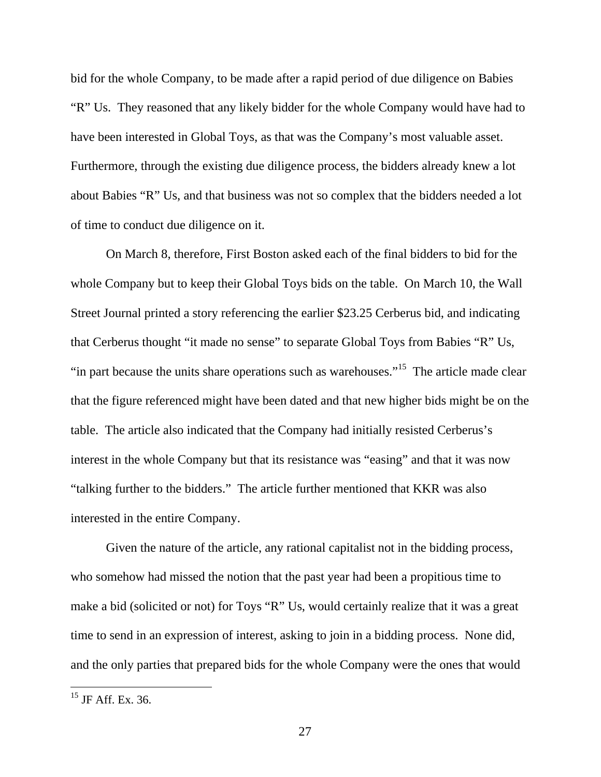bid for the whole Company, to be made after a rapid period of due diligence on Babies "R" Us. They reasoned that any likely bidder for the whole Company would have had to have been interested in Global Toys, as that was the Company's most valuable asset. Furthermore, through the existing due diligence process, the bidders already knew a lot about Babies "R" Us, and that business was not so complex that the bidders needed a lot of time to conduct due diligence on it.

 On March 8, therefore, First Boston asked each of the final bidders to bid for the whole Company but to keep their Global Toys bids on the table. On March 10, the Wall Street Journal printed a story referencing the earlier \$23.25 Cerberus bid, and indicating that Cerberus thought "it made no sense" to separate Global Toys from Babies "R" Us, "in part because the units share operations such as warehouses."<sup>15</sup> The article made clear that the figure referenced might have been dated and that new higher bids might be on the table. The article also indicated that the Company had initially resisted Cerberus's interest in the whole Company but that its resistance was "easing" and that it was now "talking further to the bidders." The article further mentioned that KKR was also interested in the entire Company.

 Given the nature of the article, any rational capitalist not in the bidding process, who somehow had missed the notion that the past year had been a propitious time to make a bid (solicited or not) for Toys "R" Us, would certainly realize that it was a great time to send in an expression of interest, asking to join in a bidding process. None did, and the only parties that prepared bids for the whole Company were the ones that would

 $^{15}$  JF Aff. Ex. 36.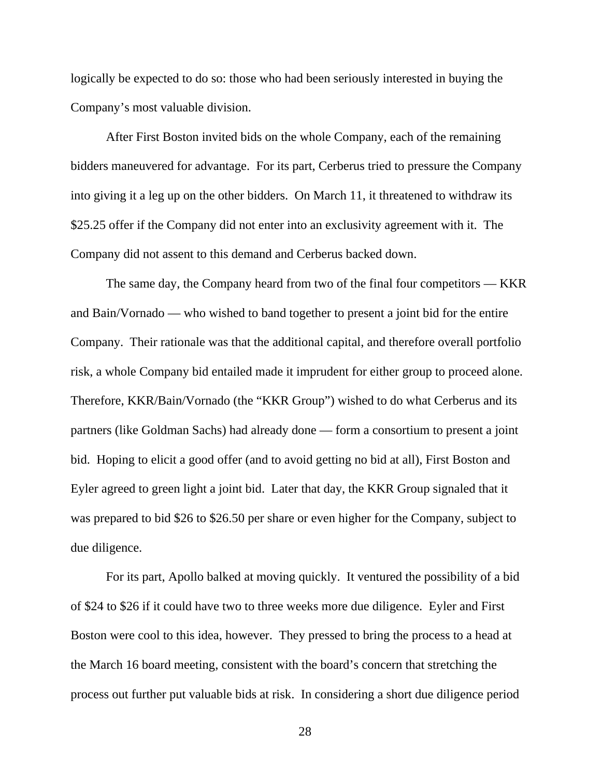logically be expected to do so: those who had been seriously interested in buying the Company's most valuable division.

After First Boston invited bids on the whole Company, each of the remaining bidders maneuvered for advantage. For its part, Cerberus tried to pressure the Company into giving it a leg up on the other bidders. On March 11, it threatened to withdraw its \$25.25 offer if the Company did not enter into an exclusivity agreement with it. The Company did not assent to this demand and Cerberus backed down.

 The same day, the Company heard from two of the final four competitors — KKR and Bain/Vornado — who wished to band together to present a joint bid for the entire Company. Their rationale was that the additional capital, and therefore overall portfolio risk, a whole Company bid entailed made it imprudent for either group to proceed alone. Therefore, KKR/Bain/Vornado (the "KKR Group") wished to do what Cerberus and its partners (like Goldman Sachs) had already done — form a consortium to present a joint bid. Hoping to elicit a good offer (and to avoid getting no bid at all), First Boston and Eyler agreed to green light a joint bid. Later that day, the KKR Group signaled that it was prepared to bid \$26 to \$26.50 per share or even higher for the Company, subject to due diligence.

 For its part, Apollo balked at moving quickly. It ventured the possibility of a bid of \$24 to \$26 if it could have two to three weeks more due diligence. Eyler and First Boston were cool to this idea, however. They pressed to bring the process to a head at the March 16 board meeting, consistent with the board's concern that stretching the process out further put valuable bids at risk. In considering a short due diligence period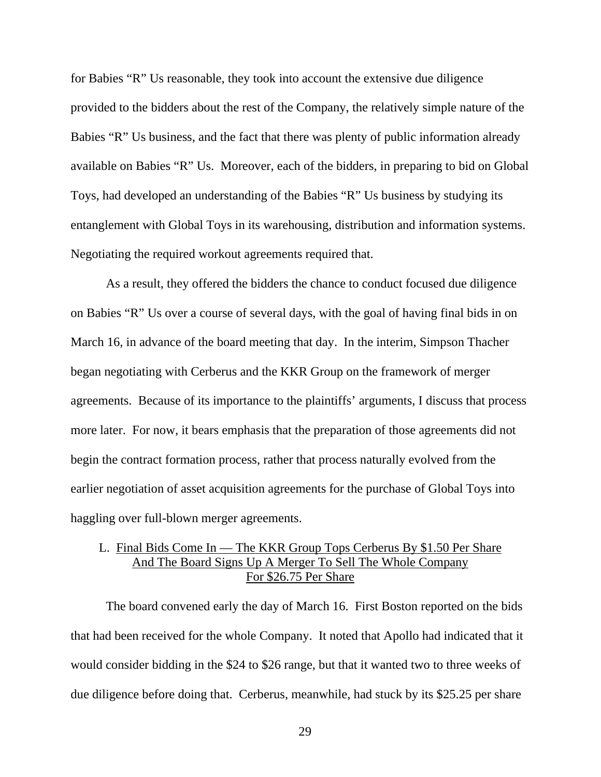for Babies "R" Us reasonable, they took into account the extensive due diligence provided to the bidders about the rest of the Company, the relatively simple nature of the Babies "R" Us business, and the fact that there was plenty of public information already available on Babies "R" Us. Moreover, each of the bidders, in preparing to bid on Global Toys, had developed an understanding of the Babies "R" Us business by studying its entanglement with Global Toys in its warehousing, distribution and information systems. Negotiating the required workout agreements required that.

 As a result, they offered the bidders the chance to conduct focused due diligence on Babies "R" Us over a course of several days, with the goal of having final bids in on March 16, in advance of the board meeting that day. In the interim, Simpson Thacher began negotiating with Cerberus and the KKR Group on the framework of merger agreements. Because of its importance to the plaintiffs' arguments, I discuss that process more later. For now, it bears emphasis that the preparation of those agreements did not begin the contract formation process, rather that process naturally evolved from the earlier negotiation of asset acquisition agreements for the purchase of Global Toys into haggling over full-blown merger agreements.

## L. Final Bids Come In — The KKR Group Tops Cerberus By \$1.50 Per Share And The Board Signs Up A Merger To Sell The Whole Company For \$26.75 Per Share

 The board convened early the day of March 16. First Boston reported on the bids that had been received for the whole Company. It noted that Apollo had indicated that it would consider bidding in the \$24 to \$26 range, but that it wanted two to three weeks of due diligence before doing that. Cerberus, meanwhile, had stuck by its \$25.25 per share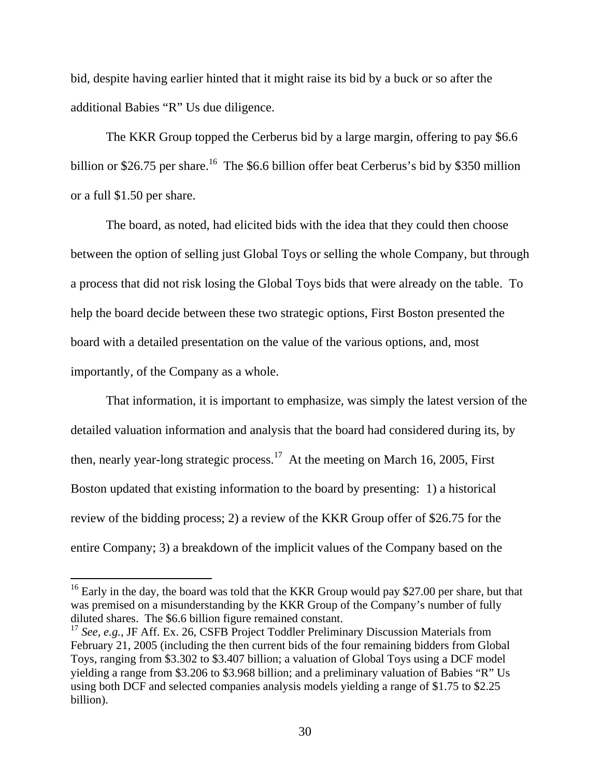bid, despite having earlier hinted that it might raise its bid by a buck or so after the additional Babies "R" Us due diligence.

 The KKR Group topped the Cerberus bid by a large margin, offering to pay \$6.6 billion or \$26.75 per share.<sup>16</sup> The \$6.6 billion offer beat Cerberus's bid by \$350 million or a full \$1.50 per share.

 The board, as noted, had elicited bids with the idea that they could then choose between the option of selling just Global Toys or selling the whole Company, but through a process that did not risk losing the Global Toys bids that were already on the table. To help the board decide between these two strategic options, First Boston presented the board with a detailed presentation on the value of the various options, and, most importantly, of the Company as a whole.

 That information, it is important to emphasize, was simply the latest version of the detailed valuation information and analysis that the board had considered during its, by then, nearly year-long strategic process.<sup>17</sup> At the meeting on March 16, 2005, First Boston updated that existing information to the board by presenting: 1) a historical review of the bidding process; 2) a review of the KKR Group offer of \$26.75 for the entire Company; 3) a breakdown of the implicit values of the Company based on the

 $16$  Early in the day, the board was told that the KKR Group would pay \$27.00 per share, but that was premised on a misunderstanding by the KKR Group of the Company's number of fully diluted shares. The \$6.6 billion figure remained constant.

<sup>17</sup> *See, e.g.*, JF Aff. Ex. 26, CSFB Project Toddler Preliminary Discussion Materials from February 21, 2005 (including the then current bids of the four remaining bidders from Global Toys, ranging from \$3.302 to \$3.407 billion; a valuation of Global Toys using a DCF model yielding a range from \$3.206 to \$3.968 billion; and a preliminary valuation of Babies "R" Us using both DCF and selected companies analysis models yielding a range of \$1.75 to \$2.25 billion).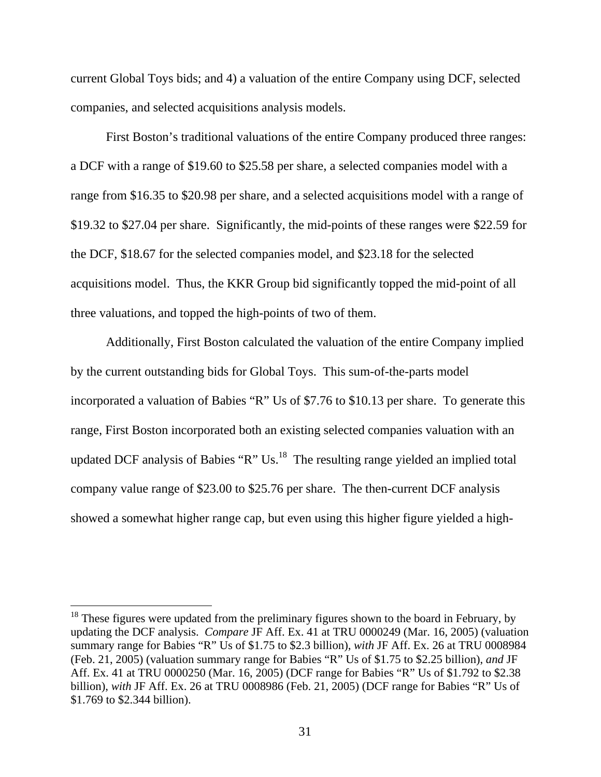current Global Toys bids; and 4) a valuation of the entire Company using DCF, selected companies, and selected acquisitions analysis models.

 First Boston's traditional valuations of the entire Company produced three ranges: a DCF with a range of \$19.60 to \$25.58 per share, a selected companies model with a range from \$16.35 to \$20.98 per share, and a selected acquisitions model with a range of \$19.32 to \$27.04 per share. Significantly, the mid-points of these ranges were \$22.59 for the DCF, \$18.67 for the selected companies model, and \$23.18 for the selected acquisitions model. Thus, the KKR Group bid significantly topped the mid-point of all three valuations, and topped the high-points of two of them.

 Additionally, First Boston calculated the valuation of the entire Company implied by the current outstanding bids for Global Toys. This sum-of-the-parts model incorporated a valuation of Babies "R" Us of \$7.76 to \$10.13 per share. To generate this range, First Boston incorporated both an existing selected companies valuation with an updated DCF analysis of Babies "R" Us. $^{18}$  The resulting range yielded an implied total company value range of \$23.00 to \$25.76 per share. The then-current DCF analysis showed a somewhat higher range cap, but even using this higher figure yielded a high-

 $18$  These figures were updated from the preliminary figures shown to the board in February, by updating the DCF analysis. *Compare* JF Aff. Ex. 41 at TRU 0000249 (Mar. 16, 2005) (valuation summary range for Babies "R" Us of \$1.75 to \$2.3 billion), *with* JF Aff. Ex. 26 at TRU 0008984 (Feb. 21, 2005) (valuation summary range for Babies "R" Us of \$1.75 to \$2.25 billion), *and* JF Aff. Ex. 41 at TRU 0000250 (Mar. 16, 2005) (DCF range for Babies "R" Us of \$1.792 to \$2.38 billion), *with* JF Aff. Ex. 26 at TRU 0008986 (Feb. 21, 2005) (DCF range for Babies "R" Us of \$1.769 to \$2.344 billion).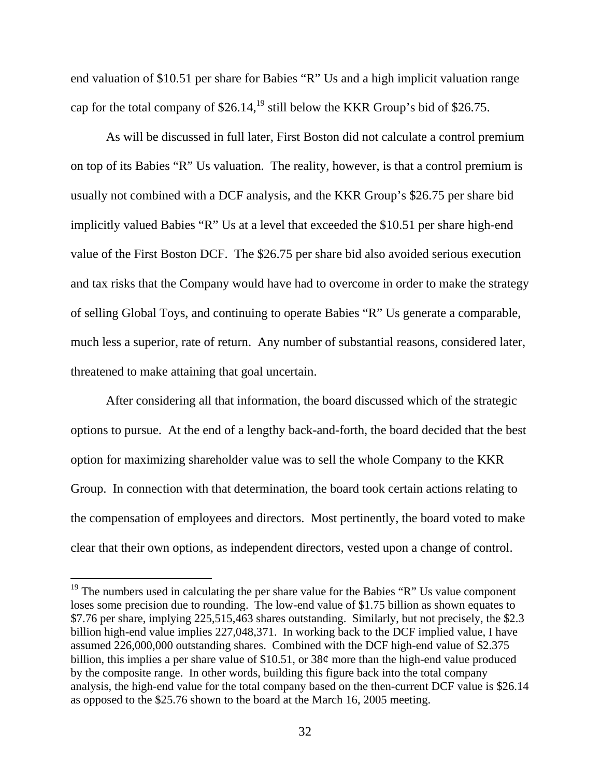end valuation of \$10.51 per share for Babies "R" Us and a high implicit valuation range cap for the total company of  $$26.14<sup>19</sup>$  still below the KKR Group's bid of  $$26.75$ .

 As will be discussed in full later, First Boston did not calculate a control premium on top of its Babies "R" Us valuation. The reality, however, is that a control premium is usually not combined with a DCF analysis, and the KKR Group's \$26.75 per share bid implicitly valued Babies "R" Us at a level that exceeded the \$10.51 per share high-end value of the First Boston DCF. The \$26.75 per share bid also avoided serious execution and tax risks that the Company would have had to overcome in order to make the strategy of selling Global Toys, and continuing to operate Babies "R" Us generate a comparable, much less a superior, rate of return. Any number of substantial reasons, considered later, threatened to make attaining that goal uncertain.

 After considering all that information, the board discussed which of the strategic options to pursue. At the end of a lengthy back-and-forth, the board decided that the best option for maximizing shareholder value was to sell the whole Company to the KKR Group. In connection with that determination, the board took certain actions relating to the compensation of employees and directors. Most pertinently, the board voted to make clear that their own options, as independent directors, vested upon a change of control.

 $19$  The numbers used in calculating the per share value for the Babies "R" Us value component loses some precision due to rounding. The low-end value of \$1.75 billion as shown equates to \$7.76 per share, implying 225,515,463 shares outstanding. Similarly, but not precisely, the \$2.3 billion high-end value implies 227,048,371. In working back to the DCF implied value, I have assumed 226,000,000 outstanding shares. Combined with the DCF high-end value of \$2.375 billion, this implies a per share value of \$10.51, or 38¢ more than the high-end value produced by the composite range. In other words, building this figure back into the total company analysis, the high-end value for the total company based on the then-current DCF value is \$26.14 as opposed to the \$25.76 shown to the board at the March 16, 2005 meeting.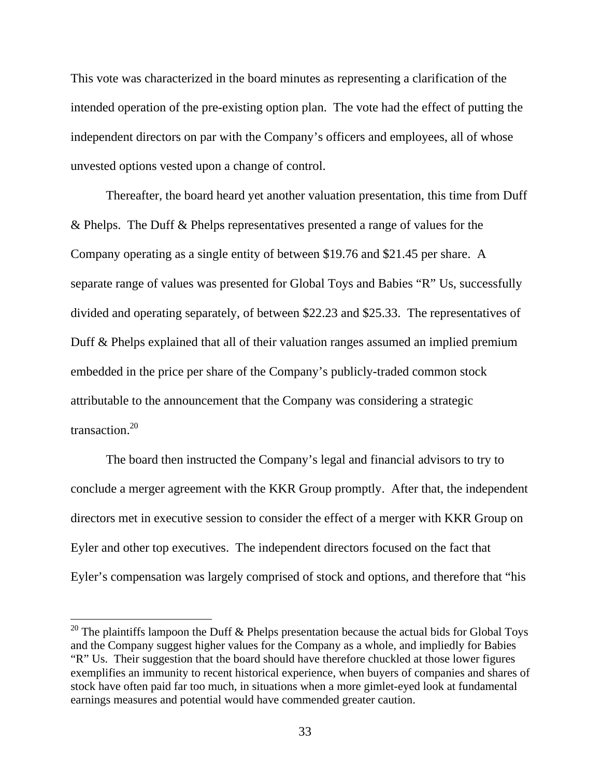This vote was characterized in the board minutes as representing a clarification of the intended operation of the pre-existing option plan. The vote had the effect of putting the independent directors on par with the Company's officers and employees, all of whose unvested options vested upon a change of control.

 Thereafter, the board heard yet another valuation presentation, this time from Duff & Phelps. The Duff & Phelps representatives presented a range of values for the Company operating as a single entity of between \$19.76 and \$21.45 per share. A separate range of values was presented for Global Toys and Babies "R" Us, successfully divided and operating separately, of between \$22.23 and \$25.33. The representatives of Duff & Phelps explained that all of their valuation ranges assumed an implied premium embedded in the price per share of the Company's publicly-traded common stock attributable to the announcement that the Company was considering a strategic  $transaction<sup>20</sup>$ 

 The board then instructed the Company's legal and financial advisors to try to conclude a merger agreement with the KKR Group promptly. After that, the independent directors met in executive session to consider the effect of a merger with KKR Group on Eyler and other top executives. The independent directors focused on the fact that Eyler's compensation was largely comprised of stock and options, and therefore that "his

<sup>&</sup>lt;sup>20</sup> The plaintiffs lampoon the Duff & Phelps presentation because the actual bids for Global Toys and the Company suggest higher values for the Company as a whole, and impliedly for Babies "R" Us. Their suggestion that the board should have therefore chuckled at those lower figures exemplifies an immunity to recent historical experience, when buyers of companies and shares of stock have often paid far too much, in situations when a more gimlet-eyed look at fundamental earnings measures and potential would have commended greater caution.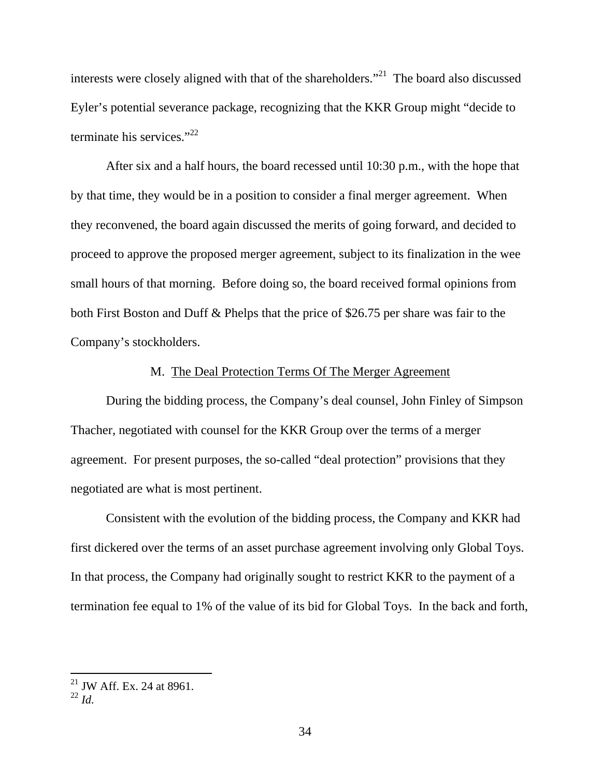interests were closely aligned with that of the shareholders."<sup>21</sup> The board also discussed Eyler's potential severance package, recognizing that the KKR Group might "decide to terminate his services." $^{22}$ 

 After six and a half hours, the board recessed until 10:30 p.m., with the hope that by that time, they would be in a position to consider a final merger agreement. When they reconvened, the board again discussed the merits of going forward, and decided to proceed to approve the proposed merger agreement, subject to its finalization in the wee small hours of that morning. Before doing so, the board received formal opinions from both First Boston and Duff & Phelps that the price of \$26.75 per share was fair to the Company's stockholders.

### M. The Deal Protection Terms Of The Merger Agreement

During the bidding process, the Company's deal counsel, John Finley of Simpson Thacher, negotiated with counsel for the KKR Group over the terms of a merger agreement. For present purposes, the so-called "deal protection" provisions that they negotiated are what is most pertinent.

Consistent with the evolution of the bidding process, the Company and KKR had first dickered over the terms of an asset purchase agreement involving only Global Toys. In that process, the Company had originally sought to restrict KKR to the payment of a termination fee equal to 1% of the value of its bid for Global Toys. In the back and forth,

 $21$  JW Aff. Ex. 24 at 8961.

<sup>22</sup> *Id.*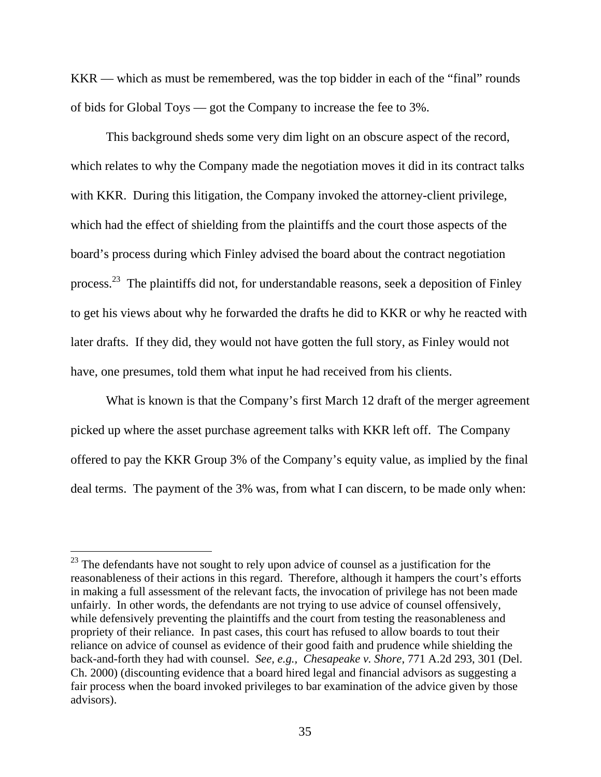KKR — which as must be remembered, was the top bidder in each of the "final" rounds of bids for Global Toys — got the Company to increase the fee to 3%.

This background sheds some very dim light on an obscure aspect of the record, which relates to why the Company made the negotiation moves it did in its contract talks with KKR. During this litigation, the Company invoked the attorney-client privilege, which had the effect of shielding from the plaintiffs and the court those aspects of the board's process during which Finley advised the board about the contract negotiation process.23 The plaintiffs did not, for understandable reasons, seek a deposition of Finley to get his views about why he forwarded the drafts he did to KKR or why he reacted with later drafts. If they did, they would not have gotten the full story, as Finley would not have, one presumes, told them what input he had received from his clients.

What is known is that the Company's first March 12 draft of the merger agreement picked up where the asset purchase agreement talks with KKR left off. The Company offered to pay the KKR Group 3% of the Company's equity value, as implied by the final deal terms. The payment of the 3% was, from what I can discern, to be made only when:

 $^{23}$  The defendants have not sought to rely upon advice of counsel as a justification for the reasonableness of their actions in this regard. Therefore, although it hampers the court's efforts in making a full assessment of the relevant facts, the invocation of privilege has not been made unfairly. In other words, the defendants are not trying to use advice of counsel offensively, while defensively preventing the plaintiffs and the court from testing the reasonableness and propriety of their reliance. In past cases, this court has refused to allow boards to tout their reliance on advice of counsel as evidence of their good faith and prudence while shielding the back-and-forth they had with counsel. *See, e.g., Chesapeake v. Shore*, 771 A.2d 293, 301 (Del. Ch. 2000) (discounting evidence that a board hired legal and financial advisors as suggesting a fair process when the board invoked privileges to bar examination of the advice given by those advisors).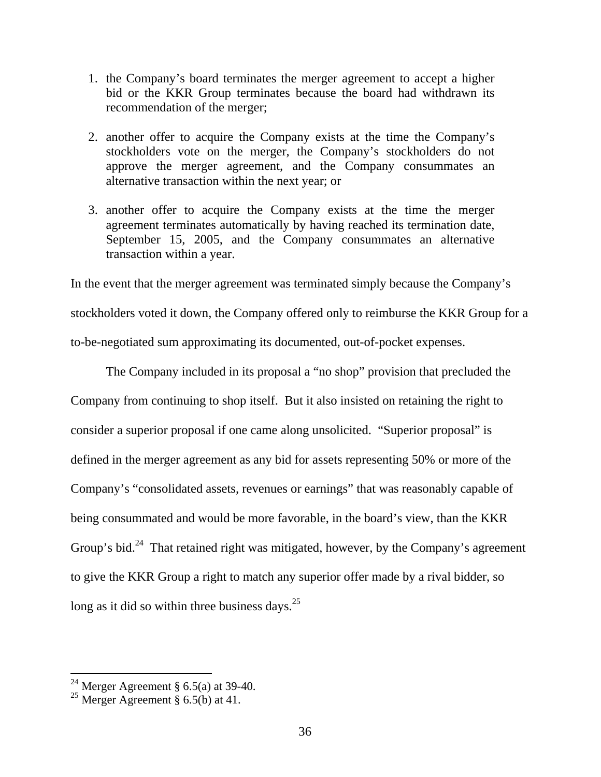- 1. the Company's board terminates the merger agreement to accept a higher bid or the KKR Group terminates because the board had withdrawn its recommendation of the merger;
- 2. another offer to acquire the Company exists at the time the Company's stockholders vote on the merger, the Company's stockholders do not approve the merger agreement, and the Company consummates an alternative transaction within the next year; or
- 3. another offer to acquire the Company exists at the time the merger agreement terminates automatically by having reached its termination date, September 15, 2005, and the Company consummates an alternative transaction within a year.

In the event that the merger agreement was terminated simply because the Company's stockholders voted it down, the Company offered only to reimburse the KKR Group for a to-be-negotiated sum approximating its documented, out-of-pocket expenses.

The Company included in its proposal a "no shop" provision that precluded the Company from continuing to shop itself. But it also insisted on retaining the right to consider a superior proposal if one came along unsolicited. "Superior proposal" is defined in the merger agreement as any bid for assets representing 50% or more of the Company's "consolidated assets, revenues or earnings" that was reasonably capable of being consummated and would be more favorable, in the board's view, than the KKR Group's bid.<sup>24</sup> That retained right was mitigated, however, by the Company's agreement to give the KKR Group a right to match any superior offer made by a rival bidder, so long as it did so within three business days. $^{25}$ 

<sup>&</sup>lt;sup>24</sup> Merger Agreement § 6.5(a) at 39-40.

<sup>&</sup>lt;sup>25</sup> Merger Agreement  $\hat{g}$  6.5(b) at 41.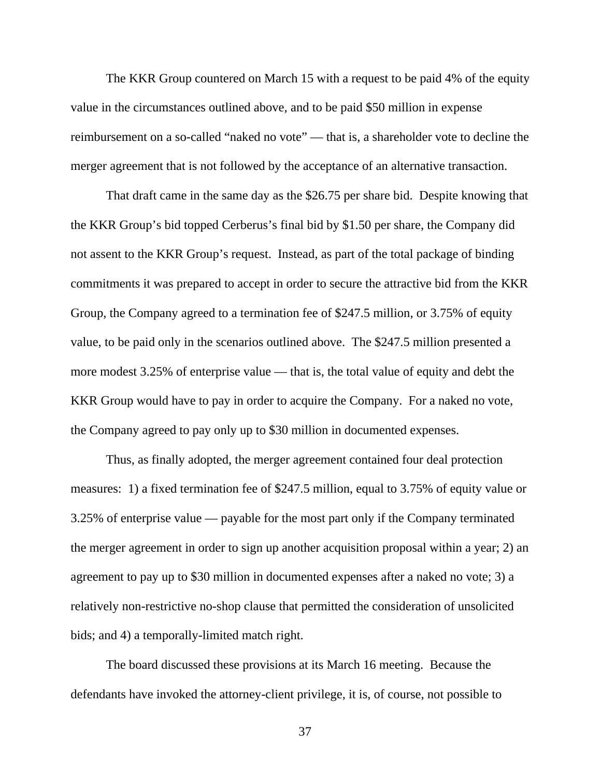The KKR Group countered on March 15 with a request to be paid 4% of the equity value in the circumstances outlined above, and to be paid \$50 million in expense reimbursement on a so-called "naked no vote" — that is, a shareholder vote to decline the merger agreement that is not followed by the acceptance of an alternative transaction.

That draft came in the same day as the \$26.75 per share bid. Despite knowing that the KKR Group's bid topped Cerberus's final bid by \$1.50 per share, the Company did not assent to the KKR Group's request. Instead, as part of the total package of binding commitments it was prepared to accept in order to secure the attractive bid from the KKR Group, the Company agreed to a termination fee of \$247.5 million, or 3.75% of equity value, to be paid only in the scenarios outlined above. The \$247.5 million presented a more modest 3.25% of enterprise value — that is, the total value of equity and debt the KKR Group would have to pay in order to acquire the Company. For a naked no vote, the Company agreed to pay only up to \$30 million in documented expenses.

Thus, as finally adopted, the merger agreement contained four deal protection measures: 1) a fixed termination fee of \$247.5 million, equal to 3.75% of equity value or 3.25% of enterprise value — payable for the most part only if the Company terminated the merger agreement in order to sign up another acquisition proposal within a year; 2) an agreement to pay up to \$30 million in documented expenses after a naked no vote; 3) a relatively non-restrictive no-shop clause that permitted the consideration of unsolicited bids; and 4) a temporally-limited match right.

The board discussed these provisions at its March 16 meeting. Because the defendants have invoked the attorney-client privilege, it is, of course, not possible to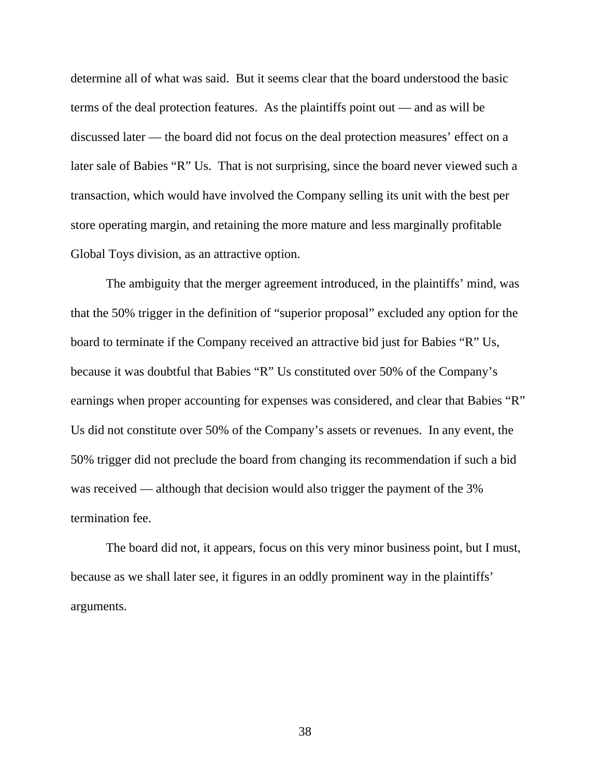determine all of what was said. But it seems clear that the board understood the basic terms of the deal protection features. As the plaintiffs point out — and as will be discussed later — the board did not focus on the deal protection measures' effect on a later sale of Babies "R" Us. That is not surprising, since the board never viewed such a transaction, which would have involved the Company selling its unit with the best per store operating margin, and retaining the more mature and less marginally profitable Global Toys division, as an attractive option.

The ambiguity that the merger agreement introduced, in the plaintiffs' mind, was that the 50% trigger in the definition of "superior proposal" excluded any option for the board to terminate if the Company received an attractive bid just for Babies "R" Us, because it was doubtful that Babies "R" Us constituted over 50% of the Company's earnings when proper accounting for expenses was considered, and clear that Babies "R" Us did not constitute over 50% of the Company's assets or revenues. In any event, the 50% trigger did not preclude the board from changing its recommendation if such a bid was received — although that decision would also trigger the payment of the 3% termination fee.

The board did not, it appears, focus on this very minor business point, but I must, because as we shall later see, it figures in an oddly prominent way in the plaintiffs' arguments.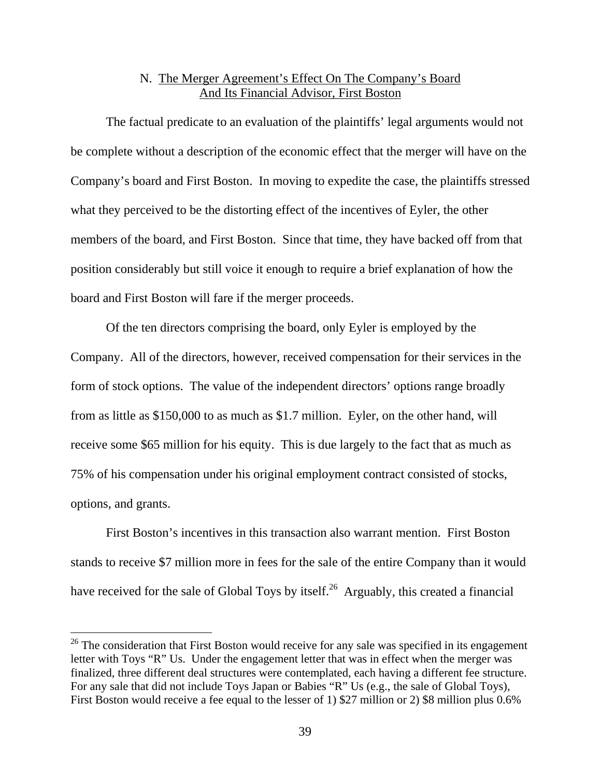# N. The Merger Agreement's Effect On The Company's Board And Its Financial Advisor, First Boston

The factual predicate to an evaluation of the plaintiffs' legal arguments would not be complete without a description of the economic effect that the merger will have on the Company's board and First Boston. In moving to expedite the case, the plaintiffs stressed what they perceived to be the distorting effect of the incentives of Eyler, the other members of the board, and First Boston. Since that time, they have backed off from that position considerably but still voice it enough to require a brief explanation of how the board and First Boston will fare if the merger proceeds.

 Of the ten directors comprising the board, only Eyler is employed by the Company. All of the directors, however, received compensation for their services in the form of stock options. The value of the independent directors' options range broadly from as little as \$150,000 to as much as \$1.7 million. Eyler, on the other hand, will receive some \$65 million for his equity. This is due largely to the fact that as much as 75% of his compensation under his original employment contract consisted of stocks, options, and grants.

First Boston's incentives in this transaction also warrant mention. First Boston stands to receive \$7 million more in fees for the sale of the entire Company than it would have received for the sale of Global Toys by itself.<sup>26</sup> Arguably, this created a financial

 $26$  The consideration that First Boston would receive for any sale was specified in its engagement letter with Toys "R" Us. Under the engagement letter that was in effect when the merger was finalized, three different deal structures were contemplated, each having a different fee structure. For any sale that did not include Toys Japan or Babies "R" Us (e.g., the sale of Global Toys), First Boston would receive a fee equal to the lesser of 1) \$27 million or 2) \$8 million plus 0.6%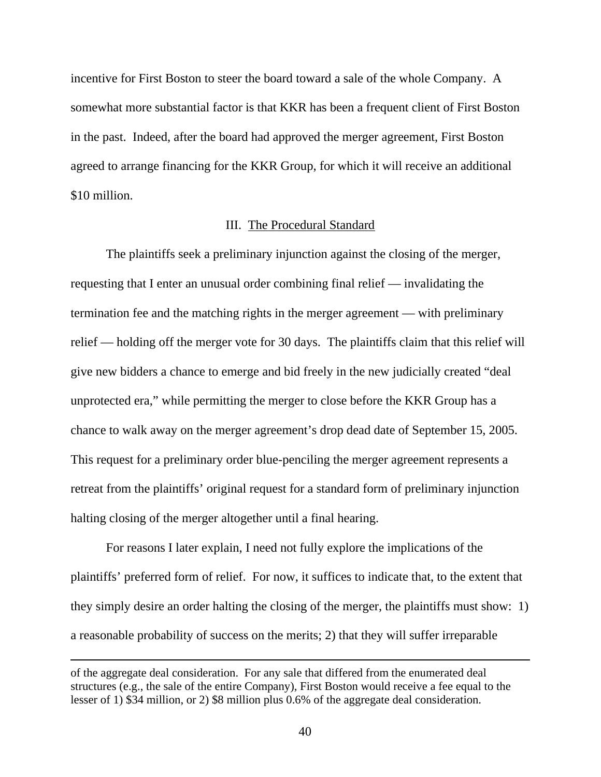incentive for First Boston to steer the board toward a sale of the whole Company. A somewhat more substantial factor is that KKR has been a frequent client of First Boston in the past. Indeed, after the board had approved the merger agreement, First Boston agreed to arrange financing for the KKR Group, for which it will receive an additional \$10 million.

#### III. The Procedural Standard

 The plaintiffs seek a preliminary injunction against the closing of the merger, requesting that I enter an unusual order combining final relief — invalidating the termination fee and the matching rights in the merger agreement — with preliminary relief — holding off the merger vote for 30 days. The plaintiffs claim that this relief will give new bidders a chance to emerge and bid freely in the new judicially created "deal unprotected era," while permitting the merger to close before the KKR Group has a chance to walk away on the merger agreement's drop dead date of September 15, 2005. This request for a preliminary order blue-penciling the merger agreement represents a retreat from the plaintiffs' original request for a standard form of preliminary injunction halting closing of the merger altogether until a final hearing.

 For reasons I later explain, I need not fully explore the implications of the plaintiffs' preferred form of relief. For now, it suffices to indicate that, to the extent that they simply desire an order halting the closing of the merger, the plaintiffs must show: 1) a reasonable probability of success on the merits; 2) that they will suffer irreparable

of the aggregate deal consideration. For any sale that differed from the enumerated deal structures (e.g., the sale of the entire Company), First Boston would receive a fee equal to the lesser of 1) \$34 million, or 2) \$8 million plus 0.6% of the aggregate deal consideration.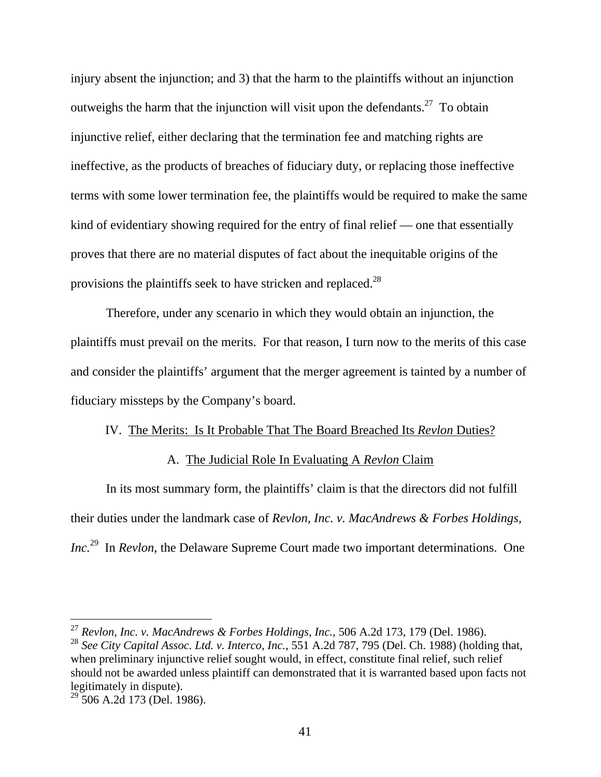injury absent the injunction; and 3) that the harm to the plaintiffs without an injunction outweighs the harm that the injunction will visit upon the defendants.<sup>27</sup> To obtain injunctive relief, either declaring that the termination fee and matching rights are ineffective, as the products of breaches of fiduciary duty, or replacing those ineffective terms with some lower termination fee, the plaintiffs would be required to make the same kind of evidentiary showing required for the entry of final relief — one that essentially proves that there are no material disputes of fact about the inequitable origins of the provisions the plaintiffs seek to have stricken and replaced.28

 Therefore, under any scenario in which they would obtain an injunction, the plaintiffs must prevail on the merits. For that reason, I turn now to the merits of this case and consider the plaintiffs' argument that the merger agreement is tainted by a number of fiduciary missteps by the Company's board.

#### IV. The Merits: Is It Probable That The Board Breached Its *Revlon* Duties?

### A. The Judicial Role In Evaluating A *Revlon* Claim

In its most summary form, the plaintiffs' claim is that the directors did not fulfill their duties under the landmark case of *Revlon, Inc. v. MacAndrews & Forbes Holdings, Inc.*29 In *Revlon*, the Delaware Supreme Court made two important determinations. One

<sup>27</sup> *Revlon, Inc. v. MacAndrews & Forbes Holdings, Inc.,* 506 A.2d 173, 179 (Del. 1986).

<sup>28</sup> *See City Capital Assoc. Ltd. v. Interco, Inc.*, 551 A.2d 787, 795 (Del. Ch. 1988) (holding that, when preliminary injunctive relief sought would, in effect, constitute final relief, such relief should not be awarded unless plaintiff can demonstrated that it is warranted based upon facts not legitimately in dispute).

 $^{29}$  506 A.2d 173 (Del. 1986).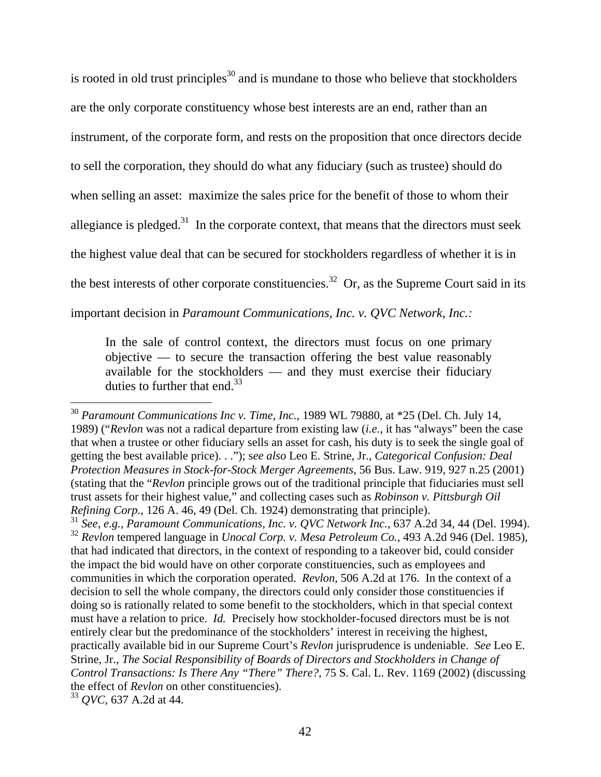is rooted in old trust principles<sup>30</sup> and is mundane to those who believe that stockholders are the only corporate constituency whose best interests are an end, rather than an instrument, of the corporate form, and rests on the proposition that once directors decide to sell the corporation, they should do what any fiduciary (such as trustee) should do when selling an asset: maximize the sales price for the benefit of those to whom their allegiance is pledged.<sup>31</sup> In the corporate context, that means that the directors must seek the highest value deal that can be secured for stockholders regardless of whether it is in the best interests of other corporate constituencies.<sup>32</sup> Or, as the Supreme Court said in its important decision in *Paramount Communications, Inc. v. QVC Network, Inc.:* 

In the sale of control context, the directors must focus on one primary objective — to secure the transaction offering the best value reasonably available for the stockholders — and they must exercise their fiduciary duties to further that end. $33$ 

 $\overline{a}$ <sup>30</sup> *Paramount Communications Inc v. Time, Inc.*, 1989 WL 79880, at \*25 (Del. Ch. July 14, 1989) ("*Revlon* was not a radical departure from existing law (*i.e.*, it has "always" been the case that when a trustee or other fiduciary sells an asset for cash, his duty is to seek the single goal of getting the best available price). . ."); s*ee also* Leo E. Strine, Jr., *Categorical Confusion: Deal Protection Measures in Stock-for-Stock Merger Agreements*, 56 Bus. Law. 919, 927 n.25 (2001) (stating that the "*Revlon* principle grows out of the traditional principle that fiduciaries must sell trust assets for their highest value," and collecting cases such as *Robinson v. Pittsburgh Oil Refining Corp.*, 126 A. 46, 49 (Del. Ch. 1924) demonstrating that principle). <sup>31</sup> *See, e.g., Paramount Communications, Inc. v. QVC Network Inc.*, 637 A.2d 34, 44 (Del. 1994).

<sup>32</sup> *Revlon* tempered language in *Unocal Corp. v. Mesa Petroleum Co.*, 493 A.2d 946 (Del. 1985), that had indicated that directors, in the context of responding to a takeover bid, could consider the impact the bid would have on other corporate constituencies, such as employees and communities in which the corporation operated. *Revlon*, 506 A.2d at 176. In the context of a decision to sell the whole company, the directors could only consider those constituencies if doing so is rationally related to some benefit to the stockholders, which in that special context must have a relation to price. *Id.* Precisely how stockholder-focused directors must be is not entirely clear but the predominance of the stockholders' interest in receiving the highest, practically available bid in our Supreme Court's *Revlon* jurisprudence is undeniable. *See* Leo E. Strine, Jr., *The Social Responsibility of Boards of Directors and Stockholders in Change of Control Transactions: Is There Any "There" There?*, 75 S. Cal. L. Rev. 1169 (2002) (discussing the effect of *Revlon* on other constituencies).

<sup>33</sup> *QVC*, 637 A.2d at 44.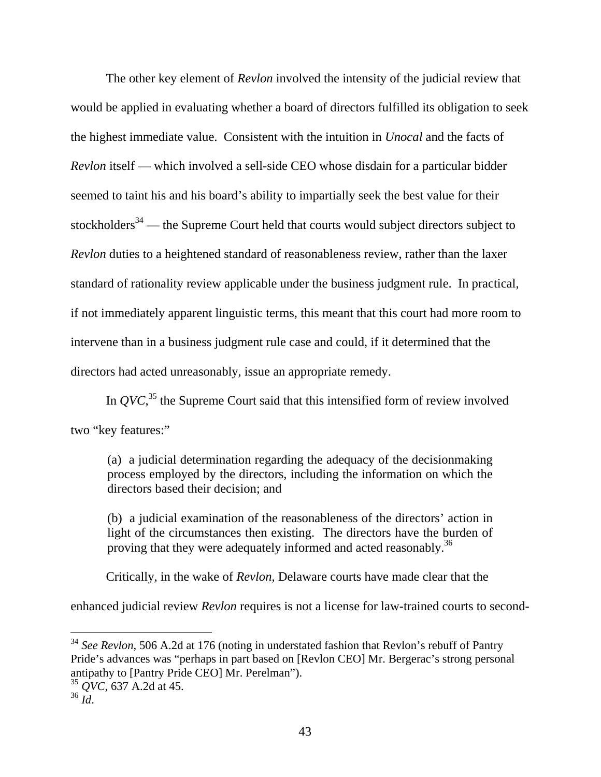The other key element of *Revlon* involved the intensity of the judicial review that would be applied in evaluating whether a board of directors fulfilled its obligation to seek the highest immediate value. Consistent with the intuition in *Unocal* and the facts of *Revlon* itself — which involved a sell-side CEO whose disdain for a particular bidder seemed to taint his and his board's ability to impartially seek the best value for their stockholders<sup>34</sup> — the Supreme Court held that courts would subject directors subject to *Revlon* duties to a heightened standard of reasonableness review, rather than the laxer standard of rationality review applicable under the business judgment rule. In practical, if not immediately apparent linguistic terms, this meant that this court had more room to intervene than in a business judgment rule case and could, if it determined that the directors had acted unreasonably, issue an appropriate remedy.

In  $QVC$ <sup>35</sup>, the Supreme Court said that this intensified form of review involved two "key features:"

(a) a judicial determination regarding the adequacy of the decisionmaking process employed by the directors, including the information on which the directors based their decision; and

(b) a judicial examination of the reasonableness of the directors' action in light of the circumstances then existing. The directors have the burden of proving that they were adequately informed and acted reasonably.<sup>36</sup>

Critically, in the wake of *Revlon*, Delaware courts have made clear that the

enhanced judicial review *Revlon* requires is not a license for law-trained courts to second-

<sup>34</sup> *See Revlon*, 506 A.2d at 176 (noting in understated fashion that Revlon's rebuff of Pantry Pride's advances was "perhaps in part based on [Revlon CEO] Mr. Bergerac's strong personal antipathy to [Pantry Pride CEO] Mr. Perelman").

<sup>35</sup> *QVC*, 637 A.2d at 45.

<sup>36</sup> *Id*.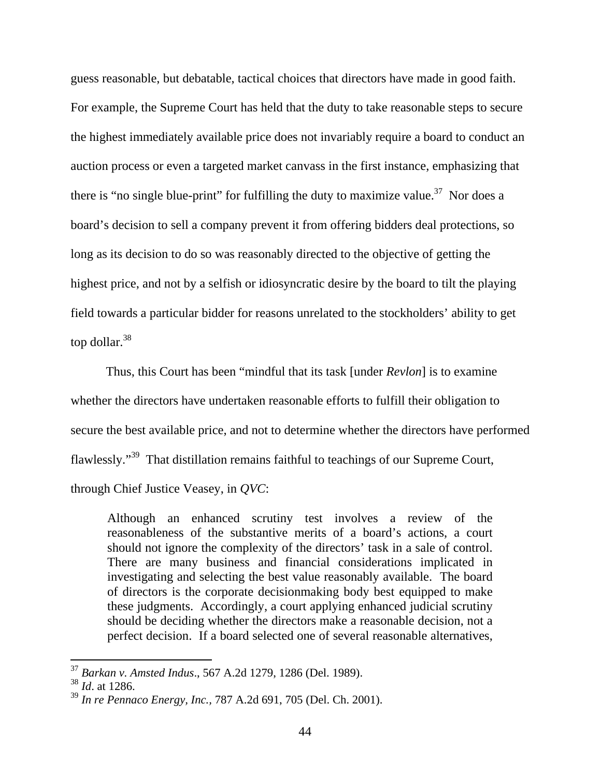guess reasonable, but debatable, tactical choices that directors have made in good faith. For example, the Supreme Court has held that the duty to take reasonable steps to secure the highest immediately available price does not invariably require a board to conduct an auction process or even a targeted market canvass in the first instance, emphasizing that there is "no single blue-print" for fulfilling the duty to maximize value.<sup>37</sup> Nor does a board's decision to sell a company prevent it from offering bidders deal protections, so long as its decision to do so was reasonably directed to the objective of getting the highest price, and not by a selfish or idiosyncratic desire by the board to tilt the playing field towards a particular bidder for reasons unrelated to the stockholders' ability to get top dollar.<sup>38</sup>

 Thus, this Court has been "mindful that its task [under *Revlon*] is to examine whether the directors have undertaken reasonable efforts to fulfill their obligation to secure the best available price, and not to determine whether the directors have performed flawlessly."39 That distillation remains faithful to teachings of our Supreme Court, through Chief Justice Veasey, in *QVC*:

Although an enhanced scrutiny test involves a review of the reasonableness of the substantive merits of a board's actions, a court should not ignore the complexity of the directors' task in a sale of control. There are many business and financial considerations implicated in investigating and selecting the best value reasonably available. The board of directors is the corporate decisionmaking body best equipped to make these judgments. Accordingly, a court applying enhanced judicial scrutiny should be deciding whether the directors make a reasonable decision, not a perfect decision. If a board selected one of several reasonable alternatives,

<sup>37</sup> *Barkan v. Amsted Indus*., 567 A.2d 1279, 1286 (Del. 1989).

<sup>38</sup> *Id*. at 1286.

<sup>39</sup> *In re Pennaco Energy, Inc.,* 787 A.2d 691, 705 (Del. Ch. 2001).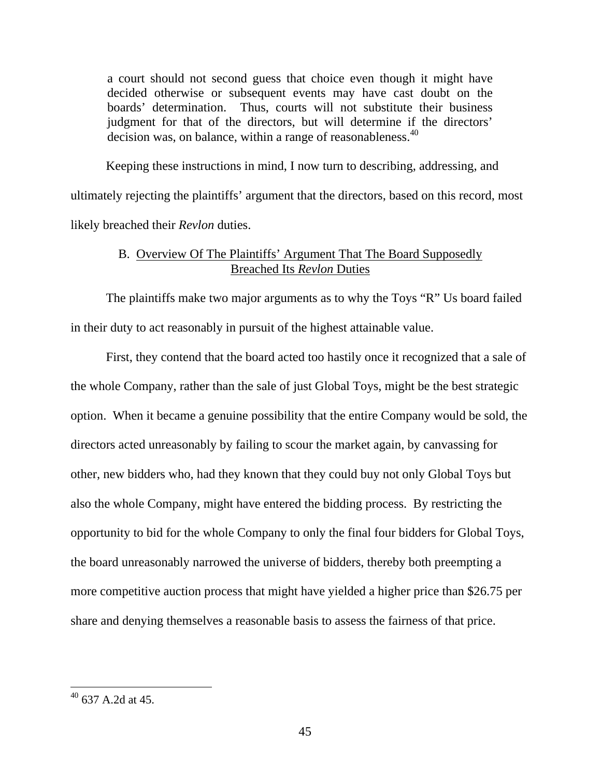a court should not second guess that choice even though it might have decided otherwise or subsequent events may have cast doubt on the boards' determination. Thus, courts will not substitute their business judgment for that of the directors, but will determine if the directors' decision was, on balance, within a range of reasonableness.<sup>40</sup>

 Keeping these instructions in mind, I now turn to describing, addressing, and ultimately rejecting the plaintiffs' argument that the directors, based on this record, most likely breached their *Revlon* duties.

# B. Overview Of The Plaintiffs' Argument That The Board Supposedly Breached Its *Revlon* Duties

 The plaintiffs make two major arguments as to why the Toys "R" Us board failed in their duty to act reasonably in pursuit of the highest attainable value.

 First, they contend that the board acted too hastily once it recognized that a sale of the whole Company, rather than the sale of just Global Toys, might be the best strategic option. When it became a genuine possibility that the entire Company would be sold, the directors acted unreasonably by failing to scour the market again, by canvassing for other, new bidders who, had they known that they could buy not only Global Toys but also the whole Company, might have entered the bidding process. By restricting the opportunity to bid for the whole Company to only the final four bidders for Global Toys, the board unreasonably narrowed the universe of bidders, thereby both preempting a more competitive auction process that might have yielded a higher price than \$26.75 per share and denying themselves a reasonable basis to assess the fairness of that price.

 $40$  637 A.2d at 45.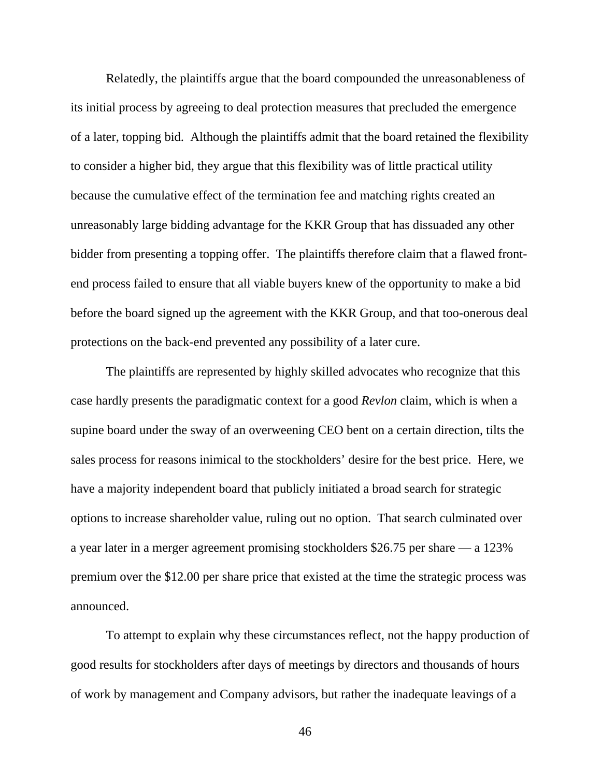Relatedly, the plaintiffs argue that the board compounded the unreasonableness of its initial process by agreeing to deal protection measures that precluded the emergence of a later, topping bid. Although the plaintiffs admit that the board retained the flexibility to consider a higher bid, they argue that this flexibility was of little practical utility because the cumulative effect of the termination fee and matching rights created an unreasonably large bidding advantage for the KKR Group that has dissuaded any other bidder from presenting a topping offer. The plaintiffs therefore claim that a flawed frontend process failed to ensure that all viable buyers knew of the opportunity to make a bid before the board signed up the agreement with the KKR Group, and that too-onerous deal protections on the back-end prevented any possibility of a later cure.

 The plaintiffs are represented by highly skilled advocates who recognize that this case hardly presents the paradigmatic context for a good *Revlon* claim, which is when a supine board under the sway of an overweening CEO bent on a certain direction, tilts the sales process for reasons inimical to the stockholders' desire for the best price. Here, we have a majority independent board that publicly initiated a broad search for strategic options to increase shareholder value, ruling out no option. That search culminated over a year later in a merger agreement promising stockholders \$26.75 per share — a 123% premium over the \$12.00 per share price that existed at the time the strategic process was announced.

 To attempt to explain why these circumstances reflect, not the happy production of good results for stockholders after days of meetings by directors and thousands of hours of work by management and Company advisors, but rather the inadequate leavings of a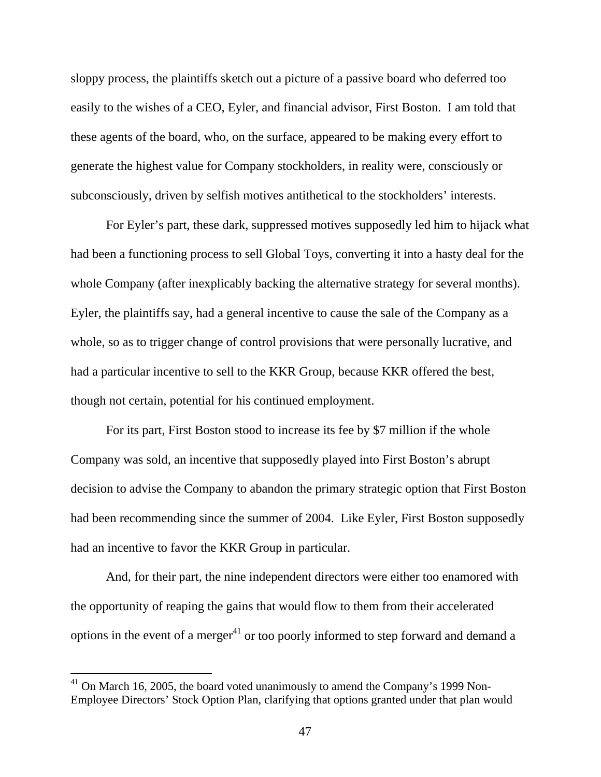sloppy process, the plaintiffs sketch out a picture of a passive board who deferred too easily to the wishes of a CEO, Eyler, and financial advisor, First Boston. I am told that these agents of the board, who, on the surface, appeared to be making every effort to generate the highest value for Company stockholders, in reality were, consciously or subconsciously, driven by selfish motives antithetical to the stockholders' interests.

For Eyler's part, these dark, suppressed motives supposedly led him to hijack what had been a functioning process to sell Global Toys, converting it into a hasty deal for the whole Company (after inexplicably backing the alternative strategy for several months). Eyler, the plaintiffs say, had a general incentive to cause the sale of the Company as a whole, so as to trigger change of control provisions that were personally lucrative, and had a particular incentive to sell to the KKR Group, because KKR offered the best, though not certain, potential for his continued employment.

For its part, First Boston stood to increase its fee by \$7 million if the whole Company was sold, an incentive that supposedly played into First Boston's abrupt decision to advise the Company to abandon the primary strategic option that First Boston had been recommending since the summer of 2004. Like Eyler, First Boston supposedly had an incentive to favor the KKR Group in particular.

 And, for their part, the nine independent directors were either too enamored with the opportunity of reaping the gains that would flow to them from their accelerated options in the event of a merger<sup>41</sup> or too poorly informed to step forward and demand a

 $41$  On March 16, 2005, the board voted unanimously to amend the Company's 1999 Non-Employee Directors' Stock Option Plan, clarifying that options granted under that plan would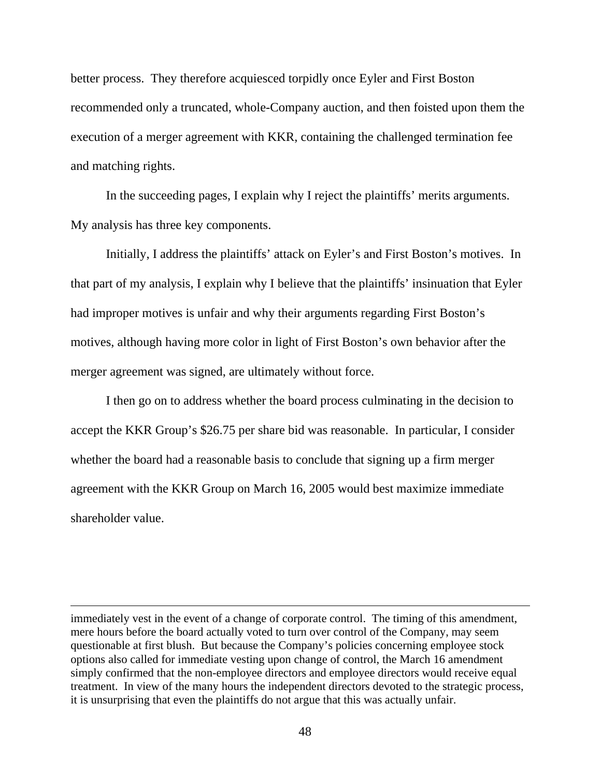better process. They therefore acquiesced torpidly once Eyler and First Boston recommended only a truncated, whole-Company auction, and then foisted upon them the execution of a merger agreement with KKR, containing the challenged termination fee and matching rights.

 In the succeeding pages, I explain why I reject the plaintiffs' merits arguments. My analysis has three key components.

 Initially, I address the plaintiffs' attack on Eyler's and First Boston's motives. In that part of my analysis, I explain why I believe that the plaintiffs' insinuation that Eyler had improper motives is unfair and why their arguments regarding First Boston's motives, although having more color in light of First Boston's own behavior after the merger agreement was signed, are ultimately without force.

 I then go on to address whether the board process culminating in the decision to accept the KKR Group's \$26.75 per share bid was reasonable. In particular, I consider whether the board had a reasonable basis to conclude that signing up a firm merger agreement with the KKR Group on March 16, 2005 would best maximize immediate shareholder value.

immediately vest in the event of a change of corporate control. The timing of this amendment, mere hours before the board actually voted to turn over control of the Company, may seem questionable at first blush. But because the Company's policies concerning employee stock options also called for immediate vesting upon change of control, the March 16 amendment simply confirmed that the non-employee directors and employee directors would receive equal treatment. In view of the many hours the independent directors devoted to the strategic process, it is unsurprising that even the plaintiffs do not argue that this was actually unfair.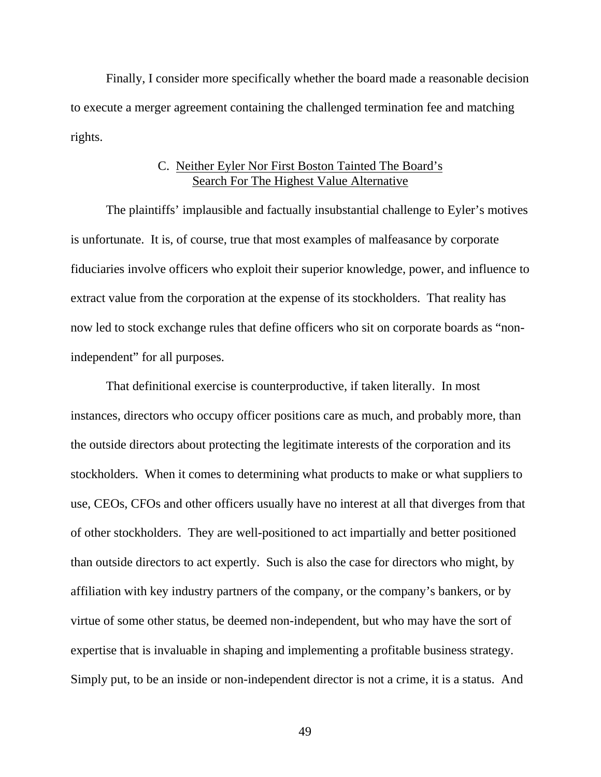Finally, I consider more specifically whether the board made a reasonable decision to execute a merger agreement containing the challenged termination fee and matching rights.

## C. Neither Eyler Nor First Boston Tainted The Board's Search For The Highest Value Alternative

 The plaintiffs' implausible and factually insubstantial challenge to Eyler's motives is unfortunate. It is, of course, true that most examples of malfeasance by corporate fiduciaries involve officers who exploit their superior knowledge, power, and influence to extract value from the corporation at the expense of its stockholders. That reality has now led to stock exchange rules that define officers who sit on corporate boards as "nonindependent" for all purposes.

 That definitional exercise is counterproductive, if taken literally. In most instances, directors who occupy officer positions care as much, and probably more, than the outside directors about protecting the legitimate interests of the corporation and its stockholders. When it comes to determining what products to make or what suppliers to use, CEOs, CFOs and other officers usually have no interest at all that diverges from that of other stockholders. They are well-positioned to act impartially and better positioned than outside directors to act expertly. Such is also the case for directors who might, by affiliation with key industry partners of the company, or the company's bankers, or by virtue of some other status, be deemed non-independent, but who may have the sort of expertise that is invaluable in shaping and implementing a profitable business strategy. Simply put, to be an inside or non-independent director is not a crime, it is a status. And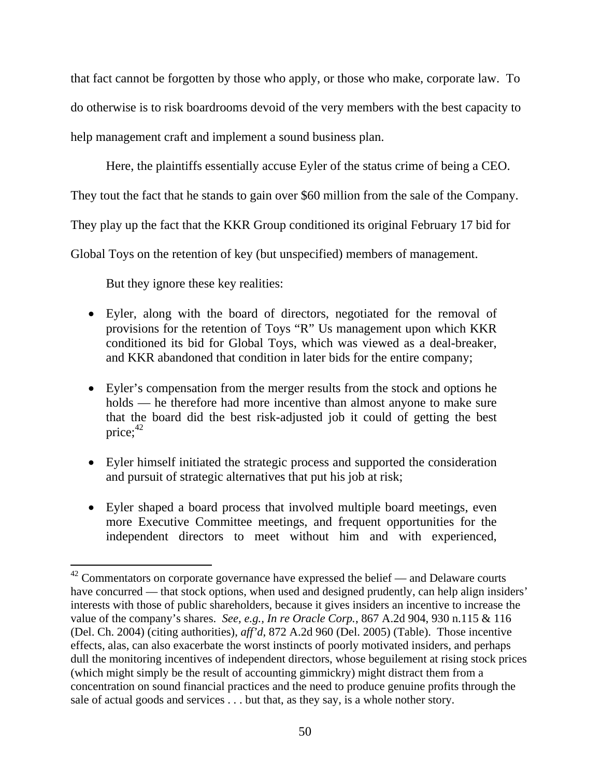that fact cannot be forgotten by those who apply, or those who make, corporate law. To do otherwise is to risk boardrooms devoid of the very members with the best capacity to help management craft and implement a sound business plan.

Here, the plaintiffs essentially accuse Eyler of the status crime of being a CEO.

They tout the fact that he stands to gain over \$60 million from the sale of the Company.

They play up the fact that the KKR Group conditioned its original February 17 bid for

Global Toys on the retention of key (but unspecified) members of management.

But they ignore these key realities:

- Eyler, along with the board of directors, negotiated for the removal of provisions for the retention of Toys "R" Us management upon which KKR conditioned its bid for Global Toys, which was viewed as a deal-breaker, and KKR abandoned that condition in later bids for the entire company;
- Eyler's compensation from the merger results from the stock and options he holds — he therefore had more incentive than almost anyone to make sure that the board did the best risk-adjusted job it could of getting the best price; $42$
- Eyler himself initiated the strategic process and supported the consideration and pursuit of strategic alternatives that put his job at risk;
- Eyler shaped a board process that involved multiple board meetings, even more Executive Committee meetings, and frequent opportunities for the independent directors to meet without him and with experienced,

 $42$  Commentators on corporate governance have expressed the belief — and Delaware courts have concurred — that stock options, when used and designed prudently, can help align insiders' interests with those of public shareholders, because it gives insiders an incentive to increase the value of the company's shares. *See, e.g., In re Oracle Corp.*, 867 A.2d 904, 930 n.115 & 116 (Del. Ch. 2004) (citing authorities), *aff'd*, 872 A.2d 960 (Del. 2005) (Table). Those incentive effects, alas, can also exacerbate the worst instincts of poorly motivated insiders, and perhaps dull the monitoring incentives of independent directors, whose beguilement at rising stock prices (which might simply be the result of accounting gimmickry) might distract them from a concentration on sound financial practices and the need to produce genuine profits through the sale of actual goods and services . . . but that, as they say, is a whole nother story.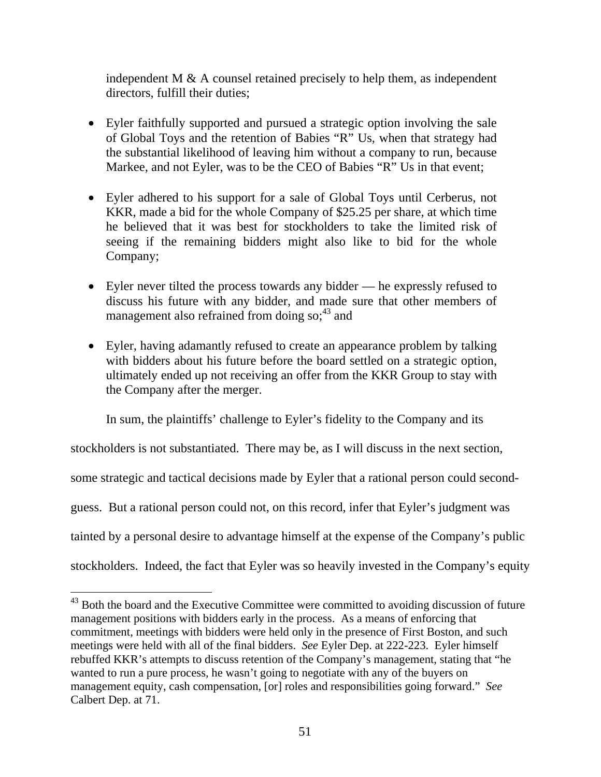independent M  $\&$  A counsel retained precisely to help them, as independent directors, fulfill their duties;

- Eyler faithfully supported and pursued a strategic option involving the sale of Global Toys and the retention of Babies "R" Us, when that strategy had the substantial likelihood of leaving him without a company to run, because Markee, and not Eyler, was to be the CEO of Babies "R" Us in that event;
- Eyler adhered to his support for a sale of Global Toys until Cerberus, not KKR, made a bid for the whole Company of \$25.25 per share, at which time he believed that it was best for stockholders to take the limited risk of seeing if the remaining bidders might also like to bid for the whole Company;
- Eyler never tilted the process towards any bidder he expressly refused to discuss his future with any bidder, and made sure that other members of management also refrained from doing  $\text{so;}^{\text{43}}$  and
- Eyler, having adamantly refused to create an appearance problem by talking with bidders about his future before the board settled on a strategic option, ultimately ended up not receiving an offer from the KKR Group to stay with the Company after the merger.

In sum, the plaintiffs' challenge to Eyler's fidelity to the Company and its

stockholders is not substantiated. There may be, as I will discuss in the next section,

some strategic and tactical decisions made by Eyler that a rational person could second-

guess. But a rational person could not, on this record, infer that Eyler's judgment was

tainted by a personal desire to advantage himself at the expense of the Company's public

stockholders. Indeed, the fact that Eyler was so heavily invested in the Company's equity

<sup>&</sup>lt;sup>43</sup> Both the board and the Executive Committee were committed to avoiding discussion of future management positions with bidders early in the process. As a means of enforcing that commitment, meetings with bidders were held only in the presence of First Boston, and such meetings were held with all of the final bidders. *See* Eyler Dep. at 222-223. Eyler himself rebuffed KKR's attempts to discuss retention of the Company's management, stating that "he wanted to run a pure process, he wasn't going to negotiate with any of the buyers on management equity, cash compensation, [or] roles and responsibilities going forward." *See* Calbert Dep. at 71.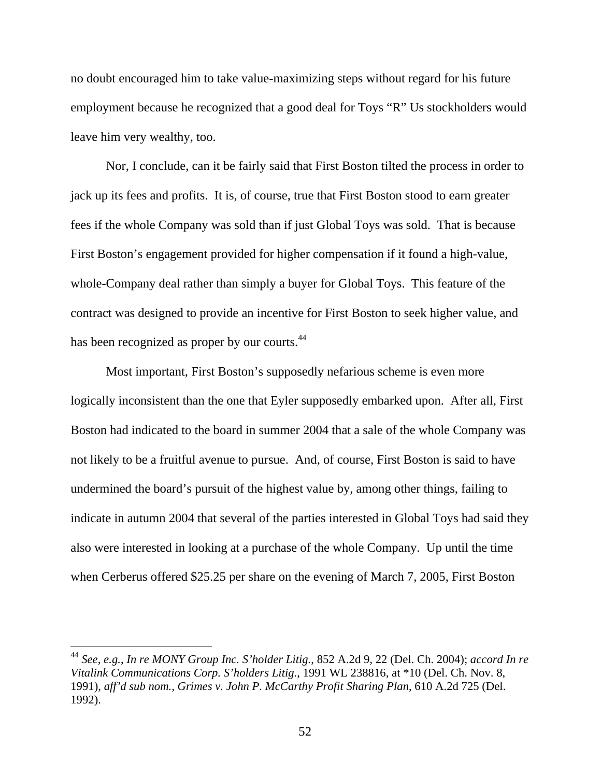no doubt encouraged him to take value-maximizing steps without regard for his future employment because he recognized that a good deal for Toys "R" Us stockholders would leave him very wealthy, too.

 Nor, I conclude, can it be fairly said that First Boston tilted the process in order to jack up its fees and profits. It is, of course, true that First Boston stood to earn greater fees if the whole Company was sold than if just Global Toys was sold. That is because First Boston's engagement provided for higher compensation if it found a high-value, whole-Company deal rather than simply a buyer for Global Toys. This feature of the contract was designed to provide an incentive for First Boston to seek higher value, and has been recognized as proper by our courts.<sup>44</sup>

 Most important, First Boston's supposedly nefarious scheme is even more logically inconsistent than the one that Eyler supposedly embarked upon. After all, First Boston had indicated to the board in summer 2004 that a sale of the whole Company was not likely to be a fruitful avenue to pursue. And, of course, First Boston is said to have undermined the board's pursuit of the highest value by, among other things, failing to indicate in autumn 2004 that several of the parties interested in Global Toys had said they also were interested in looking at a purchase of the whole Company. Up until the time when Cerberus offered \$25.25 per share on the evening of March 7, 2005, First Boston

<sup>44</sup> *See, e.g.*, *In re MONY Group Inc. S'holder Litig.*, 852 A.2d 9, 22 (Del. Ch. 2004); *accord In re Vitalink Communications Corp. S'holders Litig.*, 1991 WL 238816, at \*10 (Del. Ch. Nov. 8, 1991), *aff'd sub nom.*, *Grimes v. John P. McCarthy Profit Sharing Plan*, 610 A.2d 725 (Del. 1992).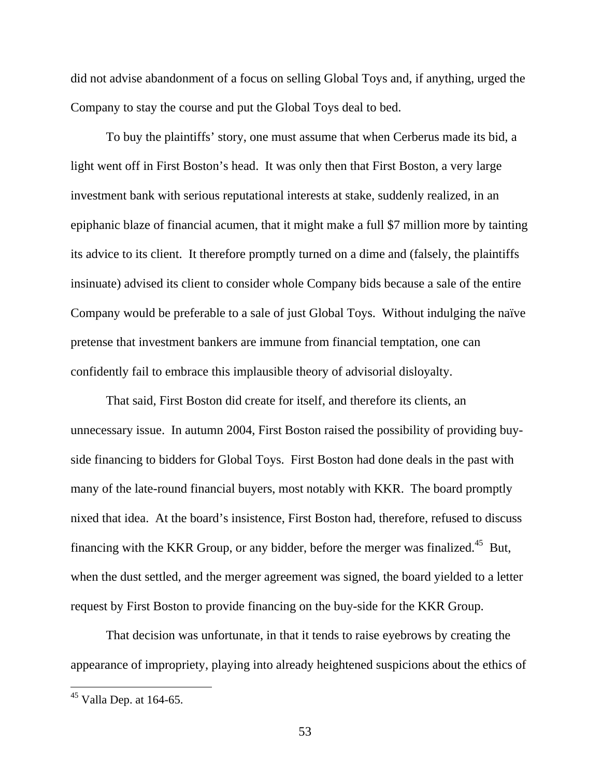did not advise abandonment of a focus on selling Global Toys and, if anything, urged the Company to stay the course and put the Global Toys deal to bed.

To buy the plaintiffs' story, one must assume that when Cerberus made its bid, a light went off in First Boston's head. It was only then that First Boston, a very large investment bank with serious reputational interests at stake, suddenly realized, in an epiphanic blaze of financial acumen, that it might make a full \$7 million more by tainting its advice to its client. It therefore promptly turned on a dime and (falsely, the plaintiffs insinuate) advised its client to consider whole Company bids because a sale of the entire Company would be preferable to a sale of just Global Toys. Without indulging the naïve pretense that investment bankers are immune from financial temptation, one can confidently fail to embrace this implausible theory of advisorial disloyalty.

 That said, First Boston did create for itself, and therefore its clients, an unnecessary issue. In autumn 2004, First Boston raised the possibility of providing buyside financing to bidders for Global Toys. First Boston had done deals in the past with many of the late-round financial buyers, most notably with KKR. The board promptly nixed that idea. At the board's insistence, First Boston had, therefore, refused to discuss financing with the KKR Group, or any bidder, before the merger was finalized.45 But, when the dust settled, and the merger agreement was signed, the board yielded to a letter request by First Boston to provide financing on the buy-side for the KKR Group.

 That decision was unfortunate, in that it tends to raise eyebrows by creating the appearance of impropriety, playing into already heightened suspicions about the ethics of

 $45$  Valla Dep. at 164-65.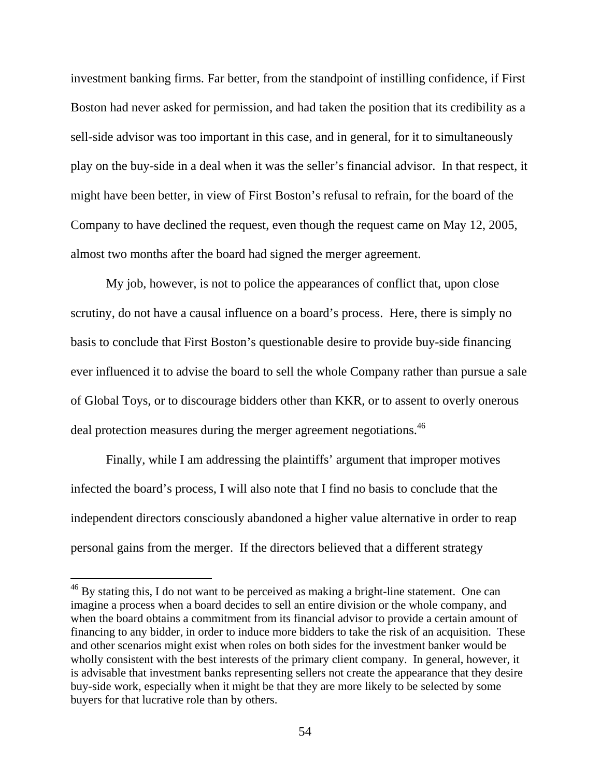investment banking firms. Far better, from the standpoint of instilling confidence, if First Boston had never asked for permission, and had taken the position that its credibility as a sell-side advisor was too important in this case, and in general, for it to simultaneously play on the buy-side in a deal when it was the seller's financial advisor. In that respect, it might have been better, in view of First Boston's refusal to refrain, for the board of the Company to have declined the request, even though the request came on May 12, 2005, almost two months after the board had signed the merger agreement.

 My job, however, is not to police the appearances of conflict that, upon close scrutiny, do not have a causal influence on a board's process. Here, there is simply no basis to conclude that First Boston's questionable desire to provide buy-side financing ever influenced it to advise the board to sell the whole Company rather than pursue a sale of Global Toys, or to discourage bidders other than KKR, or to assent to overly onerous deal protection measures during the merger agreement negotiations.<sup>46</sup>

 Finally, while I am addressing the plaintiffs' argument that improper motives infected the board's process, I will also note that I find no basis to conclude that the independent directors consciously abandoned a higher value alternative in order to reap personal gains from the merger. If the directors believed that a different strategy

 $46$  By stating this, I do not want to be perceived as making a bright-line statement. One can imagine a process when a board decides to sell an entire division or the whole company, and when the board obtains a commitment from its financial advisor to provide a certain amount of financing to any bidder, in order to induce more bidders to take the risk of an acquisition. These and other scenarios might exist when roles on both sides for the investment banker would be wholly consistent with the best interests of the primary client company. In general, however, it is advisable that investment banks representing sellers not create the appearance that they desire buy-side work, especially when it might be that they are more likely to be selected by some buyers for that lucrative role than by others.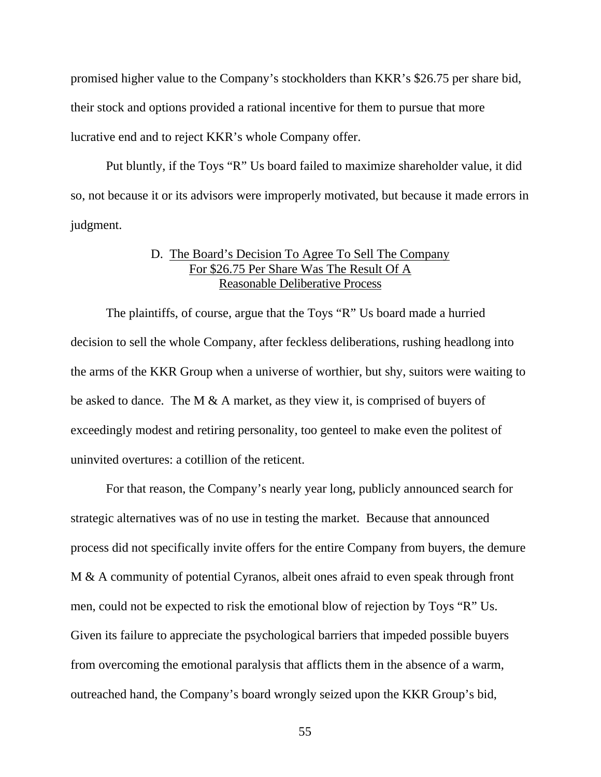promised higher value to the Company's stockholders than KKR's \$26.75 per share bid, their stock and options provided a rational incentive for them to pursue that more lucrative end and to reject KKR's whole Company offer.

 Put bluntly, if the Toys "R" Us board failed to maximize shareholder value, it did so, not because it or its advisors were improperly motivated, but because it made errors in judgment.

# D. The Board's Decision To Agree To Sell The Company For \$26.75 Per Share Was The Result Of A Reasonable Deliberative Process

 The plaintiffs, of course, argue that the Toys "R" Us board made a hurried decision to sell the whole Company, after feckless deliberations, rushing headlong into the arms of the KKR Group when a universe of worthier, but shy, suitors were waiting to be asked to dance. The M  $\&$  A market, as they view it, is comprised of buyers of exceedingly modest and retiring personality, too genteel to make even the politest of uninvited overtures: a cotillion of the reticent.

 For that reason, the Company's nearly year long, publicly announced search for strategic alternatives was of no use in testing the market. Because that announced process did not specifically invite offers for the entire Company from buyers, the demure M & A community of potential Cyranos, albeit ones afraid to even speak through front men, could not be expected to risk the emotional blow of rejection by Toys "R" Us. Given its failure to appreciate the psychological barriers that impeded possible buyers from overcoming the emotional paralysis that afflicts them in the absence of a warm, outreached hand, the Company's board wrongly seized upon the KKR Group's bid,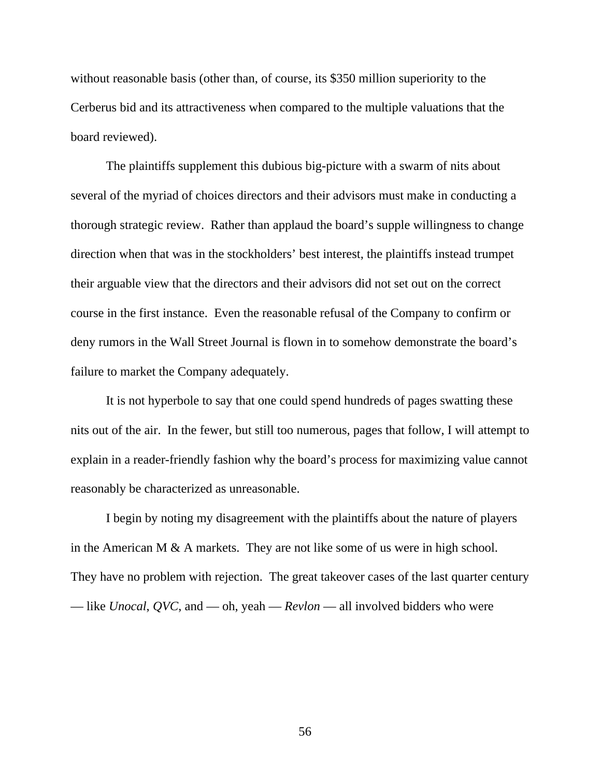without reasonable basis (other than, of course, its \$350 million superiority to the Cerberus bid and its attractiveness when compared to the multiple valuations that the board reviewed).

The plaintiffs supplement this dubious big-picture with a swarm of nits about several of the myriad of choices directors and their advisors must make in conducting a thorough strategic review. Rather than applaud the board's supple willingness to change direction when that was in the stockholders' best interest, the plaintiffs instead trumpet their arguable view that the directors and their advisors did not set out on the correct course in the first instance. Even the reasonable refusal of the Company to confirm or deny rumors in the Wall Street Journal is flown in to somehow demonstrate the board's failure to market the Company adequately.

It is not hyperbole to say that one could spend hundreds of pages swatting these nits out of the air. In the fewer, but still too numerous, pages that follow, I will attempt to explain in a reader-friendly fashion why the board's process for maximizing value cannot reasonably be characterized as unreasonable.

I begin by noting my disagreement with the plaintiffs about the nature of players in the American M & A markets. They are not like some of us were in high school. They have no problem with rejection. The great takeover cases of the last quarter century — like *Unocal*, *QVC*, and — oh, yeah — *Revlon* — all involved bidders who were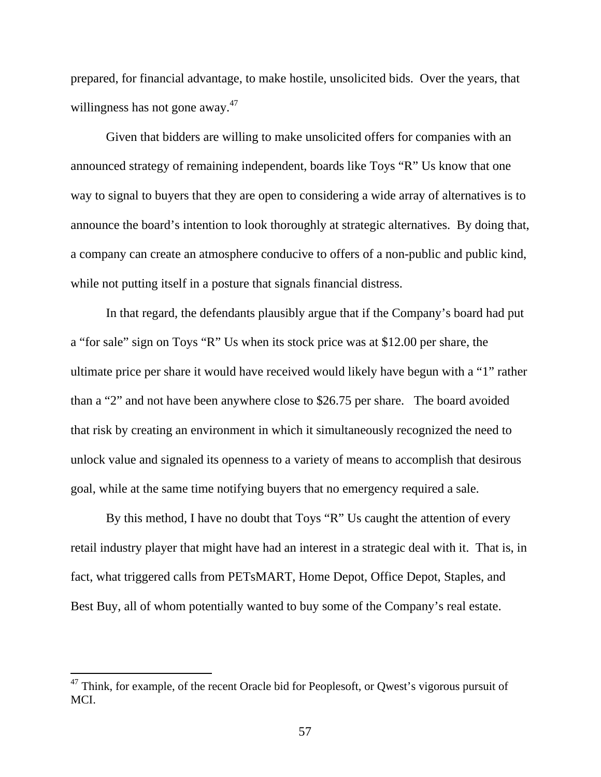prepared, for financial advantage, to make hostile, unsolicited bids. Over the years, that willingness has not gone away.<sup>47</sup>

 Given that bidders are willing to make unsolicited offers for companies with an announced strategy of remaining independent, boards like Toys "R" Us know that one way to signal to buyers that they are open to considering a wide array of alternatives is to announce the board's intention to look thoroughly at strategic alternatives. By doing that, a company can create an atmosphere conducive to offers of a non-public and public kind, while not putting itself in a posture that signals financial distress.

 In that regard, the defendants plausibly argue that if the Company's board had put a "for sale" sign on Toys "R" Us when its stock price was at \$12.00 per share, the ultimate price per share it would have received would likely have begun with a "1" rather than a "2" and not have been anywhere close to \$26.75 per share. The board avoided that risk by creating an environment in which it simultaneously recognized the need to unlock value and signaled its openness to a variety of means to accomplish that desirous goal, while at the same time notifying buyers that no emergency required a sale.

 By this method, I have no doubt that Toys "R" Us caught the attention of every retail industry player that might have had an interest in a strategic deal with it. That is, in fact, what triggered calls from PETsMART, Home Depot, Office Depot, Staples, and Best Buy, all of whom potentially wanted to buy some of the Company's real estate.

 $47$  Think, for example, of the recent Oracle bid for Peoplesoft, or Qwest's vigorous pursuit of MCI.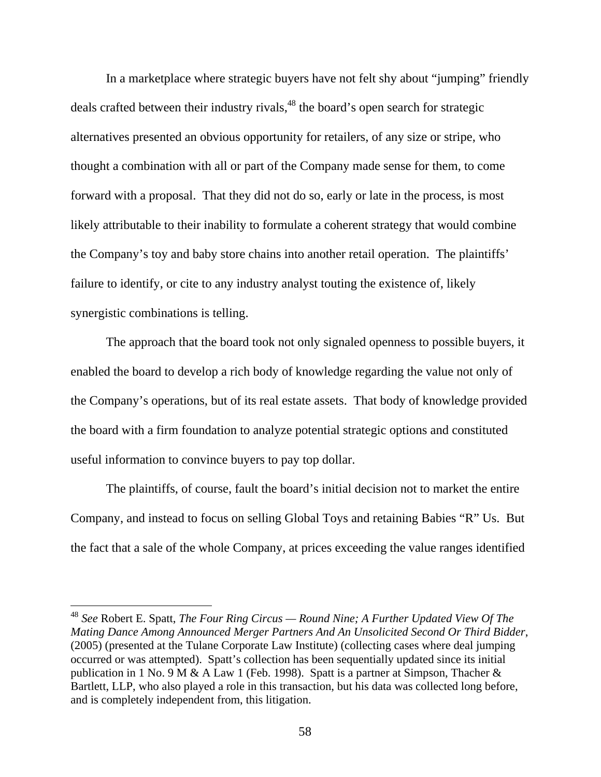In a marketplace where strategic buyers have not felt shy about "jumping" friendly deals crafted between their industry rivals,<sup>48</sup> the board's open search for strategic alternatives presented an obvious opportunity for retailers, of any size or stripe, who thought a combination with all or part of the Company made sense for them, to come forward with a proposal. That they did not do so, early or late in the process, is most likely attributable to their inability to formulate a coherent strategy that would combine the Company's toy and baby store chains into another retail operation. The plaintiffs' failure to identify, or cite to any industry analyst touting the existence of, likely synergistic combinations is telling.

 The approach that the board took not only signaled openness to possible buyers, it enabled the board to develop a rich body of knowledge regarding the value not only of the Company's operations, but of its real estate assets. That body of knowledge provided the board with a firm foundation to analyze potential strategic options and constituted useful information to convince buyers to pay top dollar.

 The plaintiffs, of course, fault the board's initial decision not to market the entire Company, and instead to focus on selling Global Toys and retaining Babies "R" Us. But the fact that a sale of the whole Company, at prices exceeding the value ranges identified

<sup>48</sup> *See* Robert E. Spatt, *The Four Ring Circus — Round Nine; A Further Updated View Of The Mating Dance Among Announced Merger Partners And An Unsolicited Second Or Third Bidder*, (2005) (presented at the Tulane Corporate Law Institute) (collecting cases where deal jumping occurred or was attempted). Spatt's collection has been sequentially updated since its initial publication in 1 No. 9 M & A Law 1 (Feb. 1998). Spatt is a partner at Simpson, Thacher & Bartlett, LLP, who also played a role in this transaction, but his data was collected long before, and is completely independent from, this litigation.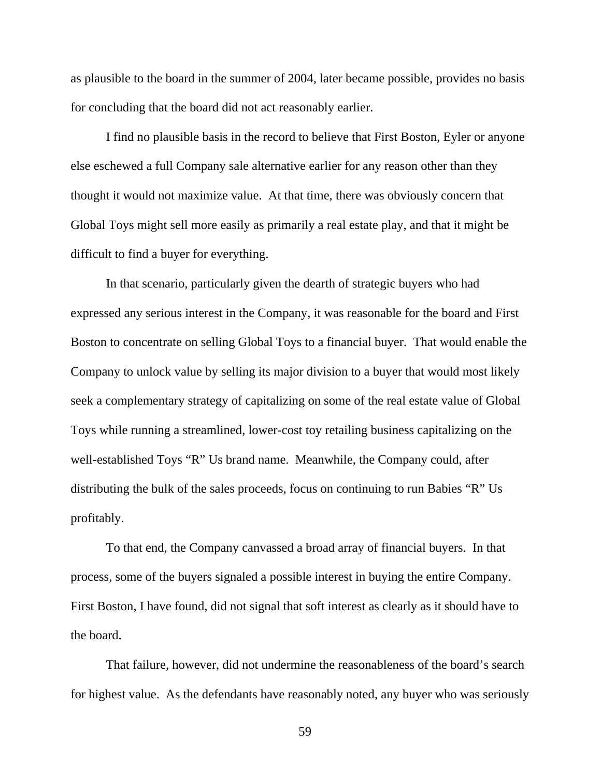as plausible to the board in the summer of 2004, later became possible, provides no basis for concluding that the board did not act reasonably earlier.

 I find no plausible basis in the record to believe that First Boston, Eyler or anyone else eschewed a full Company sale alternative earlier for any reason other than they thought it would not maximize value. At that time, there was obviously concern that Global Toys might sell more easily as primarily a real estate play, and that it might be difficult to find a buyer for everything.

 In that scenario, particularly given the dearth of strategic buyers who had expressed any serious interest in the Company, it was reasonable for the board and First Boston to concentrate on selling Global Toys to a financial buyer. That would enable the Company to unlock value by selling its major division to a buyer that would most likely seek a complementary strategy of capitalizing on some of the real estate value of Global Toys while running a streamlined, lower-cost toy retailing business capitalizing on the well-established Toys "R" Us brand name. Meanwhile, the Company could, after distributing the bulk of the sales proceeds, focus on continuing to run Babies "R" Us profitably.

 To that end, the Company canvassed a broad array of financial buyers. In that process, some of the buyers signaled a possible interest in buying the entire Company. First Boston, I have found, did not signal that soft interest as clearly as it should have to the board.

 That failure, however, did not undermine the reasonableness of the board's search for highest value. As the defendants have reasonably noted, any buyer who was seriously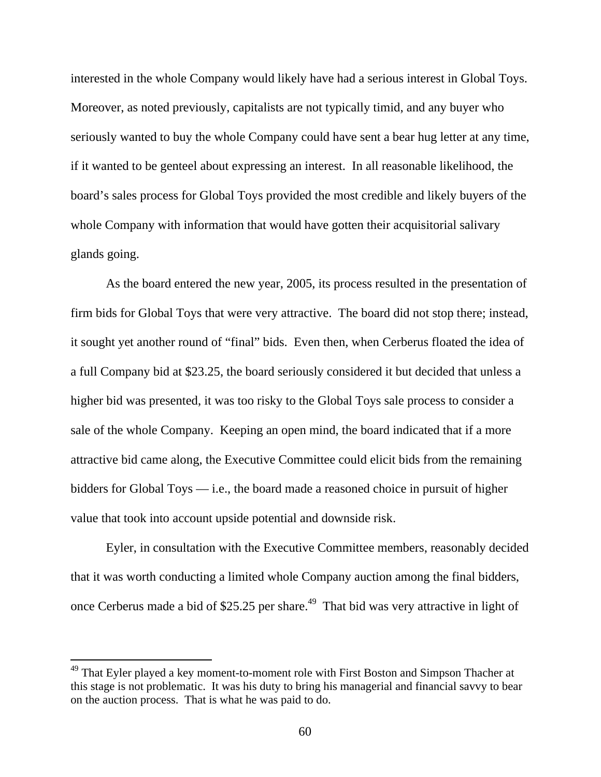interested in the whole Company would likely have had a serious interest in Global Toys. Moreover, as noted previously, capitalists are not typically timid, and any buyer who seriously wanted to buy the whole Company could have sent a bear hug letter at any time, if it wanted to be genteel about expressing an interest. In all reasonable likelihood, the board's sales process for Global Toys provided the most credible and likely buyers of the whole Company with information that would have gotten their acquisitorial salivary glands going.

 As the board entered the new year, 2005, its process resulted in the presentation of firm bids for Global Toys that were very attractive. The board did not stop there; instead, it sought yet another round of "final" bids. Even then, when Cerberus floated the idea of a full Company bid at \$23.25, the board seriously considered it but decided that unless a higher bid was presented, it was too risky to the Global Toys sale process to consider a sale of the whole Company. Keeping an open mind, the board indicated that if a more attractive bid came along, the Executive Committee could elicit bids from the remaining bidders for Global Toys  $-$  i.e., the board made a reasoned choice in pursuit of higher value that took into account upside potential and downside risk.

 Eyler, in consultation with the Executive Committee members, reasonably decided that it was worth conducting a limited whole Company auction among the final bidders, once Cerberus made a bid of \$25.25 per share.<sup>49</sup> That bid was very attractive in light of

<sup>&</sup>lt;sup>49</sup> That Eyler played a key moment-to-moment role with First Boston and Simpson Thacher at this stage is not problematic. It was his duty to bring his managerial and financial savvy to bear on the auction process. That is what he was paid to do.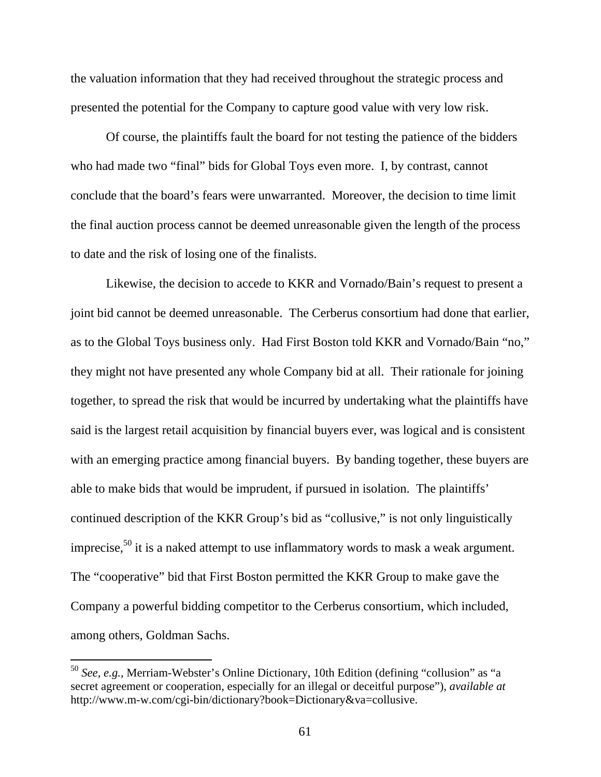the valuation information that they had received throughout the strategic process and presented the potential for the Company to capture good value with very low risk.

 Of course, the plaintiffs fault the board for not testing the patience of the bidders who had made two "final" bids for Global Toys even more. I, by contrast, cannot conclude that the board's fears were unwarranted. Moreover, the decision to time limit the final auction process cannot be deemed unreasonable given the length of the process to date and the risk of losing one of the finalists.

 Likewise, the decision to accede to KKR and Vornado/Bain's request to present a joint bid cannot be deemed unreasonable. The Cerberus consortium had done that earlier, as to the Global Toys business only. Had First Boston told KKR and Vornado/Bain "no," they might not have presented any whole Company bid at all. Their rationale for joining together, to spread the risk that would be incurred by undertaking what the plaintiffs have said is the largest retail acquisition by financial buyers ever, was logical and is consistent with an emerging practice among financial buyers. By banding together, these buyers are able to make bids that would be imprudent, if pursued in isolation. The plaintiffs' continued description of the KKR Group's bid as "collusive," is not only linguistically imprecise,<sup>50</sup> it is a naked attempt to use inflammatory words to mask a weak argument. The "cooperative" bid that First Boston permitted the KKR Group to make gave the Company a powerful bidding competitor to the Cerberus consortium, which included, among others, Goldman Sachs.

<sup>50</sup> *See, e.g.*, Merriam-Webster's Online Dictionary, 10th Edition (defining "collusion" as "a secret agreement or cooperation, especially for an illegal or deceitful purpose"), *available at*  http://www.m-w.com/cgi-bin/dictionary?book=Dictionary&va=collusive.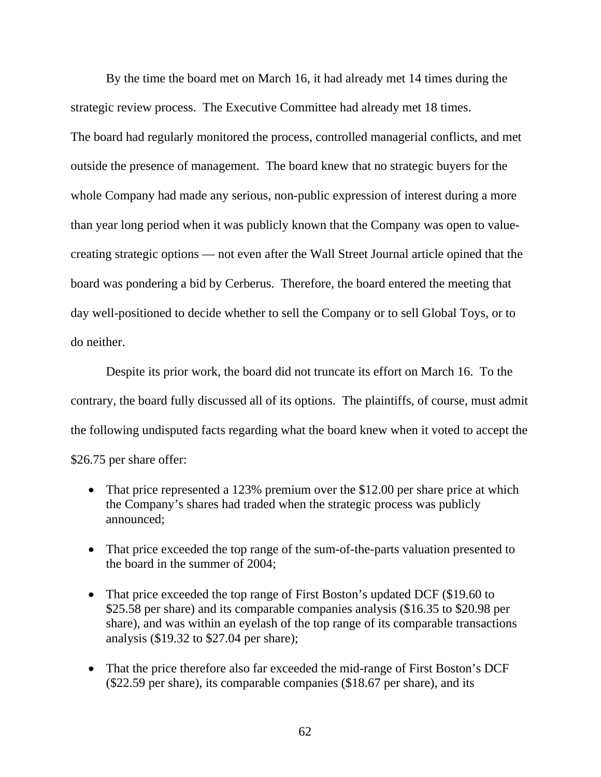By the time the board met on March 16, it had already met 14 times during the strategic review process. The Executive Committee had already met 18 times. The board had regularly monitored the process, controlled managerial conflicts, and met outside the presence of management. The board knew that no strategic buyers for the whole Company had made any serious, non-public expression of interest during a more than year long period when it was publicly known that the Company was open to valuecreating strategic options — not even after the Wall Street Journal article opined that the board was pondering a bid by Cerberus. Therefore, the board entered the meeting that day well-positioned to decide whether to sell the Company or to sell Global Toys, or to do neither.

 Despite its prior work, the board did not truncate its effort on March 16. To the contrary, the board fully discussed all of its options. The plaintiffs, of course, must admit the following undisputed facts regarding what the board knew when it voted to accept the \$26.75 per share offer:

- That price represented a 123% premium over the \$12.00 per share price at which the Company's shares had traded when the strategic process was publicly announced;
- That price exceeded the top range of the sum-of-the-parts valuation presented to the board in the summer of 2004;
- That price exceeded the top range of First Boston's updated DCF (\$19.60 to \$25.58 per share) and its comparable companies analysis (\$16.35 to \$20.98 per share), and was within an eyelash of the top range of its comparable transactions analysis (\$19.32 to \$27.04 per share);
- That the price therefore also far exceeded the mid-range of First Boston's DCF (\$22.59 per share), its comparable companies (\$18.67 per share), and its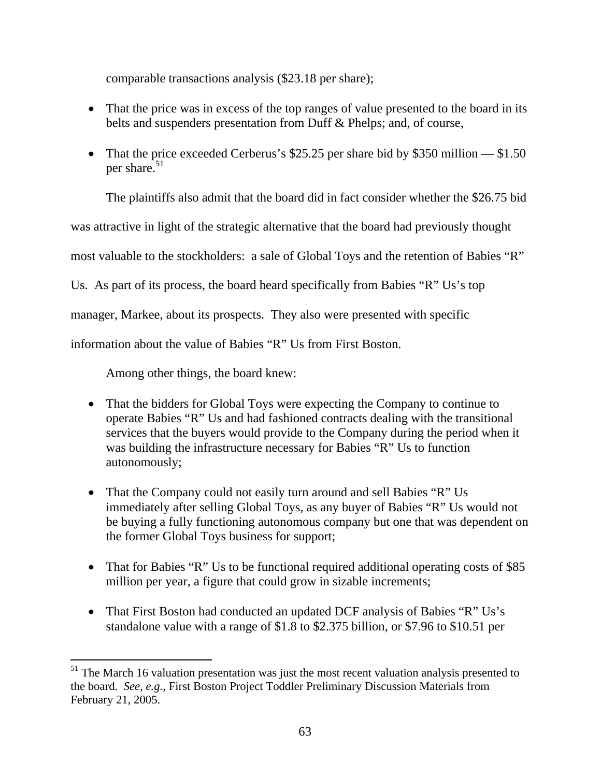comparable transactions analysis (\$23.18 per share);

- That the price was in excess of the top ranges of value presented to the board in its belts and suspenders presentation from Duff & Phelps; and, of course,
- That the price exceeded Cerberus's \$25.25 per share bid by \$350 million  $-$  \$1.50 per share. $51$

The plaintiffs also admit that the board did in fact consider whether the \$26.75 bid

was attractive in light of the strategic alternative that the board had previously thought

most valuable to the stockholders: a sale of Global Toys and the retention of Babies "R"

Us. As part of its process, the board heard specifically from Babies "R" Us's top

manager, Markee, about its prospects. They also were presented with specific

information about the value of Babies "R" Us from First Boston.

Among other things, the board knew:

- That the bidders for Global Toys were expecting the Company to continue to operate Babies "R" Us and had fashioned contracts dealing with the transitional services that the buyers would provide to the Company during the period when it was building the infrastructure necessary for Babies "R" Us to function autonomously;
- That the Company could not easily turn around and sell Babies "R" Us immediately after selling Global Toys, as any buyer of Babies "R" Us would not be buying a fully functioning autonomous company but one that was dependent on the former Global Toys business for support;
- That for Babies "R" Us to be functional required additional operating costs of \$85 million per year, a figure that could grow in sizable increments;
- That First Boston had conducted an updated DCF analysis of Babies "R" Us's standalone value with a range of \$1.8 to \$2.375 billion, or \$7.96 to \$10.51 per

 $<sup>51</sup>$  The March 16 valuation presentation was just the most recent valuation analysis presented to</sup> the board. *See, e.g.*, First Boston Project Toddler Preliminary Discussion Materials from February 21, 2005.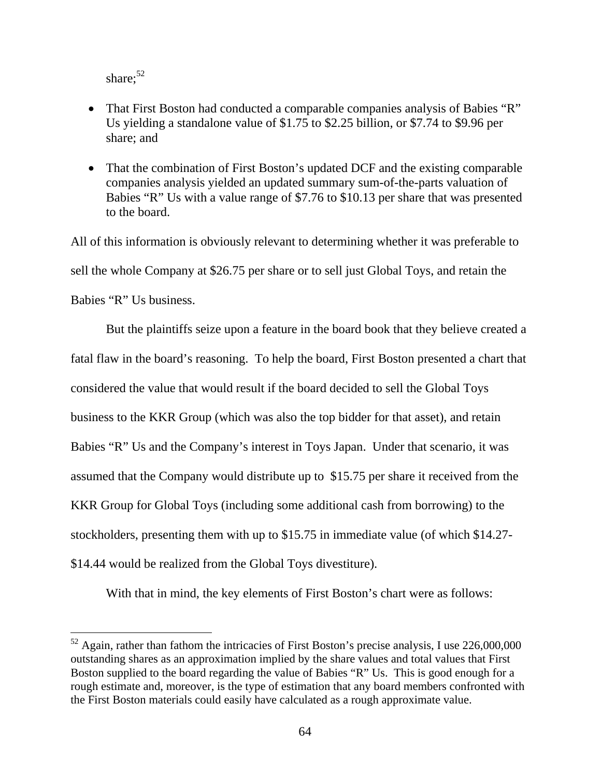share:<sup>52</sup>

 $\overline{a}$ 

- That First Boston had conducted a comparable companies analysis of Babies "R" Us yielding a standalone value of \$1.75 to \$2.25 billion, or \$7.74 to \$9.96 per share; and
- That the combination of First Boston's updated DCF and the existing comparable companies analysis yielded an updated summary sum-of-the-parts valuation of Babies "R" Us with a value range of \$7.76 to \$10.13 per share that was presented to the board.

All of this information is obviously relevant to determining whether it was preferable to sell the whole Company at \$26.75 per share or to sell just Global Toys, and retain the Babies "R" Us business.

 But the plaintiffs seize upon a feature in the board book that they believe created a fatal flaw in the board's reasoning. To help the board, First Boston presented a chart that considered the value that would result if the board decided to sell the Global Toys business to the KKR Group (which was also the top bidder for that asset), and retain Babies "R" Us and the Company's interest in Toys Japan. Under that scenario, it was assumed that the Company would distribute up to \$15.75 per share it received from the KKR Group for Global Toys (including some additional cash from borrowing) to the stockholders, presenting them with up to \$15.75 in immediate value (of which \$14.27- \$14.44 would be realized from the Global Toys divestiture).

With that in mind, the key elements of First Boston's chart were as follows:

 $52$  Again, rather than fathom the intricacies of First Boston's precise analysis, I use  $226,000,000$ outstanding shares as an approximation implied by the share values and total values that First Boston supplied to the board regarding the value of Babies "R" Us. This is good enough for a rough estimate and, moreover, is the type of estimation that any board members confronted with the First Boston materials could easily have calculated as a rough approximate value.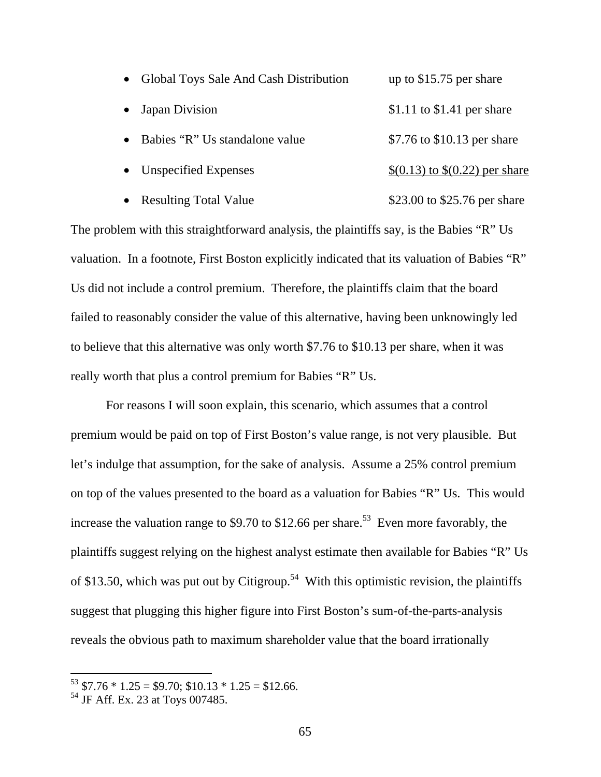| $\bullet$ | Global Toys Sale And Cash Distribution | up to $$15.75$ per share         |
|-----------|----------------------------------------|----------------------------------|
|           | • Japan Division                       | $$1.11$ to $$1.41$ per share     |
| $\bullet$ | Babies "R" Us standalone value         | \$7.76 to \$10.13 per share      |
|           | • Unspecified Expenses                 | $$(0.13)$ to $$(0.22)$ per share |
|           | • Resulting Total Value                | \$23.00 to \$25.76 per share     |

The problem with this straightforward analysis, the plaintiffs say, is the Babies "R" Us valuation. In a footnote, First Boston explicitly indicated that its valuation of Babies "R" Us did not include a control premium. Therefore, the plaintiffs claim that the board failed to reasonably consider the value of this alternative, having been unknowingly led to believe that this alternative was only worth \$7.76 to \$10.13 per share, when it was really worth that plus a control premium for Babies "R" Us.

 For reasons I will soon explain, this scenario, which assumes that a control premium would be paid on top of First Boston's value range, is not very plausible. But let's indulge that assumption, for the sake of analysis. Assume a 25% control premium on top of the values presented to the board as a valuation for Babies "R" Us. This would increase the valuation range to \$9.70 to \$12.66 per share.<sup>53</sup> Even more favorably, the plaintiffs suggest relying on the highest analyst estimate then available for Babies "R" Us of \$13.50, which was put out by Citigroup.<sup>54</sup> With this optimistic revision, the plaintiffs suggest that plugging this higher figure into First Boston's sum-of-the-parts-analysis reveals the obvious path to maximum shareholder value that the board irrationally

 $53$  \$7.76  $*$  1.25 = \$9.70; \$10.13  $*$  1.25 = \$12.66.

<sup>54</sup> JF Aff. Ex. 23 at Toys 007485.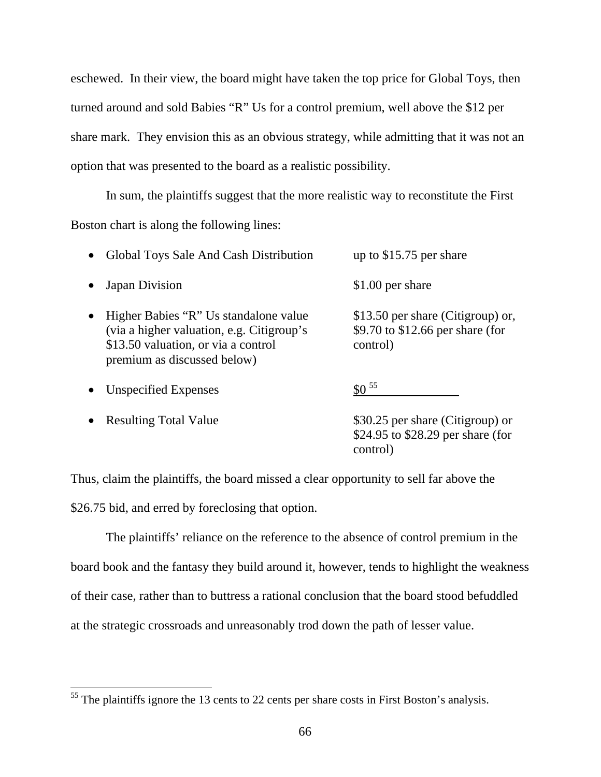eschewed. In their view, the board might have taken the top price for Global Toys, then turned around and sold Babies "R" Us for a control premium, well above the \$12 per share mark. They envision this as an obvious strategy, while admitting that it was not an option that was presented to the board as a realistic possibility.

 In sum, the plaintiffs suggest that the more realistic way to reconstitute the First Boston chart is along the following lines:

| Global Toys Sale And Cash Distribution                                                                                                                                | up to $$15.75$ per share                                                          |
|-----------------------------------------------------------------------------------------------------------------------------------------------------------------------|-----------------------------------------------------------------------------------|
| Japan Division                                                                                                                                                        | \$1.00 per share                                                                  |
| Higher Babies "R" Us standalone value<br>$\bullet$<br>(via a higher valuation, e.g. Citigroup's<br>\$13.50 valuation, or via a control<br>premium as discussed below) | \$13.50 per share (Citigroup) or,<br>\$9.70 to \$12.66 per share (for<br>control) |
| <b>Unspecified Expenses</b>                                                                                                                                           | $$0^{55}$                                                                         |
| <b>Resulting Total Value</b>                                                                                                                                          | \$30.25 per share (Citigroup) or<br>\$24.95 to \$28.29 per share (for<br>control) |

Thus, claim the plaintiffs, the board missed a clear opportunity to sell far above the \$26.75 bid, and erred by foreclosing that option.

 The plaintiffs' reliance on the reference to the absence of control premium in the board book and the fantasy they build around it, however, tends to highlight the weakness of their case, rather than to buttress a rational conclusion that the board stood befuddled at the strategic crossroads and unreasonably trod down the path of lesser value.

 $55$  The plaintiffs ignore the 13 cents to 22 cents per share costs in First Boston's analysis.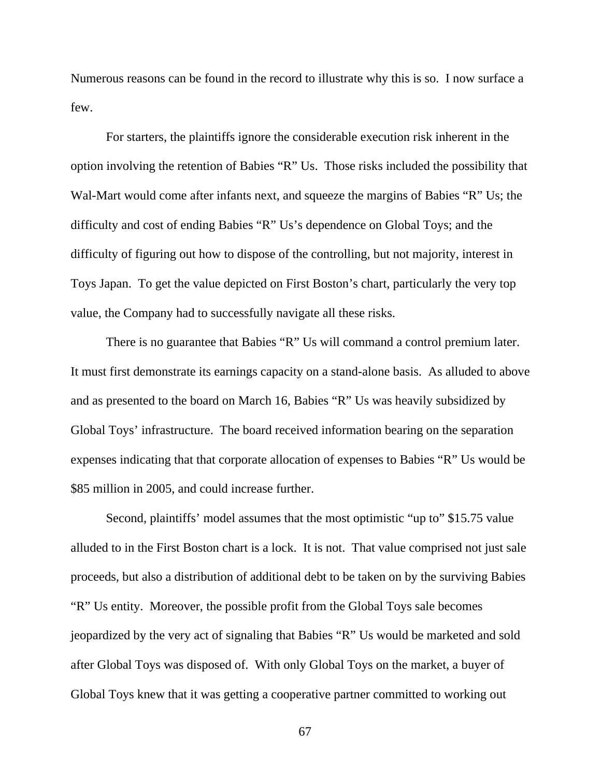Numerous reasons can be found in the record to illustrate why this is so. I now surface a few.

 For starters, the plaintiffs ignore the considerable execution risk inherent in the option involving the retention of Babies "R" Us. Those risks included the possibility that Wal-Mart would come after infants next, and squeeze the margins of Babies "R" Us; the difficulty and cost of ending Babies "R" Us's dependence on Global Toys; and the difficulty of figuring out how to dispose of the controlling, but not majority, interest in Toys Japan. To get the value depicted on First Boston's chart, particularly the very top value, the Company had to successfully navigate all these risks.

 There is no guarantee that Babies "R" Us will command a control premium later. It must first demonstrate its earnings capacity on a stand-alone basis. As alluded to above and as presented to the board on March 16, Babies "R" Us was heavily subsidized by Global Toys' infrastructure. The board received information bearing on the separation expenses indicating that that corporate allocation of expenses to Babies "R" Us would be \$85 million in 2005, and could increase further.

 Second, plaintiffs' model assumes that the most optimistic "up to" \$15.75 value alluded to in the First Boston chart is a lock. It is not. That value comprised not just sale proceeds, but also a distribution of additional debt to be taken on by the surviving Babies "R" Us entity. Moreover, the possible profit from the Global Toys sale becomes jeopardized by the very act of signaling that Babies "R" Us would be marketed and sold after Global Toys was disposed of. With only Global Toys on the market, a buyer of Global Toys knew that it was getting a cooperative partner committed to working out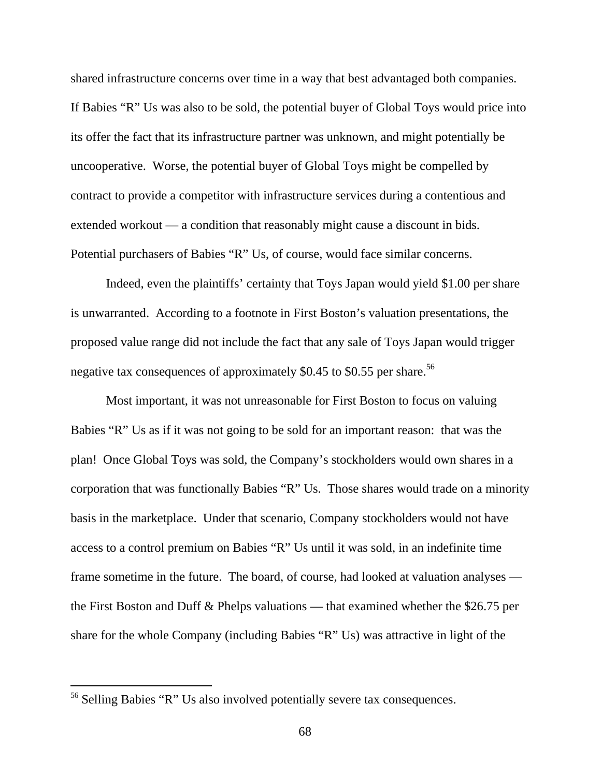shared infrastructure concerns over time in a way that best advantaged both companies. If Babies "R" Us was also to be sold, the potential buyer of Global Toys would price into its offer the fact that its infrastructure partner was unknown, and might potentially be uncooperative. Worse, the potential buyer of Global Toys might be compelled by contract to provide a competitor with infrastructure services during a contentious and extended workout — a condition that reasonably might cause a discount in bids. Potential purchasers of Babies "R" Us, of course, would face similar concerns.

 Indeed, even the plaintiffs' certainty that Toys Japan would yield \$1.00 per share is unwarranted. According to a footnote in First Boston's valuation presentations, the proposed value range did not include the fact that any sale of Toys Japan would trigger negative tax consequences of approximately \$0.45 to \$0.55 per share.<sup>56</sup>

 Most important, it was not unreasonable for First Boston to focus on valuing Babies "R" Us as if it was not going to be sold for an important reason: that was the plan! Once Global Toys was sold, the Company's stockholders would own shares in a corporation that was functionally Babies "R" Us. Those shares would trade on a minority basis in the marketplace. Under that scenario, Company stockholders would not have access to a control premium on Babies "R" Us until it was sold, in an indefinite time frame sometime in the future. The board, of course, had looked at valuation analyses the First Boston and Duff & Phelps valuations — that examined whether the \$26.75 per share for the whole Company (including Babies "R" Us) was attractive in light of the

<sup>56</sup> Selling Babies "R" Us also involved potentially severe tax consequences.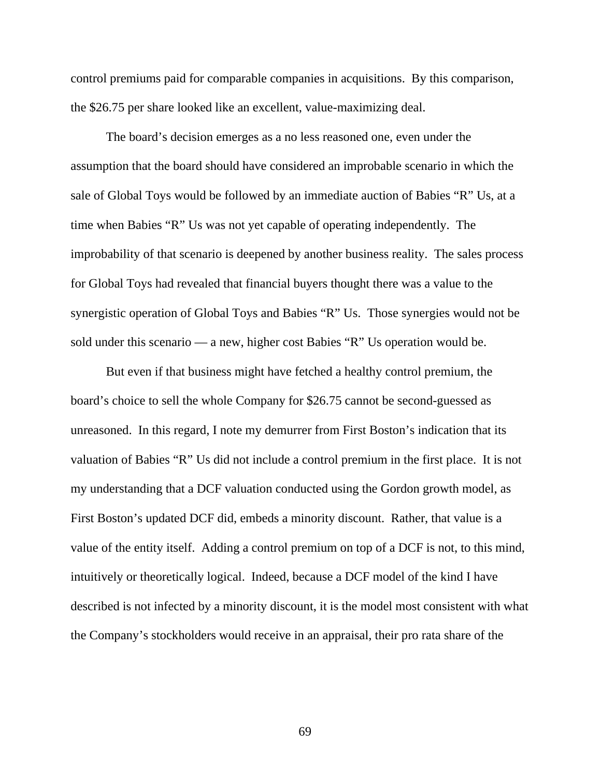control premiums paid for comparable companies in acquisitions. By this comparison, the \$26.75 per share looked like an excellent, value-maximizing deal.

 The board's decision emerges as a no less reasoned one, even under the assumption that the board should have considered an improbable scenario in which the sale of Global Toys would be followed by an immediate auction of Babies "R" Us, at a time when Babies "R" Us was not yet capable of operating independently. The improbability of that scenario is deepened by another business reality. The sales process for Global Toys had revealed that financial buyers thought there was a value to the synergistic operation of Global Toys and Babies "R" Us. Those synergies would not be sold under this scenario — a new, higher cost Babies "R" Us operation would be.

 But even if that business might have fetched a healthy control premium, the board's choice to sell the whole Company for \$26.75 cannot be second-guessed as unreasoned. In this regard, I note my demurrer from First Boston's indication that its valuation of Babies "R" Us did not include a control premium in the first place. It is not my understanding that a DCF valuation conducted using the Gordon growth model, as First Boston's updated DCF did, embeds a minority discount. Rather, that value is a value of the entity itself. Adding a control premium on top of a DCF is not, to this mind, intuitively or theoretically logical. Indeed, because a DCF model of the kind I have described is not infected by a minority discount, it is the model most consistent with what the Company's stockholders would receive in an appraisal, their pro rata share of the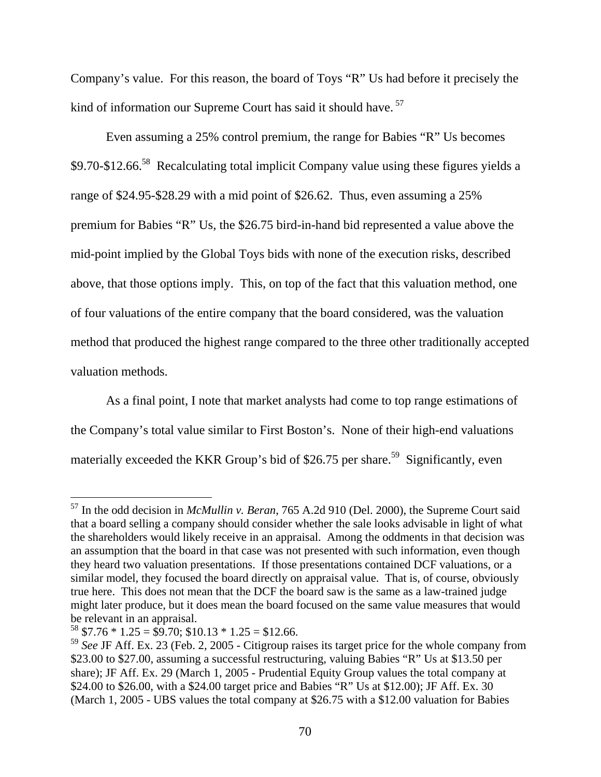Company's value. For this reason, the board of Toys "R" Us had before it precisely the kind of information our Supreme Court has said it should have.<sup>57</sup>

 Even assuming a 25% control premium, the range for Babies "R" Us becomes \$9.70-\$12.66.58 Recalculating total implicit Company value using these figures yields a range of \$24.95-\$28.29 with a mid point of \$26.62. Thus, even assuming a 25% premium for Babies "R" Us, the \$26.75 bird-in-hand bid represented a value above the mid-point implied by the Global Toys bids with none of the execution risks, described above, that those options imply. This, on top of the fact that this valuation method, one of four valuations of the entire company that the board considered, was the valuation method that produced the highest range compared to the three other traditionally accepted valuation methods.

 As a final point, I note that market analysts had come to top range estimations of the Company's total value similar to First Boston's. None of their high-end valuations materially exceeded the KKR Group's bid of \$26.75 per share.<sup>59</sup> Significantly, even

<sup>57</sup> In the odd decision in *McMullin v. Beran*, 765 A.2d 910 (Del. 2000), the Supreme Court said that a board selling a company should consider whether the sale looks advisable in light of what the shareholders would likely receive in an appraisal. Among the oddments in that decision was an assumption that the board in that case was not presented with such information, even though they heard two valuation presentations. If those presentations contained DCF valuations, or a similar model, they focused the board directly on appraisal value. That is, of course, obviously true here. This does not mean that the DCF the board saw is the same as a law-trained judge might later produce, but it does mean the board focused on the same value measures that would be relevant in an appraisal.

 $58$  \$7.76  $*$  1.25 = \$9.70; \$10.13  $*$  1.25 = \$12.66.

<sup>59</sup> *See* JF Aff. Ex. 23 (Feb. 2, 2005 - Citigroup raises its target price for the whole company from \$23.00 to \$27.00, assuming a successful restructuring, valuing Babies "R" Us at \$13.50 per share); JF Aff. Ex. 29 (March 1, 2005 - Prudential Equity Group values the total company at \$24.00 to \$26.00, with a \$24.00 target price and Babies "R" Us at \$12.00); JF Aff. Ex. 30 (March 1, 2005 - UBS values the total company at \$26.75 with a \$12.00 valuation for Babies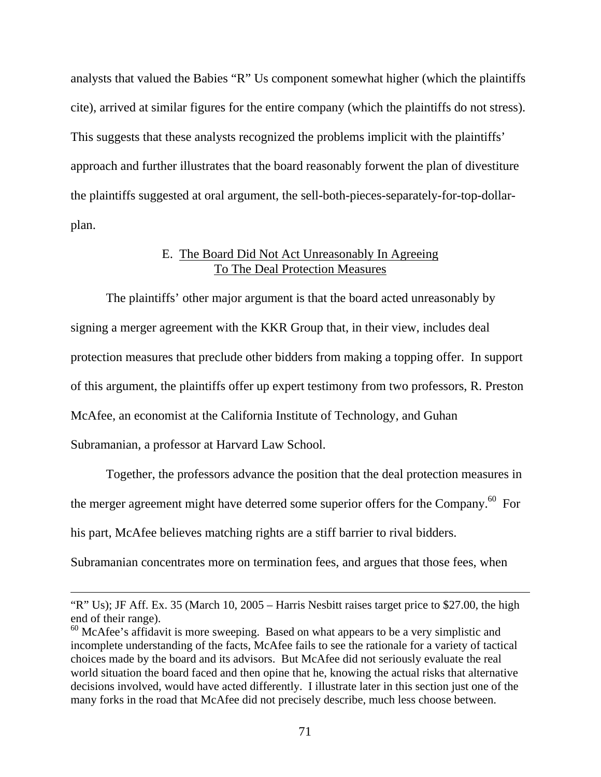analysts that valued the Babies "R" Us component somewhat higher (which the plaintiffs cite), arrived at similar figures for the entire company (which the plaintiffs do not stress). This suggests that these analysts recognized the problems implicit with the plaintiffs' approach and further illustrates that the board reasonably forwent the plan of divestiture the plaintiffs suggested at oral argument, the sell-both-pieces-separately-for-top-dollarplan.

## E. The Board Did Not Act Unreasonably In Agreeing To The Deal Protection Measures

 The plaintiffs' other major argument is that the board acted unreasonably by signing a merger agreement with the KKR Group that, in their view, includes deal protection measures that preclude other bidders from making a topping offer. In support of this argument, the plaintiffs offer up expert testimony from two professors, R. Preston McAfee, an economist at the California Institute of Technology, and Guhan Subramanian, a professor at Harvard Law School.

 Together, the professors advance the position that the deal protection measures in the merger agreement might have deterred some superior offers for the Company. $60$  For his part, McAfee believes matching rights are a stiff barrier to rival bidders.

Subramanian concentrates more on termination fees, and argues that those fees, when

<sup>&</sup>quot;R" Us); JF Aff. Ex. 35 (March 10, 2005 – Harris Nesbitt raises target price to \$27.00, the high end of their range).

<sup>&</sup>lt;sup>60</sup> McAfee's affidavit is more sweeping. Based on what appears to be a very simplistic and incomplete understanding of the facts, McAfee fails to see the rationale for a variety of tactical choices made by the board and its advisors. But McAfee did not seriously evaluate the real world situation the board faced and then opine that he, knowing the actual risks that alternative decisions involved, would have acted differently. I illustrate later in this section just one of the many forks in the road that McAfee did not precisely describe, much less choose between.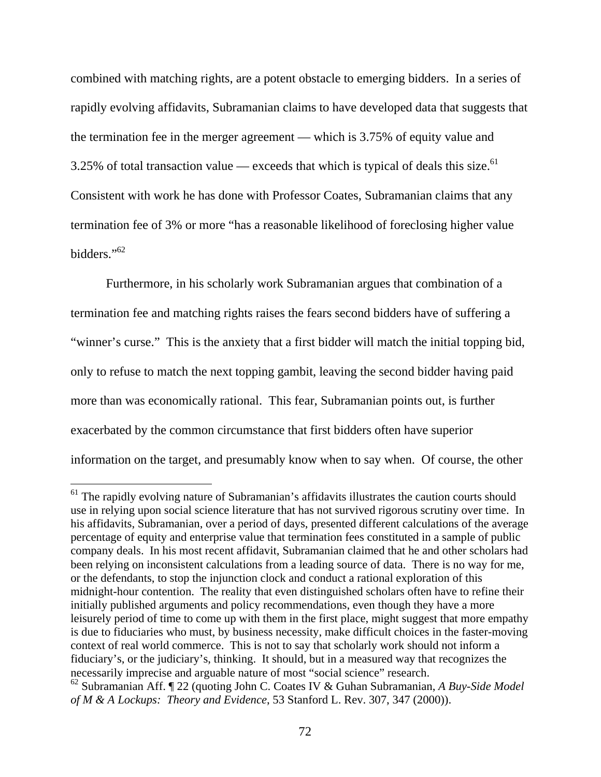combined with matching rights, are a potent obstacle to emerging bidders. In a series of rapidly evolving affidavits, Subramanian claims to have developed data that suggests that the termination fee in the merger agreement — which is 3.75% of equity value and 3.25% of total transaction value — exceeds that which is typical of deals this size.<sup>61</sup> Consistent with work he has done with Professor Coates, Subramanian claims that any termination fee of 3% or more "has a reasonable likelihood of foreclosing higher value bidders."62

 Furthermore, in his scholarly work Subramanian argues that combination of a termination fee and matching rights raises the fears second bidders have of suffering a "winner's curse." This is the anxiety that a first bidder will match the initial topping bid, only to refuse to match the next topping gambit, leaving the second bidder having paid more than was economically rational. This fear, Subramanian points out, is further exacerbated by the common circumstance that first bidders often have superior information on the target, and presumably know when to say when. Of course, the other

<sup>&</sup>lt;sup>61</sup> The rapidly evolving nature of Subramanian's affidavits illustrates the caution courts should use in relying upon social science literature that has not survived rigorous scrutiny over time. In his affidavits, Subramanian, over a period of days, presented different calculations of the average percentage of equity and enterprise value that termination fees constituted in a sample of public company deals. In his most recent affidavit, Subramanian claimed that he and other scholars had been relying on inconsistent calculations from a leading source of data. There is no way for me, or the defendants, to stop the injunction clock and conduct a rational exploration of this midnight-hour contention. The reality that even distinguished scholars often have to refine their initially published arguments and policy recommendations, even though they have a more leisurely period of time to come up with them in the first place, might suggest that more empathy is due to fiduciaries who must, by business necessity, make difficult choices in the faster-moving context of real world commerce. This is not to say that scholarly work should not inform a fiduciary's, or the judiciary's, thinking. It should, but in a measured way that recognizes the necessarily imprecise and arguable nature of most "social science" research.

<sup>62</sup> Subramanian Aff. ¶ 22 (quoting John C. Coates IV & Guhan Subramanian, *A Buy-Side Model of M & A Lockups: Theory and Evidence*, 53 Stanford L. Rev. 307, 347 (2000)).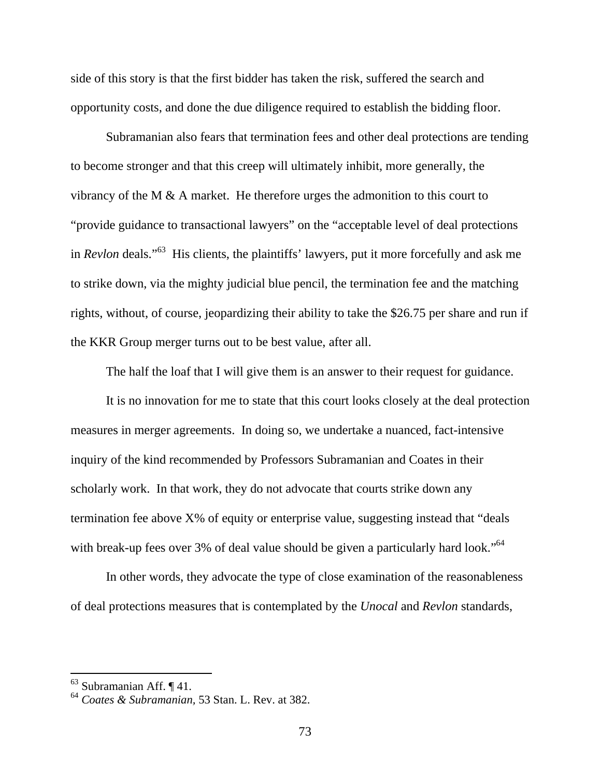side of this story is that the first bidder has taken the risk, suffered the search and opportunity costs, and done the due diligence required to establish the bidding floor.

 Subramanian also fears that termination fees and other deal protections are tending to become stronger and that this creep will ultimately inhibit, more generally, the vibrancy of the M & A market. He therefore urges the admonition to this court to "provide guidance to transactional lawyers" on the "acceptable level of deal protections in *Revlon* deals."63 His clients, the plaintiffs' lawyers, put it more forcefully and ask me to strike down, via the mighty judicial blue pencil, the termination fee and the matching rights, without, of course, jeopardizing their ability to take the \$26.75 per share and run if the KKR Group merger turns out to be best value, after all.

The half the loaf that I will give them is an answer to their request for guidance.

 It is no innovation for me to state that this court looks closely at the deal protection measures in merger agreements. In doing so, we undertake a nuanced, fact-intensive inquiry of the kind recommended by Professors Subramanian and Coates in their scholarly work. In that work, they do not advocate that courts strike down any termination fee above X% of equity or enterprise value, suggesting instead that "deals with break-up fees over 3% of deal value should be given a particularly hard look."<sup>64</sup>

 In other words, they advocate the type of close examination of the reasonableness of deal protections measures that is contemplated by the *Unocal* and *Revlon* standards,

<sup>63</sup> Subramanian Aff. ¶ 41.

<sup>64</sup> *Coates & Subramanian,* 53 Stan. L. Rev. at 382.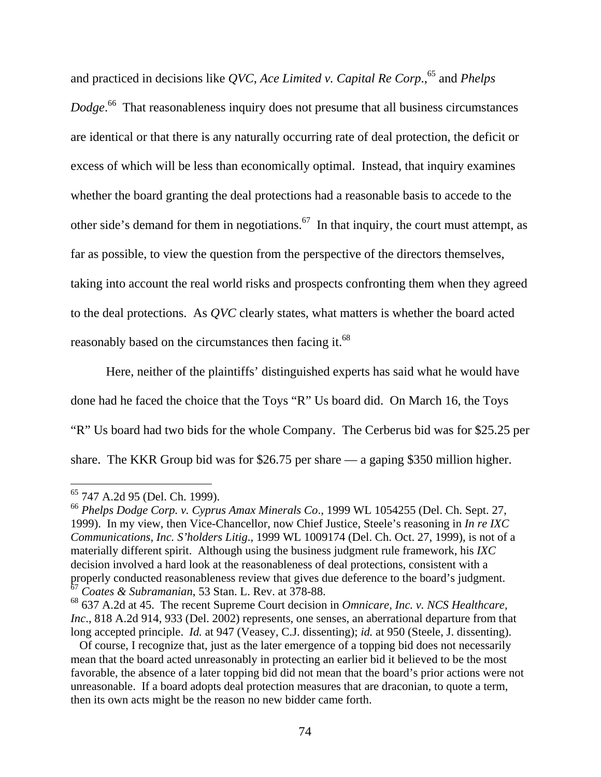and practiced in decisions like *QVC*, *Ace Limited v. Capital Re Corp.*<sup>65</sup> and *Phelps Dodge*. 66 That reasonableness inquiry does not presume that all business circumstances are identical or that there is any naturally occurring rate of deal protection, the deficit or excess of which will be less than economically optimal. Instead, that inquiry examines whether the board granting the deal protections had a reasonable basis to accede to the other side's demand for them in negotiations.<sup>67</sup> In that inquiry, the court must attempt, as far as possible, to view the question from the perspective of the directors themselves, taking into account the real world risks and prospects confronting them when they agreed to the deal protections. As *QVC* clearly states, what matters is whether the board acted reasonably based on the circumstances then facing it.<sup>68</sup>

 Here, neither of the plaintiffs' distinguished experts has said what he would have done had he faced the choice that the Toys "R" Us board did. On March 16, the Toys "R" Us board had two bids for the whole Company. The Cerberus bid was for \$25.25 per share. The KKR Group bid was for \$26.75 per share — a gaping \$350 million higher.

<sup>&</sup>lt;sup>65</sup> 747 A.2d 95 (Del. Ch. 1999).

<sup>66</sup> *Phelps Dodge Corp. v. Cyprus Amax Minerals Co*., 1999 WL 1054255 (Del. Ch. Sept. 27, 1999). In my view, then Vice-Chancellor, now Chief Justice, Steele's reasoning in *In re IXC Communications, Inc. S'holders Litig*., 1999 WL 1009174 (Del. Ch. Oct. 27, 1999), is not of a materially different spirit. Although using the business judgment rule framework, his *IXC* decision involved a hard look at the reasonableness of deal protections, consistent with a properly conducted reasonableness review that gives due deference to the board's judgment. <sup>67</sup> *Coates & Subramanian*, 53 Stan. L. Rev. at 378-88.

<sup>68 637</sup> A.2d at 45. The recent Supreme Court decision in *Omnicare, Inc. v. NCS Healthcare, Inc*., 818 A.2d 914, 933 (Del. 2002) represents, one senses, an aberrational departure from that long accepted principle. *Id.* at 947 (Veasey, C.J. dissenting); *id.* at 950 (Steele, J. dissenting).

Of course, I recognize that, just as the later emergence of a topping bid does not necessarily mean that the board acted unreasonably in protecting an earlier bid it believed to be the most favorable, the absence of a later topping bid did not mean that the board's prior actions were not unreasonable. If a board adopts deal protection measures that are draconian, to quote a term, then its own acts might be the reason no new bidder came forth.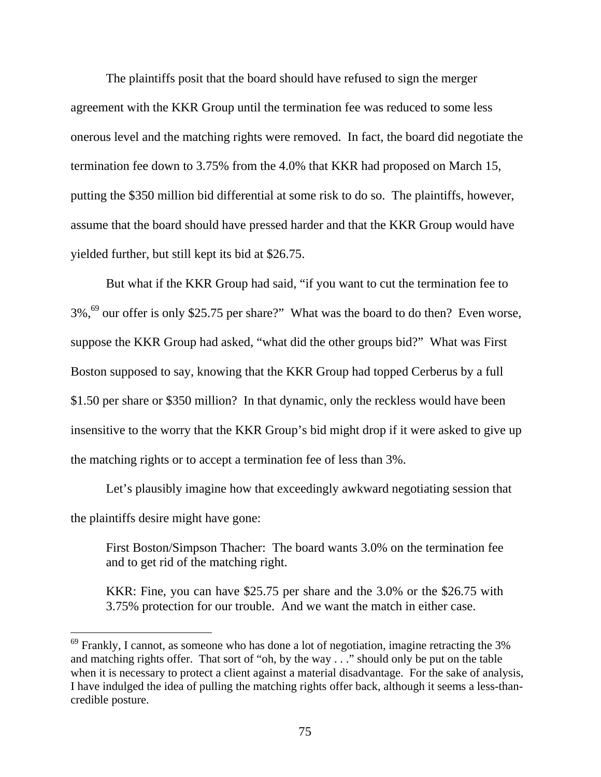The plaintiffs posit that the board should have refused to sign the merger agreement with the KKR Group until the termination fee was reduced to some less onerous level and the matching rights were removed. In fact, the board did negotiate the termination fee down to 3.75% from the 4.0% that KKR had proposed on March 15, putting the \$350 million bid differential at some risk to do so. The plaintiffs, however, assume that the board should have pressed harder and that the KKR Group would have yielded further, but still kept its bid at \$26.75.

But what if the KKR Group had said, "if you want to cut the termination fee to  $3\%$ ,<sup>69</sup> our offer is only \$25.75 per share?" What was the board to do then? Even worse, suppose the KKR Group had asked, "what did the other groups bid?" What was First Boston supposed to say, knowing that the KKR Group had topped Cerberus by a full \$1.50 per share or \$350 million? In that dynamic, only the reckless would have been insensitive to the worry that the KKR Group's bid might drop if it were asked to give up the matching rights or to accept a termination fee of less than 3%.

Let's plausibly imagine how that exceedingly awkward negotiating session that the plaintiffs desire might have gone:

First Boston/Simpson Thacher: The board wants 3.0% on the termination fee and to get rid of the matching right.

KKR: Fine, you can have \$25.75 per share and the 3.0% or the \$26.75 with 3.75% protection for our trouble. And we want the match in either case.

 $69$  Frankly, I cannot, as someone who has done a lot of negotiation, imagine retracting the 3% and matching rights offer. That sort of "oh, by the way . . ." should only be put on the table when it is necessary to protect a client against a material disadvantage. For the sake of analysis, I have indulged the idea of pulling the matching rights offer back, although it seems a less-thancredible posture.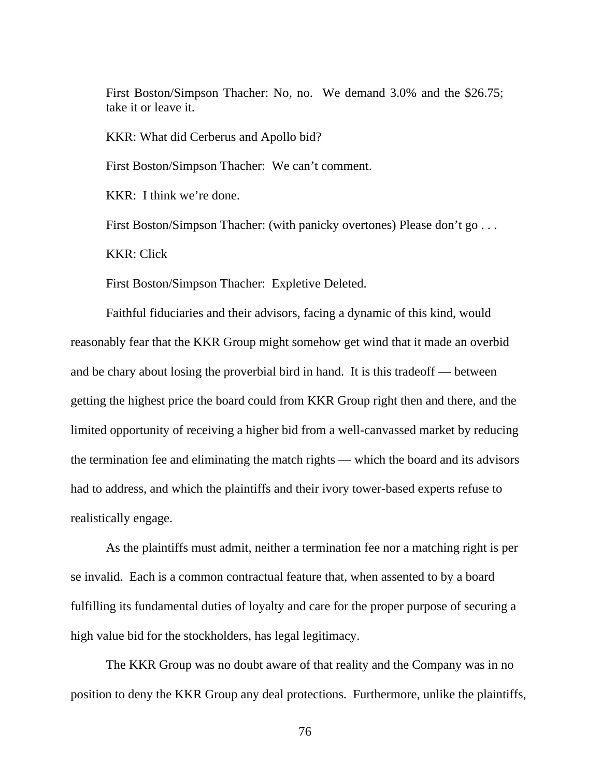First Boston/Simpson Thacher: No, no. We demand 3.0% and the \$26.75; take it or leave it.

KKR: What did Cerberus and Apollo bid?

First Boston/Simpson Thacher: We can't comment.

KKR: I think we're done.

First Boston/Simpson Thacher: (with panicky overtones) Please don't go . . .

KKR: Click

First Boston/Simpson Thacher: Expletive Deleted.

Faithful fiduciaries and their advisors, facing a dynamic of this kind, would reasonably fear that the KKR Group might somehow get wind that it made an overbid and be chary about losing the proverbial bird in hand. It is this tradeoff — between getting the highest price the board could from KKR Group right then and there, and the limited opportunity of receiving a higher bid from a well-canvassed market by reducing the termination fee and eliminating the match rights — which the board and its advisors had to address, and which the plaintiffs and their ivory tower-based experts refuse to realistically engage.

As the plaintiffs must admit, neither a termination fee nor a matching right is per se invalid. Each is a common contractual feature that, when assented to by a board fulfilling its fundamental duties of loyalty and care for the proper purpose of securing a high value bid for the stockholders, has legal legitimacy.

The KKR Group was no doubt aware of that reality and the Company was in no position to deny the KKR Group any deal protections. Furthermore, unlike the plaintiffs,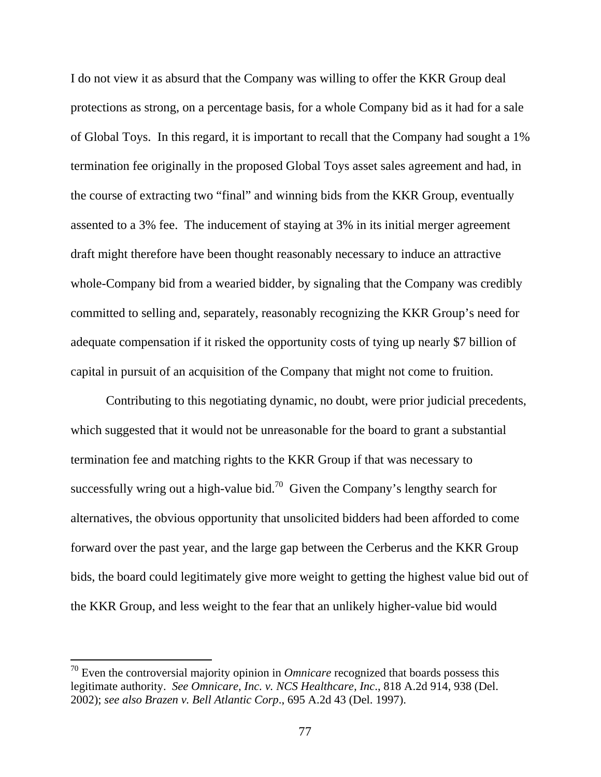I do not view it as absurd that the Company was willing to offer the KKR Group deal protections as strong, on a percentage basis, for a whole Company bid as it had for a sale of Global Toys. In this regard, it is important to recall that the Company had sought a 1% termination fee originally in the proposed Global Toys asset sales agreement and had, in the course of extracting two "final" and winning bids from the KKR Group, eventually assented to a 3% fee. The inducement of staying at 3% in its initial merger agreement draft might therefore have been thought reasonably necessary to induce an attractive whole-Company bid from a wearied bidder, by signaling that the Company was credibly committed to selling and, separately, reasonably recognizing the KKR Group's need for adequate compensation if it risked the opportunity costs of tying up nearly \$7 billion of capital in pursuit of an acquisition of the Company that might not come to fruition.

Contributing to this negotiating dynamic, no doubt, were prior judicial precedents, which suggested that it would not be unreasonable for the board to grant a substantial termination fee and matching rights to the KKR Group if that was necessary to successfully wring out a high-value bid.<sup>70</sup> Given the Company's lengthy search for alternatives, the obvious opportunity that unsolicited bidders had been afforded to come forward over the past year, and the large gap between the Cerberus and the KKR Group bids, the board could legitimately give more weight to getting the highest value bid out of the KKR Group, and less weight to the fear that an unlikely higher-value bid would

<sup>70</sup> Even the controversial majority opinion in *Omnicare* recognized that boards possess this legitimate authority. *See Omnicare, Inc. v. NCS Healthcare, Inc*., 818 A.2d 914, 938 (Del. 2002); *see also Brazen v. Bell Atlantic Corp*., 695 A.2d 43 (Del. 1997).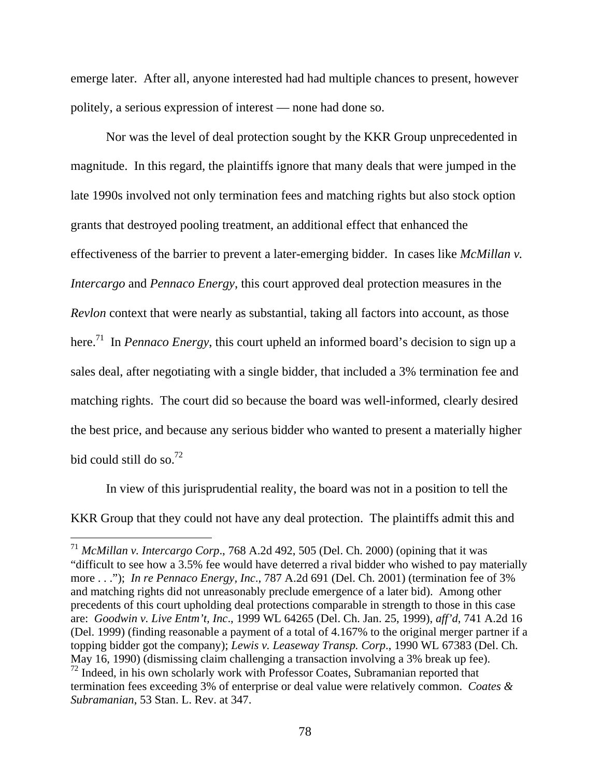emerge later. After all, anyone interested had had multiple chances to present, however politely, a serious expression of interest — none had done so.

Nor was the level of deal protection sought by the KKR Group unprecedented in magnitude. In this regard, the plaintiffs ignore that many deals that were jumped in the late 1990s involved not only termination fees and matching rights but also stock option grants that destroyed pooling treatment, an additional effect that enhanced the effectiveness of the barrier to prevent a later-emerging bidder. In cases like *McMillan v. Intercargo* and *Pennaco Energy*, this court approved deal protection measures in the *Revlon* context that were nearly as substantial, taking all factors into account, as those here.<sup>71</sup> In *Pennaco Energy*, this court upheld an informed board's decision to sign up a sales deal, after negotiating with a single bidder, that included a 3% termination fee and matching rights. The court did so because the board was well-informed, clearly desired the best price, and because any serious bidder who wanted to present a materially higher bid could still do so. $^{72}$ 

In view of this jurisprudential reality, the board was not in a position to tell the KKR Group that they could not have any deal protection. The plaintiffs admit this and

<sup>71</sup> *McMillan v. Intercargo Corp*., 768 A.2d 492, 505 (Del. Ch. 2000) (opining that it was "difficult to see how a 3.5% fee would have deterred a rival bidder who wished to pay materially more . . ."); *In re Pennaco Energy, Inc*., 787 A.2d 691 (Del. Ch. 2001) (termination fee of 3% and matching rights did not unreasonably preclude emergence of a later bid). Among other precedents of this court upholding deal protections comparable in strength to those in this case are: *Goodwin v. Live Entm't, Inc*., 1999 WL 64265 (Del. Ch. Jan. 25, 1999), *aff'd*, 741 A.2d 16 (Del. 1999) (finding reasonable a payment of a total of 4.167% to the original merger partner if a topping bidder got the company); *Lewis v. Leaseway Transp. Corp*., 1990 WL 67383 (Del. Ch. May 16, 1990) (dismissing claim challenging a transaction involving a 3% break up fee).  $<sup>72</sup>$  Indeed, in his own scholarly work with Professor Coates, Subramanian reported that</sup> termination fees exceeding 3% of enterprise or deal value were relatively common. *Coates & Subramanian*, 53 Stan. L. Rev. at 347.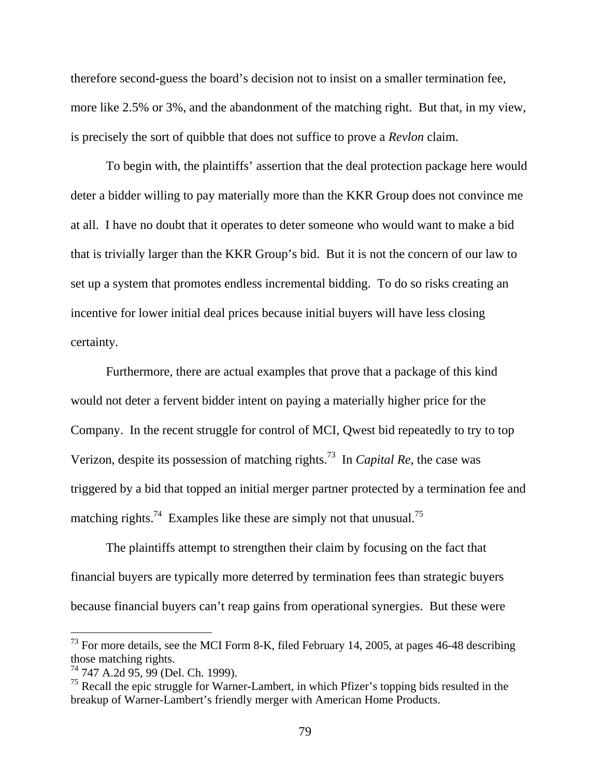therefore second-guess the board's decision not to insist on a smaller termination fee, more like 2.5% or 3%, and the abandonment of the matching right. But that, in my view, is precisely the sort of quibble that does not suffice to prove a *Revlon* claim.

To begin with, the plaintiffs' assertion that the deal protection package here would deter a bidder willing to pay materially more than the KKR Group does not convince me at all. I have no doubt that it operates to deter someone who would want to make a bid that is trivially larger than the KKR Group's bid. But it is not the concern of our law to set up a system that promotes endless incremental bidding. To do so risks creating an incentive for lower initial deal prices because initial buyers will have less closing certainty.

Furthermore, there are actual examples that prove that a package of this kind would not deter a fervent bidder intent on paying a materially higher price for the Company. In the recent struggle for control of MCI, Qwest bid repeatedly to try to top Verizon, despite its possession of matching rights.73 In *Capital Re*, the case was triggered by a bid that topped an initial merger partner protected by a termination fee and matching rights.<sup>74</sup> Examples like these are simply not that unusual.<sup>75</sup>

The plaintiffs attempt to strengthen their claim by focusing on the fact that financial buyers are typically more deterred by termination fees than strategic buyers because financial buyers can't reap gains from operational synergies. But these were

 $^{73}$  For more details, see the MCI Form 8-K, filed February 14, 2005, at pages 46-48 describing those matching rights.

 $^{74}$  747 A.2d 95, 99 (Del. Ch. 1999).

 $<sup>75</sup>$  Recall the epic struggle for Warner-Lambert, in which Pfizer's topping bids resulted in the</sup> breakup of Warner-Lambert's friendly merger with American Home Products.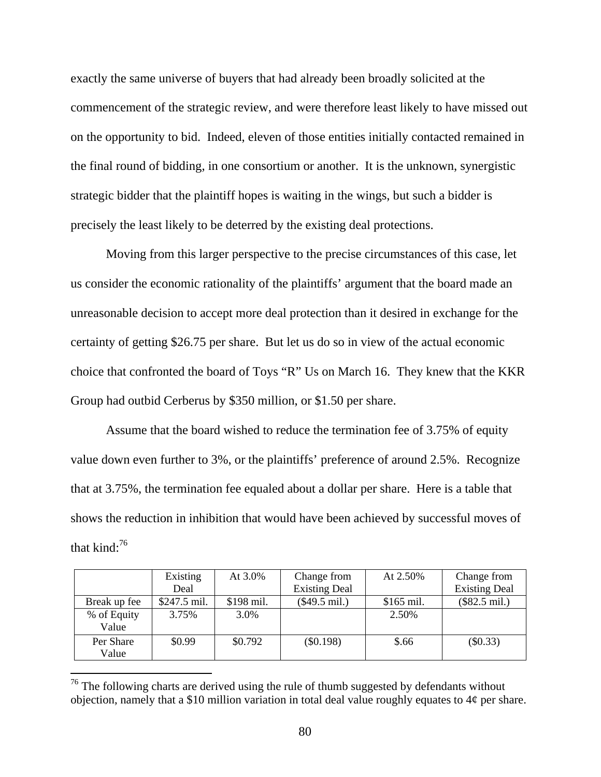exactly the same universe of buyers that had already been broadly solicited at the commencement of the strategic review, and were therefore least likely to have missed out on the opportunity to bid. Indeed, eleven of those entities initially contacted remained in the final round of bidding, in one consortium or another. It is the unknown, synergistic strategic bidder that the plaintiff hopes is waiting in the wings, but such a bidder is precisely the least likely to be deterred by the existing deal protections.

 Moving from this larger perspective to the precise circumstances of this case, let us consider the economic rationality of the plaintiffs' argument that the board made an unreasonable decision to accept more deal protection than it desired in exchange for the certainty of getting \$26.75 per share. But let us do so in view of the actual economic choice that confronted the board of Toys "R" Us on March 16. They knew that the KKR Group had outbid Cerberus by \$350 million, or \$1.50 per share.

 Assume that the board wished to reduce the termination fee of 3.75% of equity value down even further to 3%, or the plaintiffs' preference of around 2.5%. Recognize that at 3.75%, the termination fee equaled about a dollar per share. Here is a table that shows the reduction in inhibition that would have been achieved by successful moves of that kind $\cdot^{76}$ 

|              | Existing      | At $3.0\%$ | Change from          | At 2.50%    | Change from            |
|--------------|---------------|------------|----------------------|-------------|------------------------|
|              | Deal          |            | <b>Existing Deal</b> |             | <b>Existing Deal</b>   |
| Break up fee | $$247.5$ mil. | \$198 mil. | $(\$49.5$ mil.)      | $$165$ mil. | $($82.5 \text{ mil.})$ |
| % of Equity  | 3.75%         | 3.0%       |                      | 2.50%       |                        |
| Value        |               |            |                      |             |                        |
| Per Share    | \$0.99        | \$0.792    | $(\$0.198)$          | \$.66       | $(\$0.33)$             |
| Value        |               |            |                      |             |                        |

 $76$  The following charts are derived using the rule of thumb suggested by defendants without objection, namely that a \$10 million variation in total deal value roughly equates to 4¢ per share.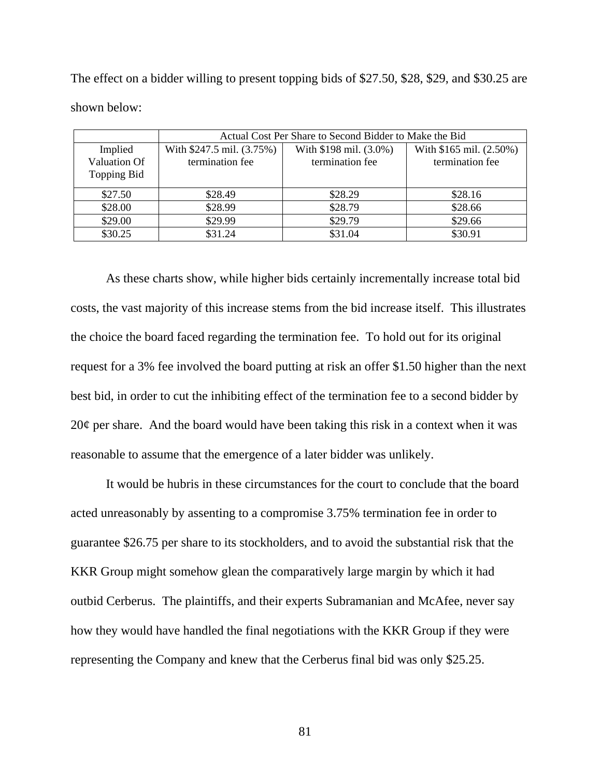The effect on a bidder willing to present topping bids of \$27.50, \$28, \$29, and \$30.25 are shown below:

|              | Actual Cost Per Share to Second Bidder to Make the Bid |                        |                         |  |  |
|--------------|--------------------------------------------------------|------------------------|-------------------------|--|--|
| Implied      | With \$247.5 mil. (3.75%)                              | With \$198 mil. (3.0%) | With \$165 mil. (2.50%) |  |  |
| Valuation Of | termination fee                                        | termination fee        | termination fee         |  |  |
| Topping Bid  |                                                        |                        |                         |  |  |
| \$27.50      | \$28.49                                                | \$28.29                | \$28.16                 |  |  |
| \$28.00      | \$28.99                                                | \$28.79                | \$28.66                 |  |  |
| \$29.00      | \$29.99                                                | \$29.79                | \$29.66                 |  |  |
| \$30.25      | \$31.24                                                | \$31.04                | \$30.91                 |  |  |

 As these charts show, while higher bids certainly incrementally increase total bid costs, the vast majority of this increase stems from the bid increase itself. This illustrates the choice the board faced regarding the termination fee. To hold out for its original request for a 3% fee involved the board putting at risk an offer \$1.50 higher than the next best bid, in order to cut the inhibiting effect of the termination fee to a second bidder by  $20¢$  per share. And the board would have been taking this risk in a context when it was reasonable to assume that the emergence of a later bidder was unlikely.

 It would be hubris in these circumstances for the court to conclude that the board acted unreasonably by assenting to a compromise 3.75% termination fee in order to guarantee \$26.75 per share to its stockholders, and to avoid the substantial risk that the KKR Group might somehow glean the comparatively large margin by which it had outbid Cerberus. The plaintiffs, and their experts Subramanian and McAfee, never say how they would have handled the final negotiations with the KKR Group if they were representing the Company and knew that the Cerberus final bid was only \$25.25.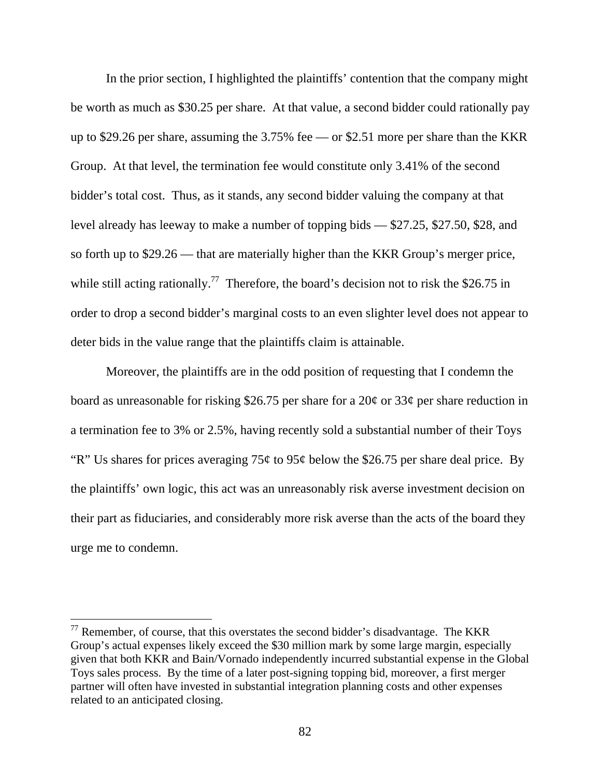In the prior section, I highlighted the plaintiffs' contention that the company might be worth as much as \$30.25 per share. At that value, a second bidder could rationally pay up to \$29.26 per share, assuming the 3.75% fee — or \$2.51 more per share than the KKR Group. At that level, the termination fee would constitute only 3.41% of the second bidder's total cost. Thus, as it stands, any second bidder valuing the company at that level already has leeway to make a number of topping bids — \$27.25, \$27.50, \$28, and so forth up to \$29.26 — that are materially higher than the KKR Group's merger price, while still acting rationally.<sup>77</sup> Therefore, the board's decision not to risk the \$26.75 in order to drop a second bidder's marginal costs to an even slighter level does not appear to deter bids in the value range that the plaintiffs claim is attainable.

Moreover, the plaintiffs are in the odd position of requesting that I condemn the board as unreasonable for risking \$26.75 per share for a 20¢ or 33¢ per share reduction in a termination fee to 3% or 2.5%, having recently sold a substantial number of their Toys "R" Us shares for prices averaging  $75¢$  to  $95¢$  below the \$26.75 per share deal price. By the plaintiffs' own logic, this act was an unreasonably risk averse investment decision on their part as fiduciaries, and considerably more risk averse than the acts of the board they urge me to condemn.

 $77$  Remember, of course, that this overstates the second bidder's disadvantage. The KKR Group's actual expenses likely exceed the \$30 million mark by some large margin, especially given that both KKR and Bain/Vornado independently incurred substantial expense in the Global Toys sales process. By the time of a later post-signing topping bid, moreover, a first merger partner will often have invested in substantial integration planning costs and other expenses related to an anticipated closing.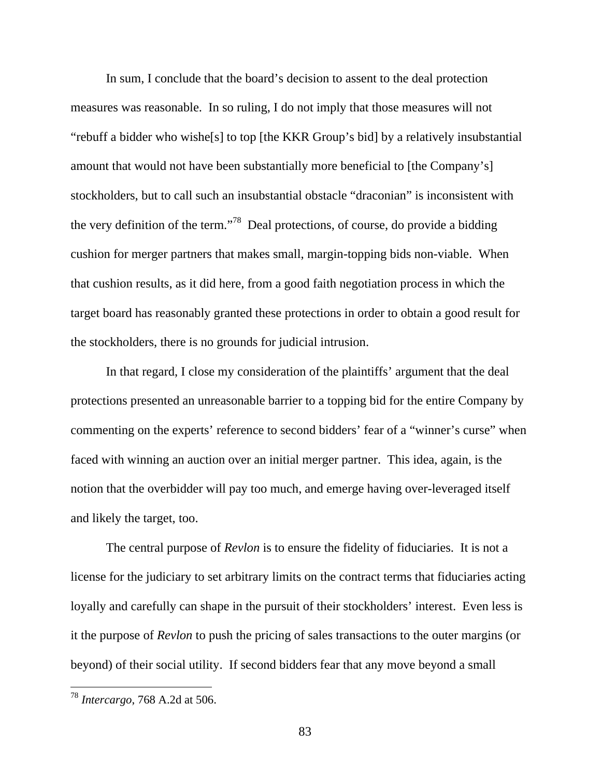In sum, I conclude that the board's decision to assent to the deal protection measures was reasonable. In so ruling, I do not imply that those measures will not "rebuff a bidder who wishe[s] to top [the KKR Group's bid] by a relatively insubstantial amount that would not have been substantially more beneficial to [the Company's] stockholders, but to call such an insubstantial obstacle "draconian" is inconsistent with the very definition of the term."78 Deal protections, of course, do provide a bidding cushion for merger partners that makes small, margin-topping bids non-viable. When that cushion results, as it did here, from a good faith negotiation process in which the target board has reasonably granted these protections in order to obtain a good result for the stockholders, there is no grounds for judicial intrusion.

In that regard, I close my consideration of the plaintiffs' argument that the deal protections presented an unreasonable barrier to a topping bid for the entire Company by commenting on the experts' reference to second bidders' fear of a "winner's curse" when faced with winning an auction over an initial merger partner. This idea, again, is the notion that the overbidder will pay too much, and emerge having over-leveraged itself and likely the target, too.

The central purpose of *Revlon* is to ensure the fidelity of fiduciaries. It is not a license for the judiciary to set arbitrary limits on the contract terms that fiduciaries acting loyally and carefully can shape in the pursuit of their stockholders' interest. Even less is it the purpose of *Revlon* to push the pricing of sales transactions to the outer margins (or beyond) of their social utility. If second bidders fear that any move beyond a small

<sup>78</sup> *Intercargo*, 768 A.2d at 506.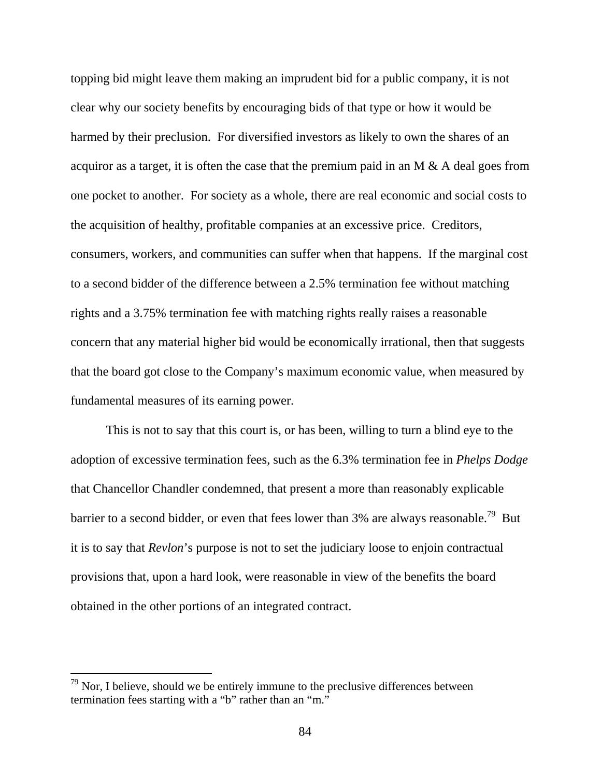topping bid might leave them making an imprudent bid for a public company, it is not clear why our society benefits by encouraging bids of that type or how it would be harmed by their preclusion. For diversified investors as likely to own the shares of an acquiror as a target, it is often the case that the premium paid in an M & A deal goes from one pocket to another. For society as a whole, there are real economic and social costs to the acquisition of healthy, profitable companies at an excessive price. Creditors, consumers, workers, and communities can suffer when that happens. If the marginal cost to a second bidder of the difference between a 2.5% termination fee without matching rights and a 3.75% termination fee with matching rights really raises a reasonable concern that any material higher bid would be economically irrational, then that suggests that the board got close to the Company's maximum economic value, when measured by fundamental measures of its earning power.

This is not to say that this court is, or has been, willing to turn a blind eye to the adoption of excessive termination fees, such as the 6.3% termination fee in *Phelps Dodge*  that Chancellor Chandler condemned, that present a more than reasonably explicable barrier to a second bidder, or even that fees lower than 3% are always reasonable.<sup>79</sup> But it is to say that *Revlon*'s purpose is not to set the judiciary loose to enjoin contractual provisions that, upon a hard look, were reasonable in view of the benefits the board obtained in the other portions of an integrated contract.

 $79$  Nor, I believe, should we be entirely immune to the preclusive differences between termination fees starting with a "b" rather than an "m."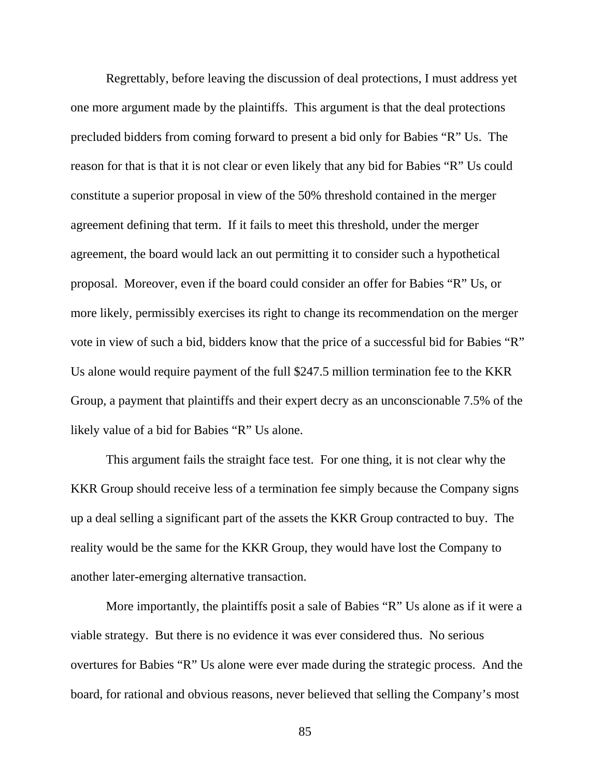Regrettably, before leaving the discussion of deal protections, I must address yet one more argument made by the plaintiffs. This argument is that the deal protections precluded bidders from coming forward to present a bid only for Babies "R" Us. The reason for that is that it is not clear or even likely that any bid for Babies "R" Us could constitute a superior proposal in view of the 50% threshold contained in the merger agreement defining that term. If it fails to meet this threshold, under the merger agreement, the board would lack an out permitting it to consider such a hypothetical proposal. Moreover, even if the board could consider an offer for Babies "R" Us, or more likely, permissibly exercises its right to change its recommendation on the merger vote in view of such a bid, bidders know that the price of a successful bid for Babies "R" Us alone would require payment of the full \$247.5 million termination fee to the KKR Group, a payment that plaintiffs and their expert decry as an unconscionable 7.5% of the likely value of a bid for Babies "R" Us alone.

This argument fails the straight face test. For one thing, it is not clear why the KKR Group should receive less of a termination fee simply because the Company signs up a deal selling a significant part of the assets the KKR Group contracted to buy. The reality would be the same for the KKR Group, they would have lost the Company to another later-emerging alternative transaction.

More importantly, the plaintiffs posit a sale of Babies "R" Us alone as if it were a viable strategy. But there is no evidence it was ever considered thus. No serious overtures for Babies "R" Us alone were ever made during the strategic process. And the board, for rational and obvious reasons, never believed that selling the Company's most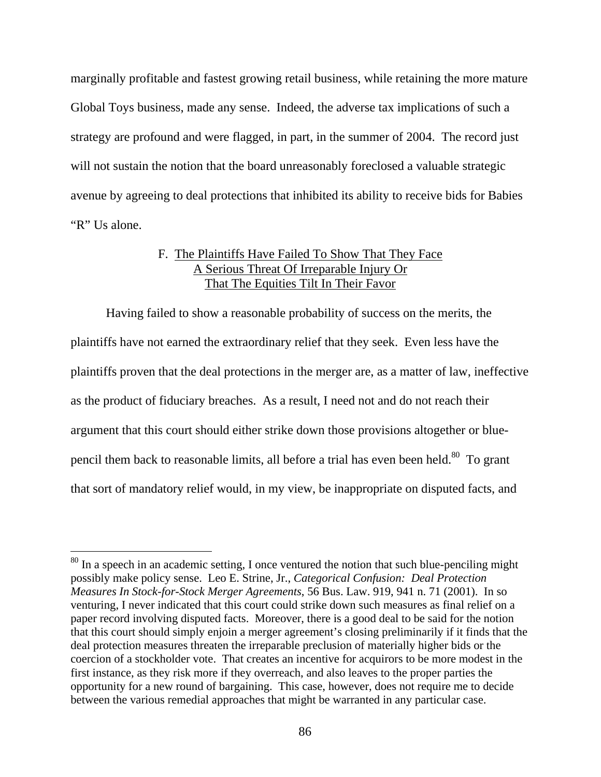marginally profitable and fastest growing retail business, while retaining the more mature Global Toys business, made any sense. Indeed, the adverse tax implications of such a strategy are profound and were flagged, in part, in the summer of 2004. The record just will not sustain the notion that the board unreasonably foreclosed a valuable strategic avenue by agreeing to deal protections that inhibited its ability to receive bids for Babies "R" Us alone.

## F. The Plaintiffs Have Failed To Show That They Face A Serious Threat Of Irreparable Injury Or That The Equities Tilt In Their Favor

 Having failed to show a reasonable probability of success on the merits, the plaintiffs have not earned the extraordinary relief that they seek. Even less have the plaintiffs proven that the deal protections in the merger are, as a matter of law, ineffective as the product of fiduciary breaches. As a result, I need not and do not reach their argument that this court should either strike down those provisions altogether or bluepencil them back to reasonable limits, all before a trial has even been held.<sup>80</sup> To grant that sort of mandatory relief would, in my view, be inappropriate on disputed facts, and

 $80$  In a speech in an academic setting, I once ventured the notion that such blue-penciling might possibly make policy sense. Leo E. Strine, Jr., *Categorical Confusion: Deal Protection Measures In Stock-for-Stock Merger Agreements*, 56 Bus. Law. 919, 941 n. 71 (2001). In so venturing, I never indicated that this court could strike down such measures as final relief on a paper record involving disputed facts. Moreover, there is a good deal to be said for the notion that this court should simply enjoin a merger agreement's closing preliminarily if it finds that the deal protection measures threaten the irreparable preclusion of materially higher bids or the coercion of a stockholder vote. That creates an incentive for acquirors to be more modest in the first instance, as they risk more if they overreach, and also leaves to the proper parties the opportunity for a new round of bargaining. This case, however, does not require me to decide between the various remedial approaches that might be warranted in any particular case.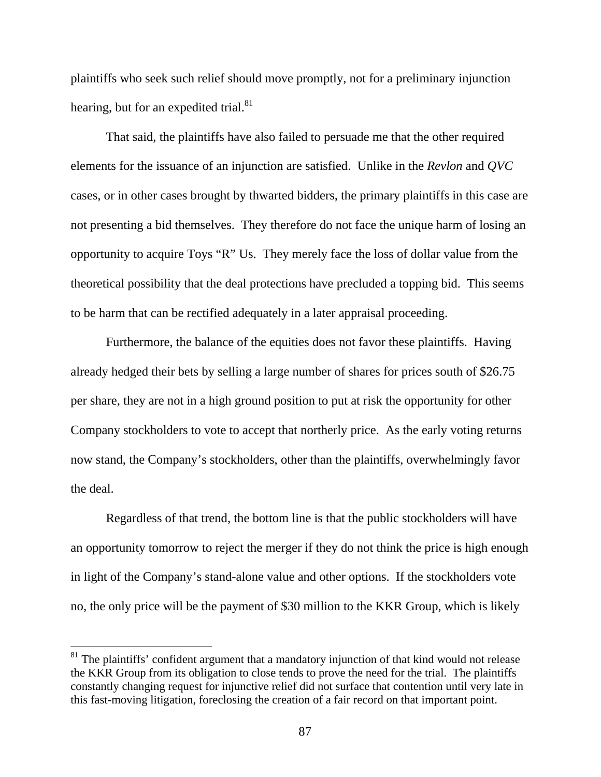plaintiffs who seek such relief should move promptly, not for a preliminary injunction hearing, but for an expedited trial.<sup>81</sup>

 That said, the plaintiffs have also failed to persuade me that the other required elements for the issuance of an injunction are satisfied. Unlike in the *Revlon* and *QVC* cases, or in other cases brought by thwarted bidders, the primary plaintiffs in this case are not presenting a bid themselves. They therefore do not face the unique harm of losing an opportunity to acquire Toys "R" Us. They merely face the loss of dollar value from the theoretical possibility that the deal protections have precluded a topping bid. This seems to be harm that can be rectified adequately in a later appraisal proceeding.

 Furthermore, the balance of the equities does not favor these plaintiffs. Having already hedged their bets by selling a large number of shares for prices south of \$26.75 per share, they are not in a high ground position to put at risk the opportunity for other Company stockholders to vote to accept that northerly price. As the early voting returns now stand, the Company's stockholders, other than the plaintiffs, overwhelmingly favor the deal.

 Regardless of that trend, the bottom line is that the public stockholders will have an opportunity tomorrow to reject the merger if they do not think the price is high enough in light of the Company's stand-alone value and other options. If the stockholders vote no, the only price will be the payment of \$30 million to the KKR Group, which is likely

 $81$  The plaintiffs' confident argument that a mandatory injunction of that kind would not release the KKR Group from its obligation to close tends to prove the need for the trial. The plaintiffs constantly changing request for injunctive relief did not surface that contention until very late in this fast-moving litigation, foreclosing the creation of a fair record on that important point.